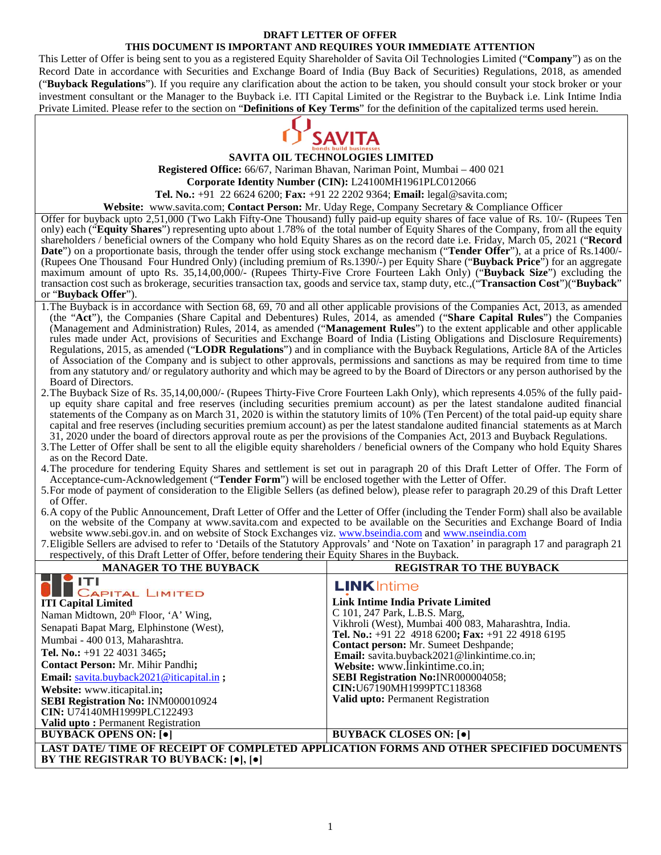#### **DRAFT LETTER OF OFFER THIS DOCUMENT IS IMPORTANT AND REQUIRES YOUR IMMEDIATE ATTENTION**

This Letter of Offer is being sent to you as a registered Equity Shareholder of Savita Oil Technologies Limited ("**Company**") as on the Record Date in accordance with Securities and Exchange Board of India (Buy Back of Securities) Regulations, 2018, as amended ("**Buyback Regulations**"). If you require any clarification about the action to be taken, you should consult your stock broker or your investment consultant or the Manager to the Buyback i.e. ITI Capital Limited or the Registrar to the Buyback i.e. Link Intime India Private Limited. Please refer to the section on "**Definitions of Key Terms**" for the definition of the capitalized terms used herein.



**SAVITA OIL TECHNOLOGIES LIMITED**

**Registered Office:** 66/67, Nariman Bhavan, Nariman Point, Mumbai – 400 021

**Corporate Identity Number (CIN):** L24100MH1961PLC012066

**Tel. No.:** +91 22 6624 6200; **Fax:** +91 22 2202 9364; **Email:** legal@savita.com;

**Website:** www.savita.com; **Contact Person:** Mr. Uday Rege, Company Secretary & Compliance Officer

Offer for buyback upto 2,51,000 (Two Lakh Fifty-One Thousand) fully paid-up equity shares of face value of Rs. 10/- (Rupees Ten only) each ("**Equity Shares**") representing upto about 1.78% of the total number of Equity Shares of the Company, from all the equity shareholders / beneficial owners of the Company who hold Equity Shares as on the record date i.e. Friday, March 05, 2021 ("**Record Date**") on a proportionate basis, through the tender offer using stock exchange mechanism ("**Tender Offer**"), at a price of Rs.1400/- (Rupees One Thousand Four Hundred Only) (including premium of Rs.1390/-) per Equity Share ("**Buyback Price**") for an aggregate maximum amount of upto Rs. 35,14,00,000/- (Rupees Thirty-Five Crore Fourteen Lakh Only) ("**Buyback Size**") excluding the transaction cost such as brokerage, securities transaction tax, goods and service tax, stamp duty, etc.,("**Transaction Cost**")("**Buyback**" or "**Buyback Offer**").

- 1.The Buyback is in accordance with Section 68, 69, 70 and all other applicable provisions of the Companies Act, 2013, as amended (the "**Act**"), the Companies (Share Capital and Debentures) Rules, 2014, as amended ("**Share Capital Rules**") the Companies (Management and Administration) Rules, 2014, as amended ("**Management Rules**") to the extent applicable and other applicable rules made under Act, provisions of Securities and Exchange Board of India (Listing Obligations and Disclosure Requirements) Regulations, 2015, as amended ("**LODR Regulations**") and in compliance with the Buyback Regulations, Article 8A of the Articles of Association of the Company and is subject to other approvals, permissions and sanctions as may be required from time to time from any statutory and/ or regulatory authority and which may be agreed to by the Board of Directors or any person authorised by the Board of Directors.
- 2.The Buyback Size of Rs. 35,14,00,000/- (Rupees Thirty-Five Crore Fourteen Lakh Only), which represents 4.05% of the fully paidup equity share capital and free reserves (including securities premium account) as per the latest standalone audited financial statements of the Company as on March 31, 2020 is within the statutory limits of 10% (Ten Percent) of the total paid-up equity share capital and free reserves (including securities premium account) as per the latest standalone audited financial statements as at March 31, 2020 under the board of directors approval route as per the provisions of the Companies Act, 2013 and Buyback Regulations.
- 3.The Letter of Offer shall be sent to all the eligible equity shareholders / beneficial owners of the Company who hold Equity Shares as on the Record Date.
- 4.The procedure for tendering Equity Shares and settlement is set out in paragraph 20 of this Draft Letter of Offer. The Form of Acceptance-cum-Acknowledgement ("**Tender Form**") will be enclosed together with the Letter of Offer.
- 5.For mode of payment of consideration to the Eligible Sellers (as defined below), please refer to paragraph 20.29 of this Draft Letter of Offer.
- 6.A copy of the Public Announcement, Draft Letter of Offer and the Letter of Offer (including the Tender Form) shall also be available on the website of the Company at www.savita.com and expected to be available on the Securities and Exchange Board of India website www.sebi.gov.in. and on website of Stock Exchanges viz. www.bseindia.com and www.nseindia.com
- 7.Eligible Sellers are advised to refer to 'Details of the Statutory Approvals' and 'Note on Taxation' in paragraph 17 and paragraph 21 respectively, of this Draft Letter of Offer, before tendering their Equity Shares in the Buyback.

| <b>MANAGER TO THE BUYBACK</b>                                                                                                                                                                                                                                                                                                                                                                    | <b>REGISTRAR TO THE BUYBACK</b>                                                                                                                                                                                                                                                                                                                                                                                                  |  |
|--------------------------------------------------------------------------------------------------------------------------------------------------------------------------------------------------------------------------------------------------------------------------------------------------------------------------------------------------------------------------------------------------|----------------------------------------------------------------------------------------------------------------------------------------------------------------------------------------------------------------------------------------------------------------------------------------------------------------------------------------------------------------------------------------------------------------------------------|--|
| TY ITI<br><b>CAPITAL LIMITED</b>                                                                                                                                                                                                                                                                                                                                                                 | <b>LINK</b> Intime                                                                                                                                                                                                                                                                                                                                                                                                               |  |
| <b>ITI Capital Limited</b><br>Naman Midtown, 20 <sup>th</sup> Floor, 'A' Wing,<br>Senapati Bapat Marg, Elphinstone (West),<br>Mumbai - 400 013, Maharashtra.<br>Tel. No.: $+91$ 22 4031 3465;<br><b>Contact Person: Mr. Mihir Pandhi;</b><br><b>Email:</b> savita.buyback2021@iticapital.in ;<br>Website: www.iticapital.in;<br>SEBI Registration No: INM000010924<br>CIN: U74140MH1999PLC122493 | Link Intime India Private Limited<br>C 101, 247 Park, L.B.S. Marg,<br>Vikhroli (West), Mumbai 400 083, Maharashtra, India.<br>Tel. No.: +91 22 4918 6200; Fax: +91 22 4918 6195<br>Contact person: Mr. Sumeet Deshpande;<br>Email: savita.buyback2021@linkintime.co.in;<br>Website: www.linkintime.co.in;<br><b>SEBI Registration No:INR000004058;</b><br>CIN:U67190MH1999PTC118368<br><b>Valid upto: Permanent Registration</b> |  |
| <b>Valid upto:</b> Permanent Registration<br><b>BUYBACK OPENS ON:</b> [ $\bullet$ ]                                                                                                                                                                                                                                                                                                              | <b>BUYBACK CLOSES ON:</b> [ $\bullet$ ]                                                                                                                                                                                                                                                                                                                                                                                          |  |
|                                                                                                                                                                                                                                                                                                                                                                                                  | LAST DATE/TIME OF RECEIPT OF COMPLETED APPLICATION FORMS AND OTHER SPECIFIED DOCUMENTS                                                                                                                                                                                                                                                                                                                                           |  |
| BY THE REGISTRAR TO BUYBACK: [•], [•]                                                                                                                                                                                                                                                                                                                                                            |                                                                                                                                                                                                                                                                                                                                                                                                                                  |  |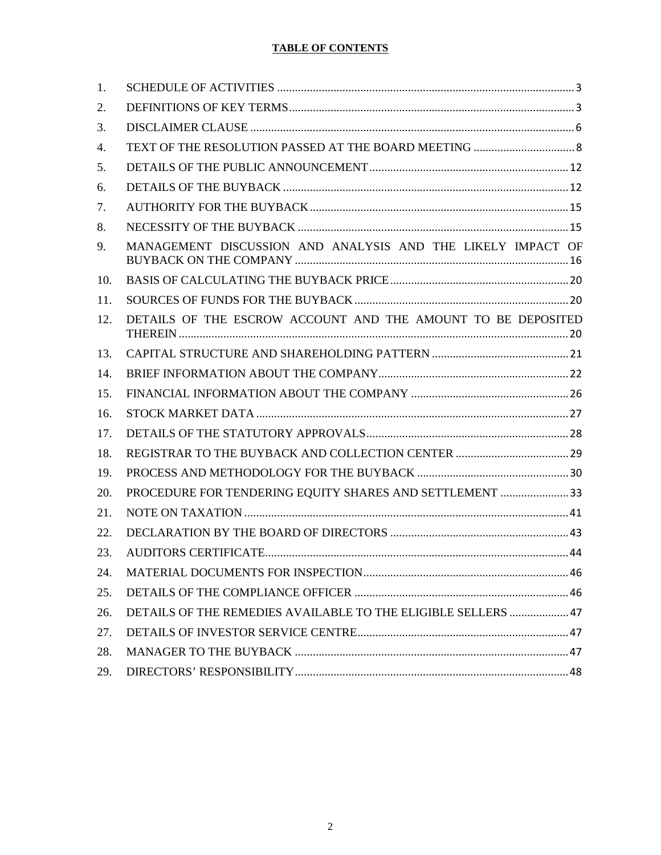# **TABLE OF CONTENTS**

| 1.  |                                                               |
|-----|---------------------------------------------------------------|
| 2.  |                                                               |
| 3.  |                                                               |
| 4.  |                                                               |
| 5.  |                                                               |
| 6.  |                                                               |
| 7.  |                                                               |
| 8.  |                                                               |
| 9.  | MANAGEMENT DISCUSSION AND ANALYSIS AND THE LIKELY IMPACT OF   |
| 10. |                                                               |
| 11. |                                                               |
| 12. | DETAILS OF THE ESCROW ACCOUNT AND THE AMOUNT TO BE DEPOSITED  |
| 13. |                                                               |
| 14. |                                                               |
| 15. |                                                               |
| 16. |                                                               |
| 17. |                                                               |
| 18. |                                                               |
| 19. |                                                               |
| 20. | PROCEDURE FOR TENDERING EQUITY SHARES AND SETTLEMENT 33       |
| 21. |                                                               |
| 22. |                                                               |
| 23. |                                                               |
| 24. |                                                               |
| 25. |                                                               |
| 26. | DETAILS OF THE REMEDIES AVAILABLE TO THE ELIGIBLE SELLERS  47 |
| 27. |                                                               |
| 28. |                                                               |
| 29. |                                                               |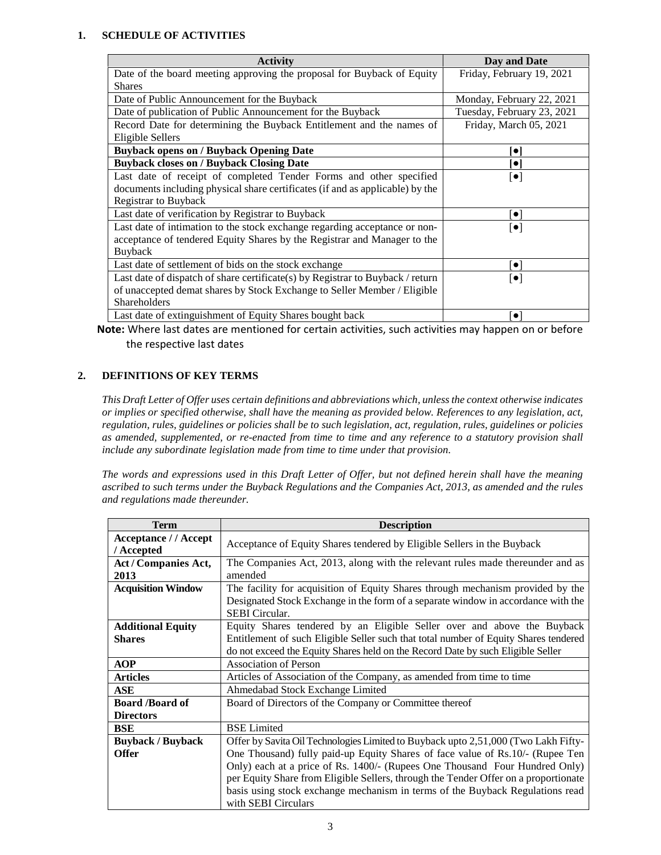# **1. SCHEDULE OF ACTIVITIES**

| <b>Activity</b>                                                                | Day and Date                       |  |
|--------------------------------------------------------------------------------|------------------------------------|--|
| Date of the board meeting approving the proposal for Buyback of Equity         | Friday, February 19, 2021          |  |
| <b>Shares</b>                                                                  |                                    |  |
| Date of Public Announcement for the Buyback                                    | Monday, February 22, 2021          |  |
| Date of publication of Public Announcement for the Buyback                     | Tuesday, February 23, 2021         |  |
| Record Date for determining the Buyback Entitlement and the names of           | Friday, March 05, 2021             |  |
| Eligible Sellers                                                               |                                    |  |
| <b>Buyback opens on / Buyback Opening Date</b>                                 | $\bullet$                          |  |
| <b>Buyback closes on / Buyback Closing Date</b>                                | $\bullet$                          |  |
| Last date of receipt of completed Tender Forms and other specified             | $\left[ \bullet \right]$           |  |
| documents including physical share certificates (if and as applicable) by the  |                                    |  |
| <b>Registrar to Buyback</b>                                                    |                                    |  |
| Last date of verification by Registrar to Buyback                              | $\left  \bullet \right $           |  |
| Last date of intimation to the stock exchange regarding acceptance or non-     | $[\bullet]$                        |  |
| acceptance of tendered Equity Shares by the Registrar and Manager to the       |                                    |  |
| Buyback                                                                        |                                    |  |
| Last date of settlement of bids on the stock exchange                          | $\bullet$ $\overline{\phantom{a}}$ |  |
| Last date of dispatch of share certificate(s) by Registrar to Buyback / return | $\lceil \bullet \rceil$            |  |
| of unaccepted demat shares by Stock Exchange to Seller Member / Eligible       |                                    |  |
| Shareholders                                                                   |                                    |  |
| Last date of extinguishment of Equity Shares bought back                       | $\left[ \bullet \right]$           |  |

**Note:** Where last dates are mentioned for certain activities, such activities may happen on or before the respective last dates

## **2. DEFINITIONS OF KEY TERMS**

*This Draft Letter of Offer uses certain definitions and abbreviations which, unless the context otherwise indicates or implies or specified otherwise, shall have the meaning as provided below. References to any legislation, act, regulation, rules, guidelines or policies shall be to such legislation, act, regulation, rules, guidelines or policies as amended, supplemented, or re-enacted from time to time and any reference to a statutory provision shall include any subordinate legislation made from time to time under that provision.*

*The words and expressions used in this Draft Letter of Offer, but not defined herein shall have the meaning ascribed to such terms under the Buyback Regulations and the Companies Act, 2013, as amended and the rules and regulations made thereunder.*

| <b>Term</b>                                | <b>Description</b>                                                                                                                                                                                                                                                                                                                                                                                                                                |  |  |
|--------------------------------------------|---------------------------------------------------------------------------------------------------------------------------------------------------------------------------------------------------------------------------------------------------------------------------------------------------------------------------------------------------------------------------------------------------------------------------------------------------|--|--|
| <b>Acceptance // Accept</b><br>/ Accepted  | Acceptance of Equity Shares tendered by Eligible Sellers in the Buyback                                                                                                                                                                                                                                                                                                                                                                           |  |  |
| Act / Companies Act,<br>2013               | The Companies Act, 2013, along with the relevant rules made thereunder and as<br>amended                                                                                                                                                                                                                                                                                                                                                          |  |  |
| <b>Acquisition Window</b>                  | The facility for acquisition of Equity Shares through mechanism provided by the<br>Designated Stock Exchange in the form of a separate window in accordance with the<br><b>SEBI</b> Circular.                                                                                                                                                                                                                                                     |  |  |
| <b>Additional Equity</b><br><b>Shares</b>  | Equity Shares tendered by an Eligible Seller over and above the Buyback<br>Entitlement of such Eligible Seller such that total number of Equity Shares tendered<br>do not exceed the Equity Shares held on the Record Date by such Eligible Seller                                                                                                                                                                                                |  |  |
| <b>AOP</b>                                 | Association of Person                                                                                                                                                                                                                                                                                                                                                                                                                             |  |  |
| <b>Articles</b>                            | Articles of Association of the Company, as amended from time to time                                                                                                                                                                                                                                                                                                                                                                              |  |  |
| ASE                                        | Ahmedabad Stock Exchange Limited                                                                                                                                                                                                                                                                                                                                                                                                                  |  |  |
| <b>Board /Board of</b><br><b>Directors</b> | Board of Directors of the Company or Committee thereof                                                                                                                                                                                                                                                                                                                                                                                            |  |  |
| BSE                                        | <b>BSE</b> Limited                                                                                                                                                                                                                                                                                                                                                                                                                                |  |  |
| <b>Buyback / Buyback</b><br><b>Offer</b>   | Offer by Savita Oil Technologies Limited to Buyback upto 2,51,000 (Two Lakh Fifty-<br>One Thousand) fully paid-up Equity Shares of face value of Rs.10/- (Rupee Ten<br>Only) each at a price of Rs. 1400/- (Rupees One Thousand Four Hundred Only)<br>per Equity Share from Eligible Sellers, through the Tender Offer on a proportionate<br>basis using stock exchange mechanism in terms of the Buyback Regulations read<br>with SEBI Circulars |  |  |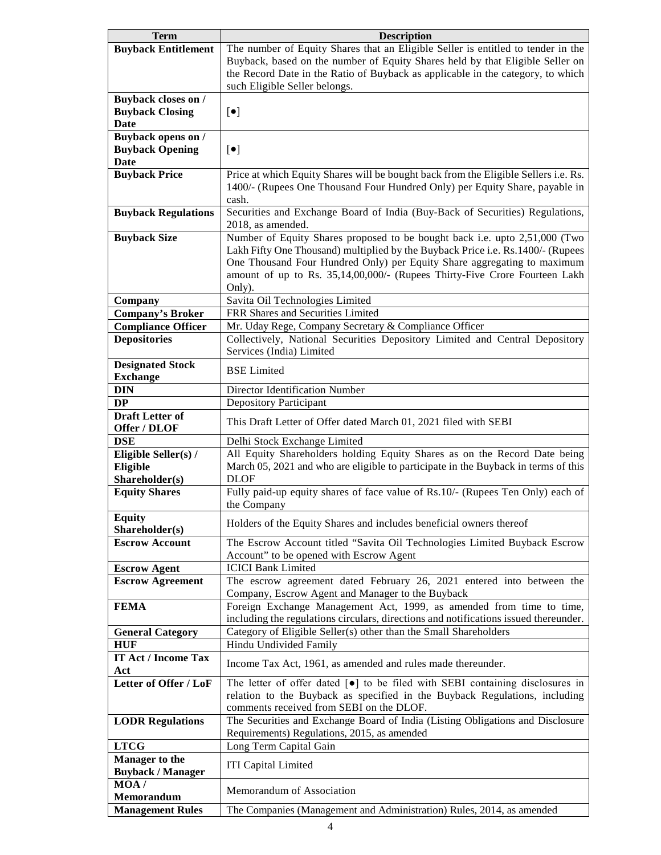| <b>Term</b>                | <b>Description</b>                                                                                |  |
|----------------------------|---------------------------------------------------------------------------------------------------|--|
| <b>Buyback Entitlement</b> | The number of Equity Shares that an Eligible Seller is entitled to tender in the                  |  |
|                            | Buyback, based on the number of Equity Shares held by that Eligible Seller on                     |  |
|                            | the Record Date in the Ratio of Buyback as applicable in the category, to which                   |  |
|                            | such Eligible Seller belongs.                                                                     |  |
| <b>Buyback closes on /</b> |                                                                                                   |  |
| <b>Buyback Closing</b>     | $[\bullet]$                                                                                       |  |
| <b>Date</b>                |                                                                                                   |  |
| <b>Buyback opens on /</b>  |                                                                                                   |  |
| <b>Buyback Opening</b>     | $[\bullet]$                                                                                       |  |
| <b>Date</b>                |                                                                                                   |  |
| <b>Buyback Price</b>       | Price at which Equity Shares will be bought back from the Eligible Sellers i.e. Rs.               |  |
|                            | 1400/- (Rupees One Thousand Four Hundred Only) per Equity Share, payable in                       |  |
|                            | cash.                                                                                             |  |
| <b>Buyback Regulations</b> | Securities and Exchange Board of India (Buy-Back of Securities) Regulations,                      |  |
|                            | 2018, as amended.                                                                                 |  |
| <b>Buyback Size</b>        | Number of Equity Shares proposed to be bought back i.e. upto 2,51,000 (Two                        |  |
|                            | Lakh Fifty One Thousand) multiplied by the Buyback Price i.e. Rs.1400/- (Rupees                   |  |
|                            | One Thousand Four Hundred Only) per Equity Share aggregating to maximum                           |  |
|                            | amount of up to Rs. 35,14,00,000/- (Rupees Thirty-Five Crore Fourteen Lakh                        |  |
|                            | Only).                                                                                            |  |
| Company                    | Savita Oil Technologies Limited                                                                   |  |
| <b>Company's Broker</b>    | FRR Shares and Securities Limited                                                                 |  |
| <b>Compliance Officer</b>  | Mr. Uday Rege, Company Secretary & Compliance Officer                                             |  |
| <b>Depositories</b>        | Collectively, National Securities Depository Limited and Central Depository                       |  |
|                            | Services (India) Limited                                                                          |  |
| <b>Designated Stock</b>    |                                                                                                   |  |
| <b>Exchange</b>            | <b>BSE</b> Limited                                                                                |  |
| <b>DIN</b>                 | Director Identification Number                                                                    |  |
| <b>DP</b>                  | <b>Depository Participant</b>                                                                     |  |
| <b>Draft Letter of</b>     |                                                                                                   |  |
| Offer / DLOF               | This Draft Letter of Offer dated March 01, 2021 filed with SEBI                                   |  |
| <b>DSE</b>                 | Delhi Stock Exchange Limited                                                                      |  |
| Eligible Seller(s) /       | All Equity Shareholders holding Equity Shares as on the Record Date being                         |  |
| Eligible                   | March 05, 2021 and who are eligible to participate in the Buyback in terms of this                |  |
| Shareholder(s)             | <b>DLOF</b>                                                                                       |  |
| <b>Equity Shares</b>       | Fully paid-up equity shares of face value of Rs.10/- (Rupees Ten Only) each of                    |  |
|                            | the Company                                                                                       |  |
| <b>Equity</b>              |                                                                                                   |  |
| Shareholder(s)             | Holders of the Equity Shares and includes beneficial owners thereof                               |  |
| <b>Escrow Account</b>      | The Escrow Account titled "Savita Oil Technologies Limited Buyback Escrow                         |  |
|                            | Account" to be opened with Escrow Agent                                                           |  |
| <b>Escrow Agent</b>        | <b>ICICI Bank Limited</b>                                                                         |  |
| <b>Escrow Agreement</b>    | The escrow agreement dated February 26, 2021 entered into between the                             |  |
|                            | Company, Escrow Agent and Manager to the Buyback                                                  |  |
| <b>FEMA</b>                | Foreign Exchange Management Act, 1999, as amended from time to time,                              |  |
|                            | including the regulations circulars, directions and notifications issued thereunder.              |  |
| <b>General Category</b>    | Category of Eligible Seller(s) other than the Small Shareholders                                  |  |
| <b>HUF</b>                 | Hindu Undivided Family                                                                            |  |
| <b>IT Act / Income Tax</b> |                                                                                                   |  |
| Act                        | Income Tax Act, 1961, as amended and rules made thereunder.                                       |  |
| Letter of Offer / LoF      | The letter of offer dated $\lceil \bullet \rceil$ to be filed with SEBI containing disclosures in |  |
|                            | relation to the Buyback as specified in the Buyback Regulations, including                        |  |
|                            | comments received from SEBI on the DLOF.                                                          |  |
| <b>LODR Regulations</b>    | The Securities and Exchange Board of India (Listing Obligations and Disclosure                    |  |
|                            | Requirements) Regulations, 2015, as amended                                                       |  |
| <b>LTCG</b>                | Long Term Capital Gain                                                                            |  |
| <b>Manager to the</b>      |                                                                                                   |  |
| <b>Buyback / Manager</b>   | <b>ITI Capital Limited</b>                                                                        |  |
| MOA/                       |                                                                                                   |  |
| Memorandum                 | Memorandum of Association                                                                         |  |
|                            | The Companies (Management and Administration) Rules, 2014, as amended                             |  |
| <b>Management Rules</b>    |                                                                                                   |  |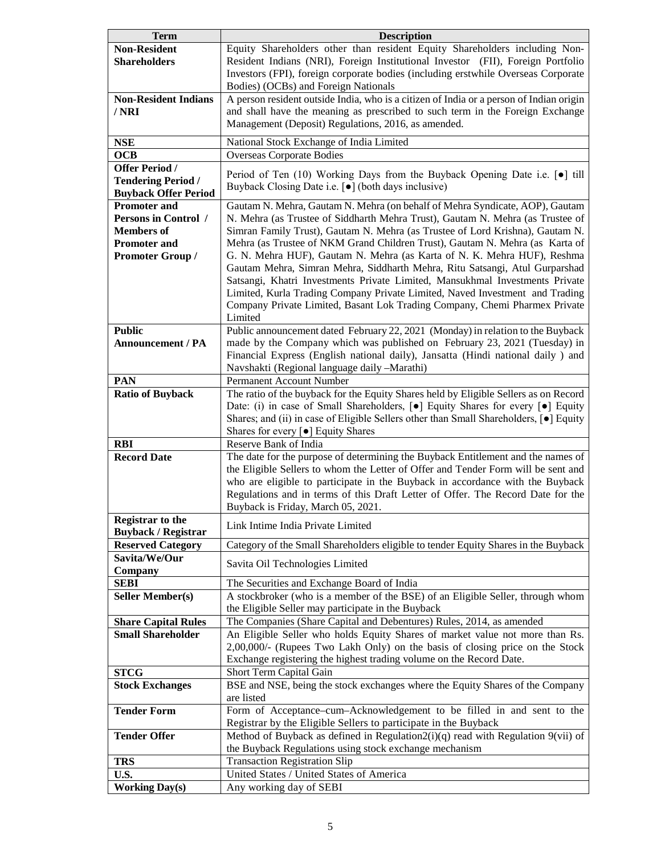| <b>Term</b>                 | <b>Description</b>                                                                                  |  |  |
|-----------------------------|-----------------------------------------------------------------------------------------------------|--|--|
| <b>Non-Resident</b>         | Equity Shareholders other than resident Equity Shareholders including Non-                          |  |  |
| <b>Shareholders</b>         | Resident Indians (NRI), Foreign Institutional Investor (FII), Foreign Portfolio                     |  |  |
|                             | Investors (FPI), foreign corporate bodies (including erstwhile Overseas Corporate                   |  |  |
|                             | Bodies) (OCBs) and Foreign Nationals                                                                |  |  |
| <b>Non-Resident Indians</b> | A person resident outside India, who is a citizen of India or a person of Indian origin             |  |  |
| / NRI                       | and shall have the meaning as prescribed to such term in the Foreign Exchange                       |  |  |
|                             | Management (Deposit) Regulations, 2016, as amended.                                                 |  |  |
| <b>NSE</b>                  | National Stock Exchange of India Limited                                                            |  |  |
| <b>OCB</b>                  | <b>Overseas Corporate Bodies</b>                                                                    |  |  |
| <b>Offer Period /</b>       |                                                                                                     |  |  |
| <b>Tendering Period /</b>   | Period of Ten (10) Working Days from the Buyback Opening Date i.e. [.] till                         |  |  |
| <b>Buyback Offer Period</b> | Buyback Closing Date i.e. [ $\bullet$ ] (both days inclusive)                                       |  |  |
| <b>Promoter and</b>         | Gautam N. Mehra, Gautam N. Mehra (on behalf of Mehra Syndicate, AOP), Gautam                        |  |  |
| Persons in Control /        | N. Mehra (as Trustee of Siddharth Mehra Trust), Gautam N. Mehra (as Trustee of                      |  |  |
| <b>Members</b> of           | Simran Family Trust), Gautam N. Mehra (as Trustee of Lord Krishna), Gautam N.                       |  |  |
| <b>Promoter and</b>         | Mehra (as Trustee of NKM Grand Children Trust), Gautam N. Mehra (as Karta of                        |  |  |
| Promoter Group /            | G. N. Mehra HUF), Gautam N. Mehra (as Karta of N. K. Mehra HUF), Reshma                             |  |  |
|                             | Gautam Mehra, Simran Mehra, Siddharth Mehra, Ritu Satsangi, Atul Gurparshad                         |  |  |
|                             | Satsangi, Khatri Investments Private Limited, Mansukhmal Investments Private                        |  |  |
|                             | Limited, Kurla Trading Company Private Limited, Naved Investment and Trading                        |  |  |
|                             | Company Private Limited, Basant Lok Trading Company, Chemi Pharmex Private                          |  |  |
|                             | Limited                                                                                             |  |  |
| <b>Public</b>               | Public announcement dated February 22, 2021 (Monday) in relation to the Buyback                     |  |  |
| <b>Announcement / PA</b>    | made by the Company which was published on February 23, 2021 (Tuesday) in                           |  |  |
|                             | Financial Express (English national daily), Jansatta (Hindi national daily ) and                    |  |  |
|                             | Navshakti (Regional language daily -Marathi)                                                        |  |  |
| <b>PAN</b>                  | Permanent Account Number                                                                            |  |  |
| <b>Ratio of Buyback</b>     | The ratio of the buyback for the Equity Shares held by Eligible Sellers as on Record                |  |  |
|                             | Date: (i) in case of Small Shareholders, [ $\bullet$ ] Equity Shares for every [ $\bullet$ ] Equity |  |  |
|                             | Shares; and (ii) in case of Eligible Sellers other than Small Shareholders, [ $\bullet$ ] Equity    |  |  |
|                             | Shares for every [ $\bullet$ ] Equity Shares                                                        |  |  |
| <b>RBI</b>                  | Reserve Bank of India                                                                               |  |  |
| <b>Record Date</b>          | The date for the purpose of determining the Buyback Entitlement and the names of                    |  |  |
|                             | the Eligible Sellers to whom the Letter of Offer and Tender Form will be sent and                   |  |  |
|                             | who are eligible to participate in the Buyback in accordance with the Buyback                       |  |  |
|                             | Regulations and in terms of this Draft Letter of Offer. The Record Date for the                     |  |  |
|                             | Buyback is Friday, March 05, 2021.                                                                  |  |  |
| <b>Registrar to the</b>     |                                                                                                     |  |  |
| <b>Buyback / Registrar</b>  | Link Intime India Private Limited                                                                   |  |  |
| <b>Reserved Category</b>    | Category of the Small Shareholders eligible to tender Equity Shares in the Buyback                  |  |  |
| Savita/We/Our               |                                                                                                     |  |  |
| Company                     | Savita Oil Technologies Limited                                                                     |  |  |
| <b>SEBI</b>                 | The Securities and Exchange Board of India                                                          |  |  |
| <b>Seller Member(s)</b>     | A stockbroker (who is a member of the BSE) of an Eligible Seller, through whom                      |  |  |
|                             | the Eligible Seller may participate in the Buyback                                                  |  |  |
| <b>Share Capital Rules</b>  | The Companies (Share Capital and Debentures) Rules, 2014, as amended                                |  |  |
| <b>Small Shareholder</b>    | An Eligible Seller who holds Equity Shares of market value not more than Rs.                        |  |  |
|                             | 2,00,000/- (Rupees Two Lakh Only) on the basis of closing price on the Stock                        |  |  |
|                             | Exchange registering the highest trading volume on the Record Date.                                 |  |  |
| <b>STCG</b>                 | Short Term Capital Gain                                                                             |  |  |
| <b>Stock Exchanges</b>      | BSE and NSE, being the stock exchanges where the Equity Shares of the Company                       |  |  |
|                             | are listed                                                                                          |  |  |
| <b>Tender Form</b>          | Form of Acceptance-cum-Acknowledgement to be filled in and sent to the                              |  |  |
|                             | Registrar by the Eligible Sellers to participate in the Buyback                                     |  |  |
| <b>Tender Offer</b>         | Method of Buyback as defined in Regulation $2(i)(q)$ read with Regulation $9(vii)$ of               |  |  |
|                             | the Buyback Regulations using stock exchange mechanism                                              |  |  |
| <b>TRS</b>                  | <b>Transaction Registration Slip</b>                                                                |  |  |
| U.S.                        | United States / United States of America                                                            |  |  |
| <b>Working Day(s)</b>       | Any working day of SEBI                                                                             |  |  |
|                             |                                                                                                     |  |  |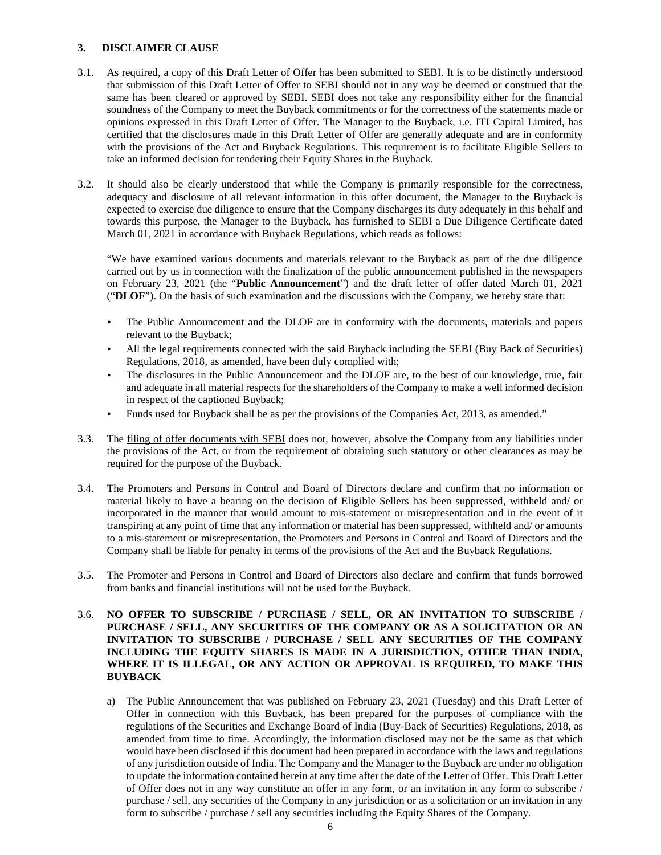## **3. DISCLAIMER CLAUSE**

- 3.1. As required, a copy of this Draft Letter of Offer has been submitted to SEBI. It is to be distinctly understood that submission of this Draft Letter of Offer to SEBI should not in any way be deemed or construed that the same has been cleared or approved by SEBI. SEBI does not take any responsibility either for the financial soundness of the Company to meet the Buyback commitments or for the correctness of the statements made or opinions expressed in this Draft Letter of Offer. The Manager to the Buyback, i.e. ITI Capital Limited, has certified that the disclosures made in this Draft Letter of Offer are generally adequate and are in conformity with the provisions of the Act and Buyback Regulations. This requirement is to facilitate Eligible Sellers to take an informed decision for tendering their Equity Shares in the Buyback.
- 3.2. It should also be clearly understood that while the Company is primarily responsible for the correctness, adequacy and disclosure of all relevant information in this offer document, the Manager to the Buyback is expected to exercise due diligence to ensure that the Company discharges its duty adequately in this behalf and towards this purpose, the Manager to the Buyback, has furnished to SEBI a Due Diligence Certificate dated March 01, 2021 in accordance with Buyback Regulations, which reads as follows:

"We have examined various documents and materials relevant to the Buyback as part of the due diligence carried out by us in connection with the finalization of the public announcement published in the newspapers on February 23, 2021 (the "**Public Announcement**") and the draft letter of offer dated March 01, 2021 ("**DLOF**"). On the basis of such examination and the discussions with the Company, we hereby state that:

- The Public Announcement and the DLOF are in conformity with the documents, materials and papers relevant to the Buyback;
- All the legal requirements connected with the said Buyback including the SEBI (Buy Back of Securities) Regulations, 2018, as amended, have been duly complied with;
- The disclosures in the Public Announcement and the DLOF are, to the best of our knowledge, true, fair and adequate in all material respects for the shareholders of the Company to make a well informed decision in respect of the captioned Buyback;
- Funds used for Buyback shall be as per the provisions of the Companies Act, 2013, as amended."
- 3.3. The filing of offer documents with SEBI does not, however, absolve the Company from any liabilities under the provisions of the Act, or from the requirement of obtaining such statutory or other clearances as may be required for the purpose of the Buyback.
- 3.4. The Promoters and Persons in Control and Board of Directors declare and confirm that no information or material likely to have a bearing on the decision of Eligible Sellers has been suppressed, withheld and/ or incorporated in the manner that would amount to mis-statement or misrepresentation and in the event of it transpiring at any point of time that any information or material has been suppressed, withheld and/ or amounts to a mis-statement or misrepresentation, the Promoters and Persons in Control and Board of Directors and the Company shall be liable for penalty in terms of the provisions of the Act and the Buyback Regulations.
- 3.5. The Promoter and Persons in Control and Board of Directors also declare and confirm that funds borrowed from banks and financial institutions will not be used for the Buyback.

## 3.6. **NO OFFER TO SUBSCRIBE / PURCHASE / SELL, OR AN INVITATION TO SUBSCRIBE / PURCHASE / SELL, ANY SECURITIES OF THE COMPANY OR AS A SOLICITATION OR AN INVITATION TO SUBSCRIBE / PURCHASE / SELL ANY SECURITIES OF THE COMPANY INCLUDING THE EQUITY SHARES IS MADE IN A JURISDICTION, OTHER THAN INDIA, WHERE IT IS ILLEGAL, OR ANY ACTION OR APPROVAL IS REQUIRED, TO MAKE THIS BUYBACK**

a) The Public Announcement that was published on February 23, 2021 (Tuesday) and this Draft Letter of Offer in connection with this Buyback, has been prepared for the purposes of compliance with the regulations of the Securities and Exchange Board of India (Buy-Back of Securities) Regulations, 2018, as amended from time to time. Accordingly, the information disclosed may not be the same as that which would have been disclosed if this document had been prepared in accordance with the laws and regulations of any jurisdiction outside of India. The Company and the Manager to the Buyback are under no obligation to update the information contained herein at any time after the date of the Letter of Offer. This Draft Letter of Offer does not in any way constitute an offer in any form, or an invitation in any form to subscribe / purchase / sell, any securities of the Company in any jurisdiction or as a solicitation or an invitation in any form to subscribe / purchase / sell any securities including the Equity Shares of the Company.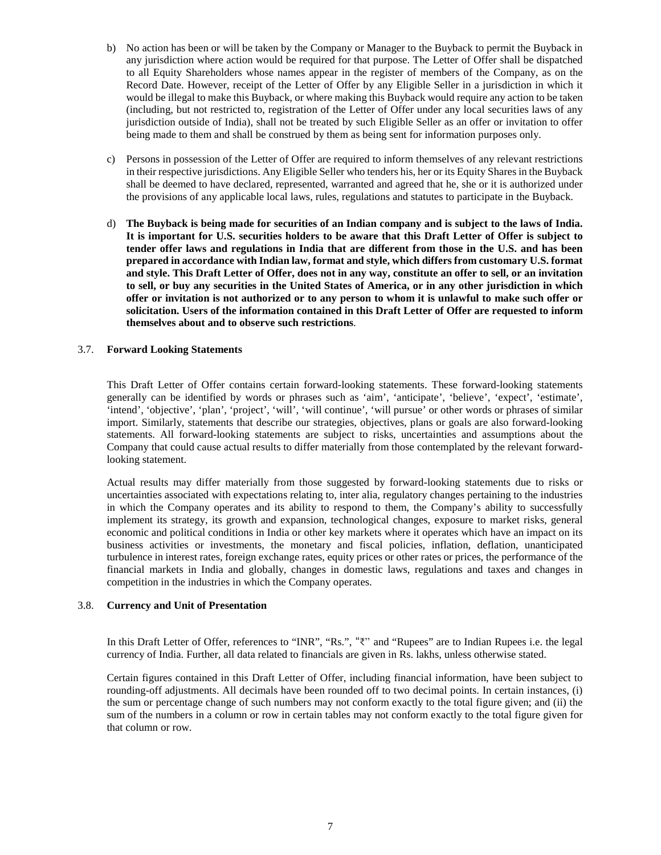- b) No action has been or will be taken by the Company or Manager to the Buyback to permit the Buyback in any jurisdiction where action would be required for that purpose. The Letter of Offer shall be dispatched to all Equity Shareholders whose names appear in the register of members of the Company, as on the Record Date. However, receipt of the Letter of Offer by any Eligible Seller in a jurisdiction in which it would be illegal to make this Buyback, or where making this Buyback would require any action to be taken (including, but not restricted to, registration of the Letter of Offer under any local securities laws of any jurisdiction outside of India), shall not be treated by such Eligible Seller as an offer or invitation to offer being made to them and shall be construed by them as being sent for information purposes only.
- c) Persons in possession of the Letter of Offer are required to inform themselves of any relevant restrictions in their respective jurisdictions. Any Eligible Seller who tenders his, her or its Equity Shares in the Buyback shall be deemed to have declared, represented, warranted and agreed that he, she or it is authorized under the provisions of any applicable local laws, rules, regulations and statutes to participate in the Buyback.
- d) **The Buyback is being made for securities of an Indian company and is subject to the laws of India. It is important for U.S. securities holders to be aware that this Draft Letter of Offer is subject to tender offer laws and regulations in India that are different from those in the U.S. and has been prepared in accordance with Indian law, format and style, which differs from customary U.S. format and style. This Draft Letter of Offer, does not in any way, constitute an offer to sell, or an invitation to sell, or buy any securities in the United States of America, or in any other jurisdiction in which offer or invitation is not authorized or to any person to whom it is unlawful to make such offer or solicitation. Users of the information contained in this Draft Letter of Offer are requested to inform themselves about and to observe such restrictions**.

#### 3.7. **Forward Looking Statements**

This Draft Letter of Offer contains certain forward-looking statements. These forward-looking statements generally can be identified by words or phrases such as 'aim', 'anticipate', 'believe', 'expect', 'estimate', 'intend', 'objective', 'plan', 'project', 'will', 'will continue', 'will pursue' or other words or phrases of similar import. Similarly, statements that describe our strategies, objectives, plans or goals are also forward-looking statements. All forward-looking statements are subject to risks, uncertainties and assumptions about the Company that could cause actual results to differ materially from those contemplated by the relevant forwardlooking statement.

Actual results may differ materially from those suggested by forward-looking statements due to risks or uncertainties associated with expectations relating to, inter alia, regulatory changes pertaining to the industries in which the Company operates and its ability to respond to them, the Company's ability to successfully implement its strategy, its growth and expansion, technological changes, exposure to market risks, general economic and political conditions in India or other key markets where it operates which have an impact on its business activities or investments, the monetary and fiscal policies, inflation, deflation, unanticipated turbulence in interest rates, foreign exchange rates, equity prices or other rates or prices, the performance of the financial markets in India and globally, changes in domestic laws, regulations and taxes and changes in competition in the industries in which the Company operates.

## 3.8. **Currency and Unit of Presentation**

In this Draft Letter of Offer, references to "INR", "Rs.", "₹" and "Rupees" are to Indian Rupees i.e. the legal currency of India. Further, all data related to financials are given in Rs. lakhs, unless otherwise stated.

Certain figures contained in this Draft Letter of Offer, including financial information, have been subject to rounding-off adjustments. All decimals have been rounded off to two decimal points. In certain instances, (i) the sum or percentage change of such numbers may not conform exactly to the total figure given; and (ii) the sum of the numbers in a column or row in certain tables may not conform exactly to the total figure given for that column or row.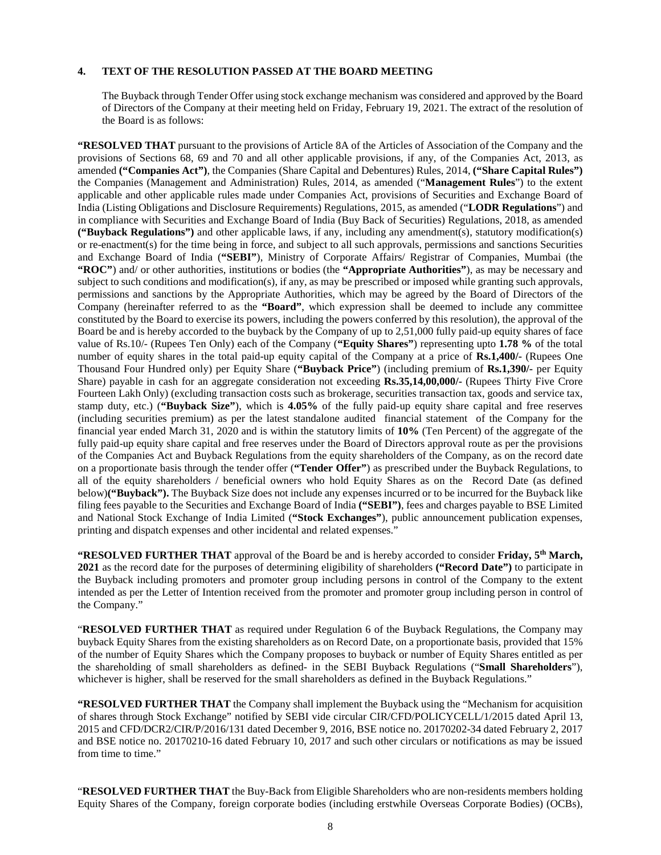#### **4. TEXT OF THE RESOLUTION PASSED AT THE BOARD MEETING**

The Buyback through Tender Offer using stock exchange mechanism was considered and approved by the Board of Directors of the Company at their meeting held on Friday, February 19, 2021. The extract of the resolution of the Board is as follows:

**"RESOLVED THAT** pursuant to the provisions of Article 8A of the Articles of Association of the Company and the provisions of Sections 68, 69 and 70 and all other applicable provisions, if any, of the Companies Act, 2013, as amended **("Companies Act")**, the Companies (Share Capital and Debentures) Rules, 2014, **("Share Capital Rules")** the Companies (Management and Administration) Rules, 2014, as amended ("**Management Rules**") to the extent applicable and other applicable rules made under Companies Act, provisions of Securities and Exchange Board of India (Listing Obligations and Disclosure Requirements) Regulations, 2015, as amended ("**LODR Regulations**") and in compliance with Securities and Exchange Board of India (Buy Back of Securities) Regulations, 2018, as amended **("Buyback Regulations")** and other applicable laws, if any, including any amendment(s), statutory modification(s) or re-enactment(s) for the time being in force, and subject to all such approvals, permissions and sanctions Securities and Exchange Board of India (**"SEBI"**), Ministry of Corporate Affairs/ Registrar of Companies, Mumbai (the **"ROC"**) and/ or other authorities, institutions or bodies (the **"Appropriate Authorities"**), as may be necessary and subject to such conditions and modification(s), if any, as may be prescribed or imposed while granting such approvals, permissions and sanctions by the Appropriate Authorities, which may be agreed by the Board of Directors of the Company (hereinafter referred to as the **"Board"**, which expression shall be deemed to include any committee constituted by the Board to exercise its powers, including the powers conferred by this resolution), the approval of the Board be and is hereby accorded to the buyback by the Company of up to 2,51,000 fully paid-up equity shares of face value of Rs.10/- (Rupees Ten Only) each of the Company (**"Equity Shares"**) representing upto **1.78 %** of the total number of equity shares in the total paid-up equity capital of the Company at a price of **Rs.1,400/-** (Rupees One Thousand Four Hundred only) per Equity Share (**"Buyback Price"**) (including premium of **Rs.1,390/-** per Equity Share) payable in cash for an aggregate consideration not exceeding **Rs.35,14,00,000/-** (Rupees Thirty Five Crore Fourteen Lakh Only) (excluding transaction costs such as brokerage, securities transaction tax, goods and service tax, stamp duty, etc.) (**"Buyback Size"**), which is **4.05%** of the fully paid-up equity share capital and free reserves (including securities premium) as per the latest standalone audited financial statement of the Company for the financial year ended March 31, 2020 and is within the statutory limits of **10%** (Ten Percent) of the aggregate of the fully paid-up equity share capital and free reserves under the Board of Directors approval route as per the provisions of the Companies Act and Buyback Regulations from the equity shareholders of the Company, as on the record date on a proportionate basis through the tender offer (**"Tender Offer"**) as prescribed under the Buyback Regulations, to all of the equity shareholders / beneficial owners who hold Equity Shares as on the Record Date (as defined below)**("Buyback").** The Buyback Size does not include any expenses incurred or to be incurred for the Buyback like filing fees payable to the Securities and Exchange Board of India **("SEBI")**, fees and charges payable to BSE Limited and National Stock Exchange of India Limited (**"Stock Exchanges"**), public announcement publication expenses, printing and dispatch expenses and other incidental and related expenses."

**"RESOLVED FURTHER THAT** approval of the Board be and is hereby accorded to consider **Friday, 5th March, 2021** as the record date for the purposes of determining eligibility of shareholders **("Record Date")** to participate in the Buyback including promoters and promoter group including persons in control of the Company to the extent intended as per the Letter of Intention received from the promoter and promoter group including person in control of the Company."

"**RESOLVED FURTHER THAT** as required under Regulation 6 of the Buyback Regulations, the Company may buyback Equity Shares from the existing shareholders as on Record Date, on a proportionate basis, provided that 15% of the number of Equity Shares which the Company proposes to buyback or number of Equity Shares entitled as per the shareholding of small shareholders as defined- in the SEBI Buyback Regulations ("**Small Shareholders**"), whichever is higher, shall be reserved for the small shareholders as defined in the Buyback Regulations."

**"RESOLVED FURTHER THAT** the Company shall implement the Buyback using the "Mechanism for acquisition of shares through Stock Exchange" notified by SEBI vide circular CIR/CFD/POLICYCELL/1/2015 dated April 13, 2015 and CFD/DCR2/CIR/P/2016/131 dated December 9, 2016, BSE notice no. 20170202-34 dated February 2, 2017 and BSE notice no. 20170210-16 dated February 10, 2017 and such other circulars or notifications as may be issued from time to time."

"**RESOLVED FURTHER THAT** the Buy-Back from Eligible Shareholders who are non-residents members holding Equity Shares of the Company, foreign corporate bodies (including erstwhile Overseas Corporate Bodies) (OCBs),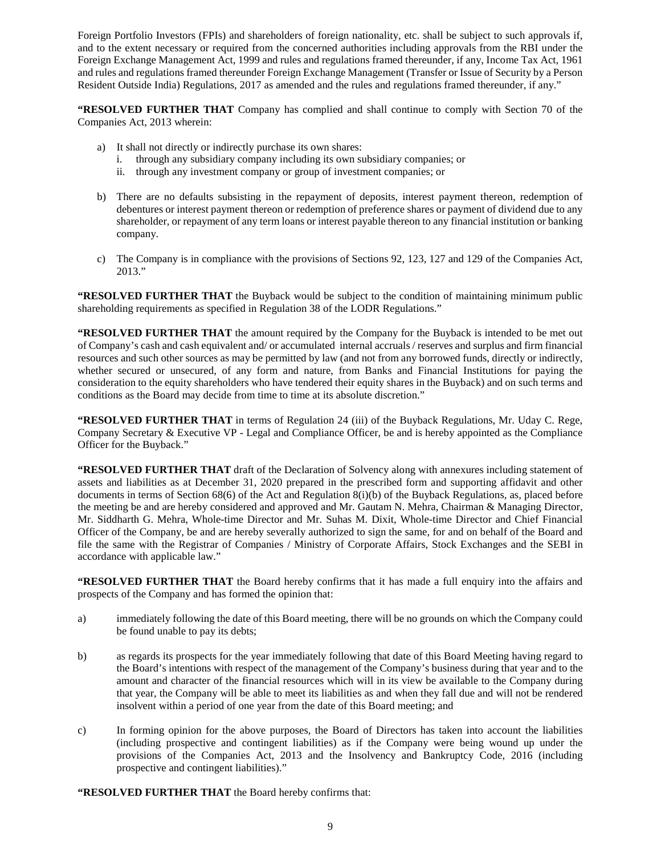Foreign Portfolio Investors (FPIs) and shareholders of foreign nationality, etc. shall be subject to such approvals if, and to the extent necessary or required from the concerned authorities including approvals from the RBI under the Foreign Exchange Management Act, 1999 and rules and regulations framed thereunder, if any, Income Tax Act, 1961 and rules and regulations framed thereunder Foreign Exchange Management (Transfer or Issue of Security by a Person Resident Outside India) Regulations, 2017 as amended and the rules and regulations framed thereunder, if any."

**"RESOLVED FURTHER THAT** Company has complied and shall continue to comply with Section 70 of the Companies Act, 2013 wherein:

- a) It shall not directly or indirectly purchase its own shares:
	- i. through any subsidiary company including its own subsidiary companies; or
	- ii. through any investment company or group of investment companies; or
- b) There are no defaults subsisting in the repayment of deposits, interest payment thereon, redemption of debentures or interest payment thereon or redemption of preference shares or payment of dividend due to any shareholder, or repayment of any term loans or interest payable thereon to any financial institution or banking company.
- c) The Company is in compliance with the provisions of Sections 92, 123, 127 and 129 of the Companies Act, 2013."

**"RESOLVED FURTHER THAT** the Buyback would be subject to the condition of maintaining minimum public shareholding requirements as specified in Regulation 38 of the LODR Regulations."

**"RESOLVED FURTHER THAT** the amount required by the Company for the Buyback is intended to be met out of Company's cash and cash equivalent and/ or accumulated internal accruals / reserves and surplus and firm financial resources and such other sources as may be permitted by law (and not from any borrowed funds, directly or indirectly, whether secured or unsecured, of any form and nature, from Banks and Financial Institutions for paying the consideration to the equity shareholders who have tendered their equity shares in the Buyback) and on such terms and conditions as the Board may decide from time to time at its absolute discretion."

**"RESOLVED FURTHER THAT** in terms of Regulation 24 (iii) of the Buyback Regulations, Mr. Uday C. Rege, Company Secretary & Executive VP - Legal and Compliance Officer, be and is hereby appointed as the Compliance Officer for the Buyback."

**"RESOLVED FURTHER THAT** draft of the Declaration of Solvency along with annexures including statement of assets and liabilities as at December 31, 2020 prepared in the prescribed form and supporting affidavit and other documents in terms of Section 68(6) of the Act and Regulation 8(i)(b) of the Buyback Regulations, as, placed before the meeting be and are hereby considered and approved and Mr. Gautam N. Mehra, Chairman & Managing Director, Mr. Siddharth G. Mehra, Whole-time Director and Mr. Suhas M. Dixit, Whole-time Director and Chief Financial Officer of the Company, be and are hereby severally authorized to sign the same, for and on behalf of the Board and file the same with the Registrar of Companies / Ministry of Corporate Affairs, Stock Exchanges and the SEBI in accordance with applicable law."

**"RESOLVED FURTHER THAT** the Board hereby confirms that it has made a full enquiry into the affairs and prospects of the Company and has formed the opinion that:

- a) immediately following the date of this Board meeting, there will be no grounds on which the Company could be found unable to pay its debts;
- b) as regards its prospects for the year immediately following that date of this Board Meeting having regard to the Board's intentions with respect of the management of the Company's business during that year and to the amount and character of the financial resources which will in its view be available to the Company during that year, the Company will be able to meet its liabilities as and when they fall due and will not be rendered insolvent within a period of one year from the date of this Board meeting; and
- c) In forming opinion for the above purposes, the Board of Directors has taken into account the liabilities (including prospective and contingent liabilities) as if the Company were being wound up under the provisions of the Companies Act, 2013 and the Insolvency and Bankruptcy Code, 2016 (including prospective and contingent liabilities)."
- **"RESOLVED FURTHER THAT** the Board hereby confirms that: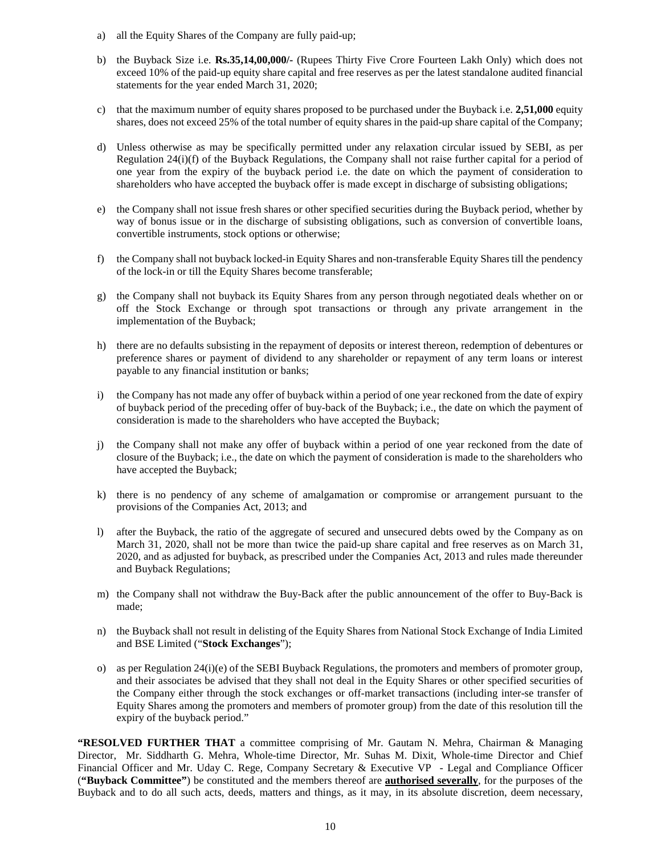- a) all the Equity Shares of the Company are fully paid-up;
- b) the Buyback Size i.e. **Rs.35,14,00,000/-** (Rupees Thirty Five Crore Fourteen Lakh Only) which does not exceed 10% of the paid-up equity share capital and free reserves as per the latest standalone audited financial statements for the year ended March 31, 2020;
- c) that the maximum number of equity shares proposed to be purchased under the Buyback i.e. **2,51,000** equity shares, does not exceed 25% of the total number of equity shares in the paid-up share capital of the Company;
- d) Unless otherwise as may be specifically permitted under any relaxation circular issued by SEBI, as per Regulation 24(i)(f) of the Buyback Regulations, the Company shall not raise further capital for a period of one year from the expiry of the buyback period i.e. the date on which the payment of consideration to shareholders who have accepted the buyback offer is made except in discharge of subsisting obligations;
- e) the Company shall not issue fresh shares or other specified securities during the Buyback period, whether by way of bonus issue or in the discharge of subsisting obligations, such as conversion of convertible loans, convertible instruments, stock options or otherwise;
- f) the Company shall not buyback locked-in Equity Shares and non-transferable Equity Shares till the pendency of the lock-in or till the Equity Shares become transferable;
- g) the Company shall not buyback its Equity Shares from any person through negotiated deals whether on or off the Stock Exchange or through spot transactions or through any private arrangement in the implementation of the Buyback;
- h) there are no defaults subsisting in the repayment of deposits or interest thereon, redemption of debentures or preference shares or payment of dividend to any shareholder or repayment of any term loans or interest payable to any financial institution or banks;
- i) the Company has not made any offer of buyback within a period of one year reckoned from the date of expiry of buyback period of the preceding offer of buy-back of the Buyback; i.e., the date on which the payment of consideration is made to the shareholders who have accepted the Buyback;
- j) the Company shall not make any offer of buyback within a period of one year reckoned from the date of closure of the Buyback; i.e., the date on which the payment of consideration is made to the shareholders who have accepted the Buyback;
- k) there is no pendency of any scheme of amalgamation or compromise or arrangement pursuant to the provisions of the Companies Act, 2013; and
- l) after the Buyback, the ratio of the aggregate of secured and unsecured debts owed by the Company as on March 31, 2020, shall not be more than twice the paid-up share capital and free reserves as on March 31, 2020, and as adjusted for buyback, as prescribed under the Companies Act, 2013 and rules made thereunder and Buyback Regulations;
- m) the Company shall not withdraw the Buy-Back after the public announcement of the offer to Buy-Back is made;
- n) the Buyback shall not result in delisting of the Equity Shares from National Stock Exchange of India Limited and BSE Limited ("**Stock Exchanges**");
- o) as per Regulation 24(i)(e) of the SEBI Buyback Regulations, the promoters and members of promoter group, and their associates be advised that they shall not deal in the Equity Shares or other specified securities of the Company either through the stock exchanges or off-market transactions (including inter-se transfer of Equity Shares among the promoters and members of promoter group) from the date of this resolution till the expiry of the buyback period."

**"RESOLVED FURTHER THAT** a committee comprising of Mr. Gautam N. Mehra, Chairman & Managing Director, Mr. Siddharth G. Mehra, Whole-time Director, Mr. Suhas M. Dixit, Whole-time Director and Chief Financial Officer and Mr. Uday C. Rege, Company Secretary & Executive VP - Legal and Compliance Officer (**"Buyback Committee"**) be constituted and the members thereof are **authorised severally**, for the purposes of the Buyback and to do all such acts, deeds, matters and things, as it may, in its absolute discretion, deem necessary,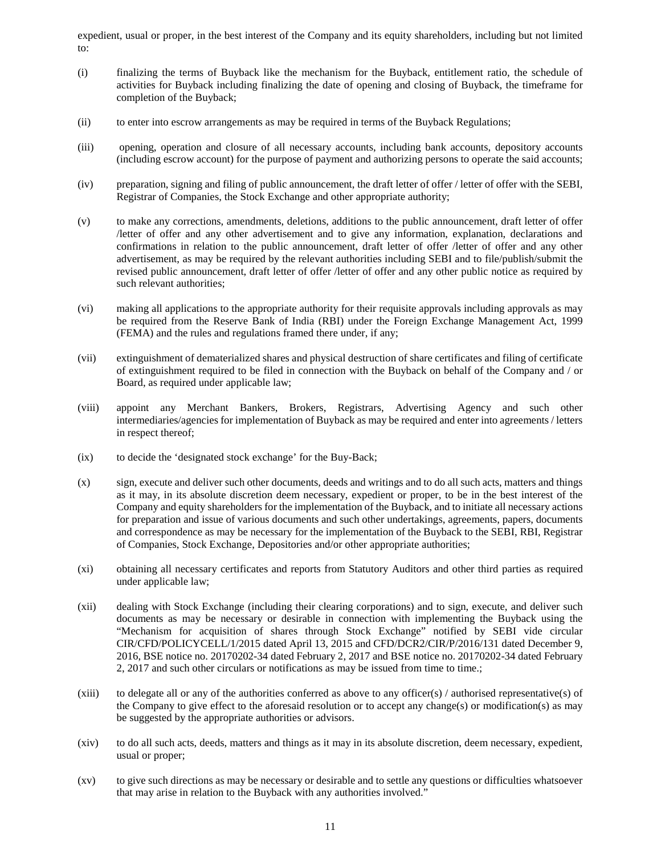expedient, usual or proper, in the best interest of the Company and its equity shareholders, including but not limited to:

- (i) finalizing the terms of Buyback like the mechanism for the Buyback, entitlement ratio, the schedule of activities for Buyback including finalizing the date of opening and closing of Buyback, the timeframe for completion of the Buyback;
- (ii) to enter into escrow arrangements as may be required in terms of the Buyback Regulations;
- (iii) opening, operation and closure of all necessary accounts, including bank accounts, depository accounts (including escrow account) for the purpose of payment and authorizing persons to operate the said accounts;
- (iv) preparation, signing and filing of public announcement, the draft letter of offer / letter of offer with the SEBI, Registrar of Companies, the Stock Exchange and other appropriate authority;
- (v) to make any corrections, amendments, deletions, additions to the public announcement, draft letter of offer /letter of offer and any other advertisement and to give any information, explanation, declarations and confirmations in relation to the public announcement, draft letter of offer /letter of offer and any other advertisement, as may be required by the relevant authorities including SEBI and to file/publish/submit the revised public announcement, draft letter of offer /letter of offer and any other public notice as required by such relevant authorities;
- (vi) making all applications to the appropriate authority for their requisite approvals including approvals as may be required from the Reserve Bank of India (RBI) under the Foreign Exchange Management Act, 1999 (FEMA) and the rules and regulations framed there under, if any;
- (vii) extinguishment of dematerialized shares and physical destruction of share certificates and filing of certificate of extinguishment required to be filed in connection with the Buyback on behalf of the Company and / or Board, as required under applicable law;
- (viii) appoint any Merchant Bankers, Brokers, Registrars, Advertising Agency and such other intermediaries/agencies for implementation of Buyback as may be required and enter into agreements / letters in respect thereof;
- (ix) to decide the 'designated stock exchange' for the Buy-Back;
- (x) sign, execute and deliver such other documents, deeds and writings and to do all such acts, matters and things as it may, in its absolute discretion deem necessary, expedient or proper, to be in the best interest of the Company and equity shareholders for the implementation of the Buyback, and to initiate all necessary actions for preparation and issue of various documents and such other undertakings, agreements, papers, documents and correspondence as may be necessary for the implementation of the Buyback to the SEBI, RBI, Registrar of Companies, Stock Exchange, Depositories and/or other appropriate authorities;
- (xi) obtaining all necessary certificates and reports from Statutory Auditors and other third parties as required under applicable law;
- (xii) dealing with Stock Exchange (including their clearing corporations) and to sign, execute, and deliver such documents as may be necessary or desirable in connection with implementing the Buyback using the "Mechanism for acquisition of shares through Stock Exchange" notified by SEBI vide circular CIR/CFD/POLICYCELL/1/2015 dated April 13, 2015 and CFD/DCR2/CIR/P/2016/131 dated December 9, 2016, BSE notice no. 20170202-34 dated February 2, 2017 and BSE notice no. 20170202-34 dated February 2, 2017 and such other circulars or notifications as may be issued from time to time.;
- (xiii) to delegate all or any of the authorities conferred as above to any officer(s)  $/$  authorised representative(s) of the Company to give effect to the aforesaid resolution or to accept any change(s) or modification(s) as may be suggested by the appropriate authorities or advisors.
- (xiv) to do all such acts, deeds, matters and things as it may in its absolute discretion, deem necessary, expedient, usual or proper;
- (xv) to give such directions as may be necessary or desirable and to settle any questions or difficulties whatsoever that may arise in relation to the Buyback with any authorities involved."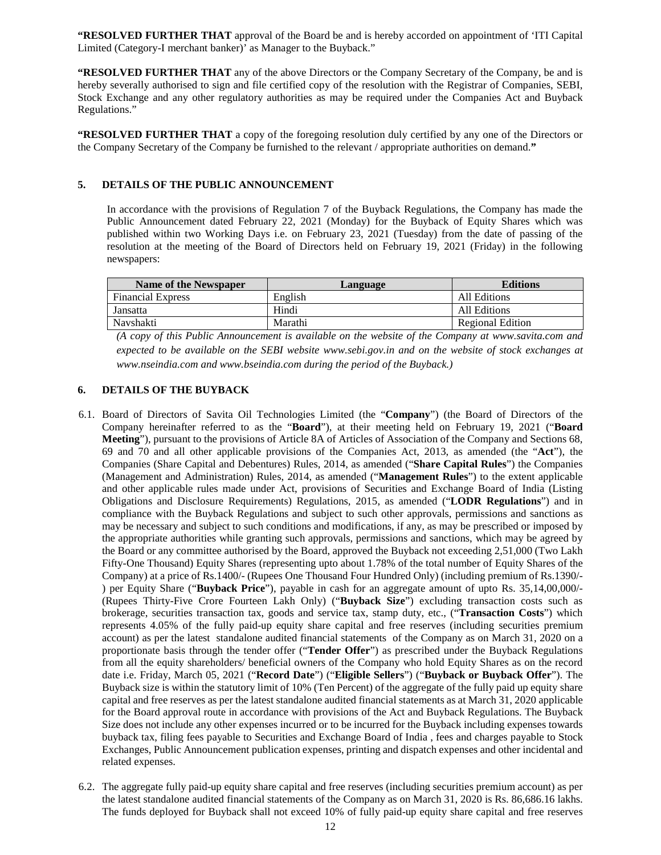**"RESOLVED FURTHER THAT** approval of the Board be and is hereby accorded on appointment of 'ITI Capital Limited (Category-I merchant banker)' as Manager to the Buyback."

**"RESOLVED FURTHER THAT** any of the above Directors or the Company Secretary of the Company, be and is hereby severally authorised to sign and file certified copy of the resolution with the Registrar of Companies, SEBI, Stock Exchange and any other regulatory authorities as may be required under the Companies Act and Buyback Regulations."

**"RESOLVED FURTHER THAT** a copy of the foregoing resolution duly certified by any one of the Directors or the Company Secretary of the Company be furnished to the relevant / appropriate authorities on demand.**"**

## **5. DETAILS OF THE PUBLIC ANNOUNCEMENT**

In accordance with the provisions of Regulation 7 of the Buyback Regulations, the Company has made the Public Announcement dated February 22, 2021 (Monday) for the Buyback of Equity Shares which was published within two Working Days i.e. on February 23, 2021 (Tuesday) from the date of passing of the resolution at the meeting of the Board of Directors held on February 19, 2021 (Friday) in the following newspapers:

| <b>Name of the Newspaper</b> | Language | <b>Editions</b>  |
|------------------------------|----------|------------------|
| <b>Financial Express</b>     | English  | All Editions     |
| Jansatta                     | Hindi    | All Editions     |
| Navshakti                    | Marathi  | Regional Edition |

*(A copy of this Public Announcement is available on the website of the Company at www.savita.com and expected to be available on the SEBI website www.sebi.gov.in and on the website of stock exchanges at www.nseindia.com and www.bseindia.com during the period of the Buyback.)*

## **6. DETAILS OF THE BUYBACK**

- 6.1. Board of Directors of Savita Oil Technologies Limited (the "**Company**") (the Board of Directors of the Company hereinafter referred to as the "**Board**"), at their meeting held on February 19, 2021 ("**Board Meeting**"), pursuant to the provisions of Article 8A of Articles of Association of the Company and Sections 68, 69 and 70 and all other applicable provisions of the Companies Act, 2013, as amended (the "**Act**"), the Companies (Share Capital and Debentures) Rules, 2014, as amended ("**Share Capital Rules**") the Companies (Management and Administration) Rules, 2014, as amended ("**Management Rules**") to the extent applicable and other applicable rules made under Act, provisions of Securities and Exchange Board of India (Listing Obligations and Disclosure Requirements) Regulations, 2015, as amended ("**LODR Regulations**") and in compliance with the Buyback Regulations and subject to such other approvals, permissions and sanctions as may be necessary and subject to such conditions and modifications, if any, as may be prescribed or imposed by the appropriate authorities while granting such approvals, permissions and sanctions, which may be agreed by the Board or any committee authorised by the Board, approved the Buyback not exceeding 2,51,000 (Two Lakh Fifty-One Thousand) Equity Shares (representing upto about 1.78% of the total number of Equity Shares of the Company) at a price of Rs.1400/- (Rupees One Thousand Four Hundred Only) (including premium of Rs.1390/- ) per Equity Share ("**Buyback Price**"), payable in cash for an aggregate amount of upto Rs. 35,14,00,000/- (Rupees Thirty-Five Crore Fourteen Lakh Only) ("**Buyback Size**") excluding transaction costs such as brokerage, securities transaction tax, goods and service tax, stamp duty, etc., ("**Transaction Costs**") which represents 4.05% of the fully paid-up equity share capital and free reserves (including securities premium account) as per the latest standalone audited financial statements of the Company as on March 31, 2020 on a proportionate basis through the tender offer ("**Tender Offer**") as prescribed under the Buyback Regulations from all the equity shareholders/ beneficial owners of the Company who hold Equity Shares as on the record date i.e. Friday, March 05, 2021 ("**Record Date**") ("**Eligible Sellers**") ("**Buyback or Buyback Offer**"). The Buyback size is within the statutory limit of 10% (Ten Percent) of the aggregate of the fully paid up equity share capital and free reserves as per the latest standalone audited financial statements as at March 31, 2020 applicable for the Board approval route in accordance with provisions of the Act and Buyback Regulations. The Buyback Size does not include any other expenses incurred or to be incurred for the Buyback including expenses towards buyback tax, filing fees payable to Securities and Exchange Board of India , fees and charges payable to Stock Exchanges, Public Announcement publication expenses, printing and dispatch expenses and other incidental and related expenses.
- 6.2. The aggregate fully paid-up equity share capital and free reserves (including securities premium account) as per the latest standalone audited financial statements of the Company as on March 31, 2020 is Rs. 86,686.16 lakhs. The funds deployed for Buyback shall not exceed 10% of fully paid-up equity share capital and free reserves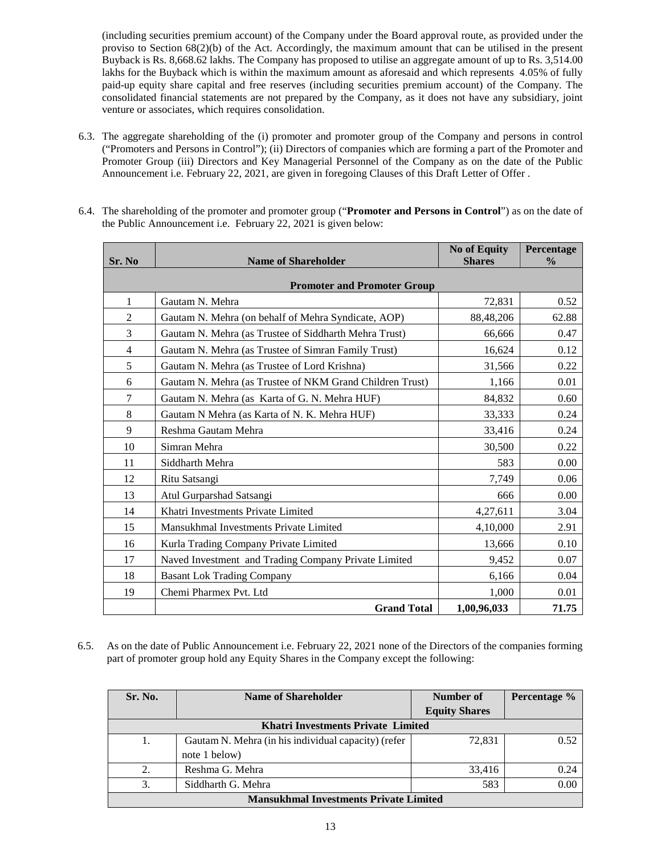(including securities premium account) of the Company under the Board approval route, as provided under the proviso to Section 68(2)(b) of the Act. Accordingly, the maximum amount that can be utilised in the present Buyback is Rs. 8,668.62 lakhs. The Company has proposed to utilise an aggregate amount of up to Rs. 3,514.00 lakhs for the Buyback which is within the maximum amount as aforesaid and which represents 4.05% of fully paid-up equity share capital and free reserves (including securities premium account) of the Company. The consolidated financial statements are not prepared by the Company, as it does not have any subsidiary, joint venture or associates, which requires consolidation.

6.3. The aggregate shareholding of the (i) promoter and promoter group of the Company and persons in control ("Promoters and Persons in Control"); (ii) Directors of companies which are forming a part of the Promoter and Promoter Group (iii) Directors and Key Managerial Personnel of the Company as on the date of the Public Announcement i.e. February 22, 2021, are given in foregoing Clauses of this Draft Letter of Offer .

| Sr. No         | <b>Name of Shareholder</b>                               | <b>No of Equity</b><br><b>Shares</b> | Percentage<br>$\frac{0}{0}$ |  |  |  |
|----------------|----------------------------------------------------------|--------------------------------------|-----------------------------|--|--|--|
|                | <b>Promoter and Promoter Group</b>                       |                                      |                             |  |  |  |
| 1              | Gautam N. Mehra                                          | 72,831                               | 0.52                        |  |  |  |
| 2              | Gautam N. Mehra (on behalf of Mehra Syndicate, AOP)      | 88,48,206                            | 62.88                       |  |  |  |
| 3              | Gautam N. Mehra (as Trustee of Siddharth Mehra Trust)    | 66,666                               | 0.47                        |  |  |  |
| $\overline{4}$ | Gautam N. Mehra (as Trustee of Simran Family Trust)      | 16,624                               | 0.12                        |  |  |  |
| 5              | Gautam N. Mehra (as Trustee of Lord Krishna)             | 31,566                               | 0.22                        |  |  |  |
| 6              | Gautam N. Mehra (as Trustee of NKM Grand Children Trust) | 1,166                                | 0.01                        |  |  |  |
| 7              | Gautam N. Mehra (as Karta of G. N. Mehra HUF)            | 84,832                               | 0.60                        |  |  |  |
| 8              | Gautam N Mehra (as Karta of N. K. Mehra HUF)             | 33,333                               | 0.24                        |  |  |  |
| 9              | Reshma Gautam Mehra                                      | 33,416                               | 0.24                        |  |  |  |
| 10             | Simran Mehra                                             | 30,500                               | 0.22                        |  |  |  |
| 11             | Siddharth Mehra                                          | 583                                  | 0.00                        |  |  |  |
| 12             | Ritu Satsangi                                            | 7,749                                | 0.06                        |  |  |  |
| 13             | Atul Gurparshad Satsangi                                 | 666                                  | 0.00                        |  |  |  |
| 14             | Khatri Investments Private Limited                       | 4,27,611                             | 3.04                        |  |  |  |
| 15             | Mansukhmal Investments Private Limited                   | 4,10,000                             | 2.91                        |  |  |  |
| 16             | Kurla Trading Company Private Limited                    | 13,666                               | 0.10                        |  |  |  |
| 17             | Naved Investment and Trading Company Private Limited     | 9,452                                | 0.07                        |  |  |  |
| 18             | <b>Basant Lok Trading Company</b>                        | 6,166                                | 0.04                        |  |  |  |
| 19             | Chemi Pharmex Pvt. Ltd                                   | 1,000                                | 0.01                        |  |  |  |
|                | <b>Grand Total</b>                                       | 1,00,96,033                          | 71.75                       |  |  |  |

6.4. The shareholding of the promoter and promoter group ("**Promoter and Persons in Control**") as on the date of the Public Announcement i.e. February 22, 2021 is given below:

6.5. As on the date of Public Announcement i.e. February 22, 2021 none of the Directors of the companies forming part of promoter group hold any Equity Shares in the Company except the following:

| Sr. No.                                       | Name of Shareholder                                                  | Number of            | Percentage % |  |  |
|-----------------------------------------------|----------------------------------------------------------------------|----------------------|--------------|--|--|
|                                               |                                                                      | <b>Equity Shares</b> |              |  |  |
|                                               | <b>Khatri Investments Private Limited</b>                            |                      |              |  |  |
|                                               | Gautam N. Mehra (in his individual capacity) (refer<br>note 1 below) | 72.831               | 0.52         |  |  |
| 2.                                            | Reshma G. Mehra                                                      | 33.416               | 0.24         |  |  |
| 3.                                            | Siddharth G. Mehra                                                   | 583                  | 0.00         |  |  |
| <b>Mansukhmal Investments Private Limited</b> |                                                                      |                      |              |  |  |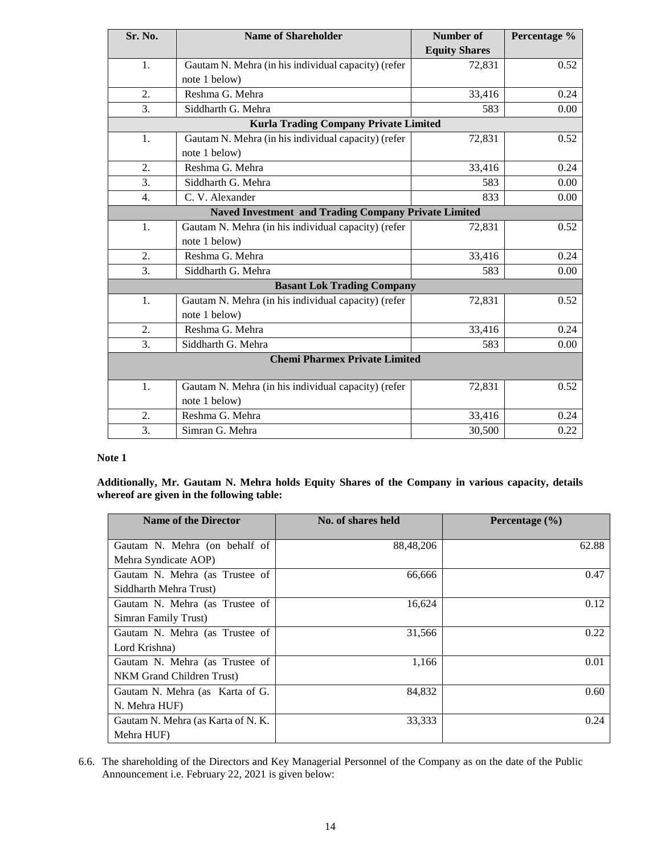| Sr. No.                                                     | <b>Name of Shareholder</b>                          | Number of            | Percentage % |  |
|-------------------------------------------------------------|-----------------------------------------------------|----------------------|--------------|--|
|                                                             |                                                     | <b>Equity Shares</b> |              |  |
| 1.                                                          | Gautam N. Mehra (in his individual capacity) (refer | 72,831               | 0.52         |  |
|                                                             | note 1 below)                                       |                      |              |  |
| 2.                                                          | Reshma G. Mehra                                     | 33,416               | 0.24         |  |
| 3.                                                          | Siddharth G. Mehra                                  | 583                  | 0.00         |  |
|                                                             | <b>Kurla Trading Company Private Limited</b>        |                      |              |  |
| 1.                                                          | Gautam N. Mehra (in his individual capacity) (refer | 72,831               | 0.52         |  |
|                                                             | note 1 below)                                       |                      |              |  |
| 2.                                                          | Reshma G. Mehra                                     | 33,416               | 0.24         |  |
| 3.                                                          | Siddharth G. Mehra                                  | 583                  | 0.00         |  |
| 4.                                                          | C. V. Alexander                                     | 833                  | 0.00         |  |
| <b>Naved Investment and Trading Company Private Limited</b> |                                                     |                      |              |  |
| 1.                                                          | Gautam N. Mehra (in his individual capacity) (refer | 72,831               | 0.52         |  |
|                                                             | note 1 below)                                       |                      |              |  |
| 2.                                                          | Reshma G. Mehra                                     | 33,416               | 0.24         |  |
| 3.                                                          | Siddharth G. Mehra                                  | 583                  | 0.00         |  |
|                                                             | <b>Basant Lok Trading Company</b>                   |                      |              |  |
| 1.                                                          | Gautam N. Mehra (in his individual capacity) (refer | 72,831               | 0.52         |  |
|                                                             | note 1 below)                                       |                      |              |  |
| 2.                                                          | Reshma G. Mehra                                     | 33,416               | 0.24         |  |
| 3.                                                          | Siddharth G. Mehra                                  | 583                  | 0.00         |  |
|                                                             | <b>Chemi Pharmex Private Limited</b>                |                      |              |  |
| 1.                                                          | Gautam N. Mehra (in his individual capacity) (refer | 72,831               | 0.52         |  |
|                                                             | note 1 below)                                       |                      |              |  |
| 2.                                                          | Reshma G. Mehra                                     | 33,416               | 0.24         |  |
| 3.                                                          | Simran G. Mehra                                     | 30,500               | 0.22         |  |

# **Note 1**

**Additionally, Mr. Gautam N. Mehra holds Equity Shares of the Company in various capacity, details whereof are given in the following table:**

| <b>Name of the Director</b>        | No. of shares held | Percentage $(\% )$ |
|------------------------------------|--------------------|--------------------|
| Gautam N. Mehra (on behalf of      | 88,48,206          | 62.88              |
| Mehra Syndicate AOP)               |                    |                    |
| Gautam N. Mehra (as Trustee of     | 66,666             | 0.47               |
| Siddharth Mehra Trust)             |                    |                    |
| Gautam N. Mehra (as Trustee of     | 16,624             | 0.12               |
| Simran Family Trust)               |                    |                    |
| Gautam N. Mehra (as Trustee of     | 31,566             | 0.22               |
| Lord Krishna)                      |                    |                    |
| Gautam N. Mehra (as Trustee of     | 1,166              | 0.01               |
| NKM Grand Children Trust)          |                    |                    |
| Gautam N. Mehra (as Karta of G.    | 84,832             | 0.60               |
| N. Mehra HUF)                      |                    |                    |
| Gautam N. Mehra (as Karta of N. K. | 33,333             | 0.24               |
| Mehra HUF)                         |                    |                    |

6.6. The shareholding of the Directors and Key Managerial Personnel of the Company as on the date of the Public Announcement i.e. February 22, 2021 is given below: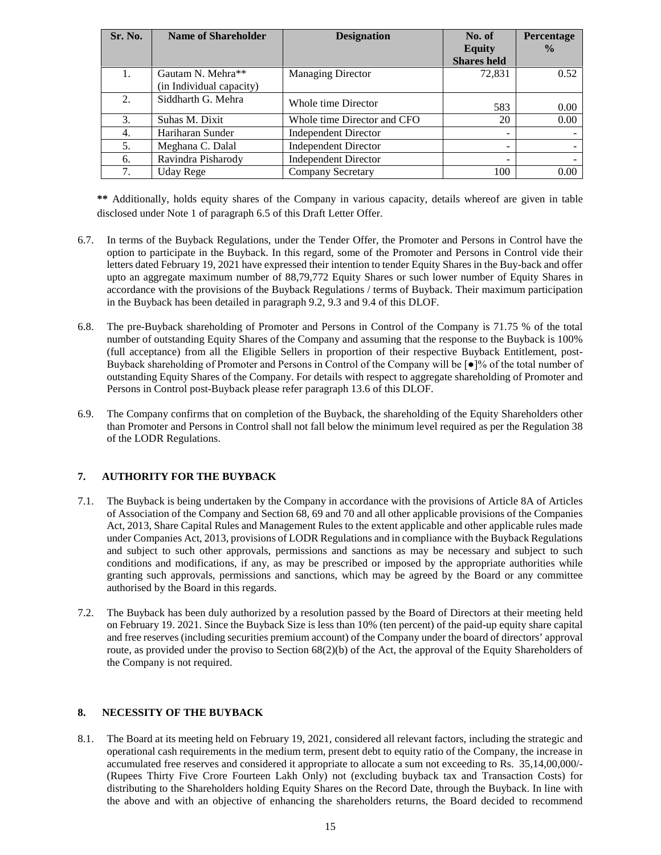| Sr. No. | <b>Name of Shareholder</b> | <b>Designation</b>          | No. of             | Percentage    |
|---------|----------------------------|-----------------------------|--------------------|---------------|
|         |                            |                             | <b>Equity</b>      | $\frac{0}{0}$ |
|         |                            |                             | <b>Shares held</b> |               |
| 1.      | Gautam N. Mehra**          | <b>Managing Director</b>    | 72,831             | 0.52          |
|         | (in Individual capacity)   |                             |                    |               |
| 2.      | Siddharth G. Mehra         | Whole time Director         |                    |               |
|         |                            |                             | 583                | 0.00          |
| 3.      | Suhas M. Dixit             | Whole time Director and CFO | 20                 | 0.00          |
| 4.      | Hariharan Sunder           | <b>Independent Director</b> |                    |               |
| 5.      | Meghana C. Dalal           | <b>Independent Director</b> |                    |               |
| 6.      | Ravindra Pisharody         | <b>Independent Director</b> | -                  |               |
| 7.      | Uday Rege                  | <b>Company Secretary</b>    | 100                | 0.00          |

**\*\*** Additionally, holds equity shares of the Company in various capacity, details whereof are given in table disclosed under Note 1 of paragraph 6.5 of this Draft Letter Offer.

- 6.7. In terms of the Buyback Regulations, under the Tender Offer, the Promoter and Persons in Control have the option to participate in the Buyback. In this regard, some of the Promoter and Persons in Control vide their letters dated February 19, 2021 have expressed their intention to tender Equity Shares in the Buy-back and offer upto an aggregate maximum number of 88,79,772 Equity Shares or such lower number of Equity Shares in accordance with the provisions of the Buyback Regulations / terms of Buyback. Their maximum participation in the Buyback has been detailed in paragraph 9.2, 9.3 and 9.4 of this DLOF.
- 6.8. The pre-Buyback shareholding of Promoter and Persons in Control of the Company is 71.75 % of the total number of outstanding Equity Shares of the Company and assuming that the response to the Buyback is 100% (full acceptance) from all the Eligible Sellers in proportion of their respective Buyback Entitlement, post-Buyback shareholding of Promoter and Persons in Control of the Company will be [●]% of the total number of outstanding Equity Shares of the Company. For details with respect to aggregate shareholding of Promoter and Persons in Control post-Buyback please refer paragraph 13.6 of this DLOF.
- 6.9. The Company confirms that on completion of the Buyback, the shareholding of the Equity Shareholders other than Promoter and Persons in Control shall not fall below the minimum level required as per the Regulation 38 of the LODR Regulations.

## **7. AUTHORITY FOR THE BUYBACK**

- 7.1. The Buyback is being undertaken by the Company in accordance with the provisions of Article 8A of Articles of Association of the Company and Section 68, 69 and 70 and all other applicable provisions of the Companies Act, 2013, Share Capital Rules and Management Rules to the extent applicable and other applicable rules made under Companies Act, 2013, provisions of LODR Regulations and in compliance with the Buyback Regulations and subject to such other approvals, permissions and sanctions as may be necessary and subject to such conditions and modifications, if any, as may be prescribed or imposed by the appropriate authorities while granting such approvals, permissions and sanctions, which may be agreed by the Board or any committee authorised by the Board in this regards.
- 7.2. The Buyback has been duly authorized by a resolution passed by the Board of Directors at their meeting held on February 19. 2021. Since the Buyback Size is less than 10% (ten percent) of the paid-up equity share capital and free reserves (including securities premium account) of the Company under the board of directors' approval route, as provided under the proviso to Section 68(2)(b) of the Act, the approval of the Equity Shareholders of the Company is not required.

# **8. NECESSITY OF THE BUYBACK**

8.1. The Board at its meeting held on February 19, 2021, considered all relevant factors, including the strategic and operational cash requirements in the medium term, present debt to equity ratio of the Company, the increase in accumulated free reserves and considered it appropriate to allocate a sum not exceeding to Rs. 35,14,00,000/- (Rupees Thirty Five Crore Fourteen Lakh Only) not (excluding buyback tax and Transaction Costs) for distributing to the Shareholders holding Equity Shares on the Record Date, through the Buyback. In line with the above and with an objective of enhancing the shareholders returns, the Board decided to recommend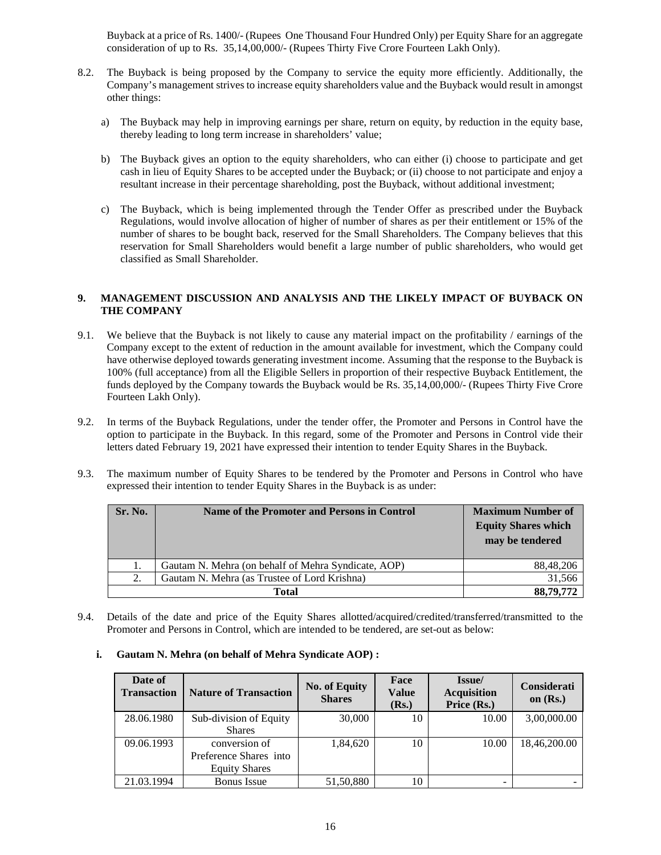Buyback at a price of Rs. 1400/- (Rupees One Thousand Four Hundred Only) per Equity Share for an aggregate consideration of up to Rs. 35,14,00,000/- (Rupees Thirty Five Crore Fourteen Lakh Only).

- 8.2. The Buyback is being proposed by the Company to service the equity more efficiently. Additionally, the Company's management strives to increase equity shareholders value and the Buyback would result in amongst other things:
	- a) The Buyback may help in improving earnings per share, return on equity, by reduction in the equity base, thereby leading to long term increase in shareholders' value;
	- b) The Buyback gives an option to the equity shareholders, who can either (i) choose to participate and get cash in lieu of Equity Shares to be accepted under the Buyback; or (ii) choose to not participate and enjoy a resultant increase in their percentage shareholding, post the Buyback, without additional investment;
	- c) The Buyback, which is being implemented through the Tender Offer as prescribed under the Buyback Regulations, would involve allocation of higher of number of shares as per their entitlement or 15% of the number of shares to be bought back, reserved for the Small Shareholders. The Company believes that this reservation for Small Shareholders would benefit a large number of public shareholders, who would get classified as Small Shareholder.

## **9. MANAGEMENT DISCUSSION AND ANALYSIS AND THE LIKELY IMPACT OF BUYBACK ON THE COMPANY**

- 9.1. We believe that the Buyback is not likely to cause any material impact on the profitability / earnings of the Company except to the extent of reduction in the amount available for investment, which the Company could have otherwise deployed towards generating investment income. Assuming that the response to the Buyback is 100% (full acceptance) from all the Eligible Sellers in proportion of their respective Buyback Entitlement, the funds deployed by the Company towards the Buyback would be Rs. 35,14,00,000/- (Rupees Thirty Five Crore Fourteen Lakh Only).
- 9.2. In terms of the Buyback Regulations, under the tender offer, the Promoter and Persons in Control have the option to participate in the Buyback. In this regard, some of the Promoter and Persons in Control vide their letters dated February 19, 2021 have expressed their intention to tender Equity Shares in the Buyback.
- 9.3. The maximum number of Equity Shares to be tendered by the Promoter and Persons in Control who have expressed their intention to tender Equity Shares in the Buyback is as under:

| Sr. No. | Name of the Promoter and Persons in Control         | <b>Maximum Number of</b><br><b>Equity Shares which</b><br>may be tendered |
|---------|-----------------------------------------------------|---------------------------------------------------------------------------|
|         | Gautam N. Mehra (on behalf of Mehra Syndicate, AOP) | 88,48,206                                                                 |
| 2.      | Gautam N. Mehra (as Trustee of Lord Krishna)        | 31.566                                                                    |
|         | Total                                               | 88,79,772                                                                 |

9.4. Details of the date and price of the Equity Shares allotted/acquired/credited/transferred/transmitted to the Promoter and Persons in Control, which are intended to be tendered, are set-out as below:

#### **i. Gautam N. Mehra (on behalf of Mehra Syndicate AOP) :**

| Date of<br><b>Transaction</b> | <b>Nature of Transaction</b> | <b>No. of Equity</b><br><b>Shares</b> | Face<br><b>Value</b><br>( <b>Rs.</b> ) | Issue/<br><b>Acquisition</b><br>Price (Rs.) | Considerati<br>on $(Rs.)$ |
|-------------------------------|------------------------------|---------------------------------------|----------------------------------------|---------------------------------------------|---------------------------|
| 28.06.1980                    | Sub-division of Equity       | 30,000                                | 10                                     | 10.00                                       | 3,00,000.00               |
|                               | <b>Shares</b>                |                                       |                                        |                                             |                           |
| 09.06.1993                    | conversion of                | 1,84,620                              | 10                                     | 10.00                                       | 18.46.200.00              |
|                               | Preference Shares into       |                                       |                                        |                                             |                           |
|                               | <b>Equity Shares</b>         |                                       |                                        |                                             |                           |
| 21.03.1994                    | <b>Bonus</b> Issue           | 51,50,880                             | 10                                     | -                                           |                           |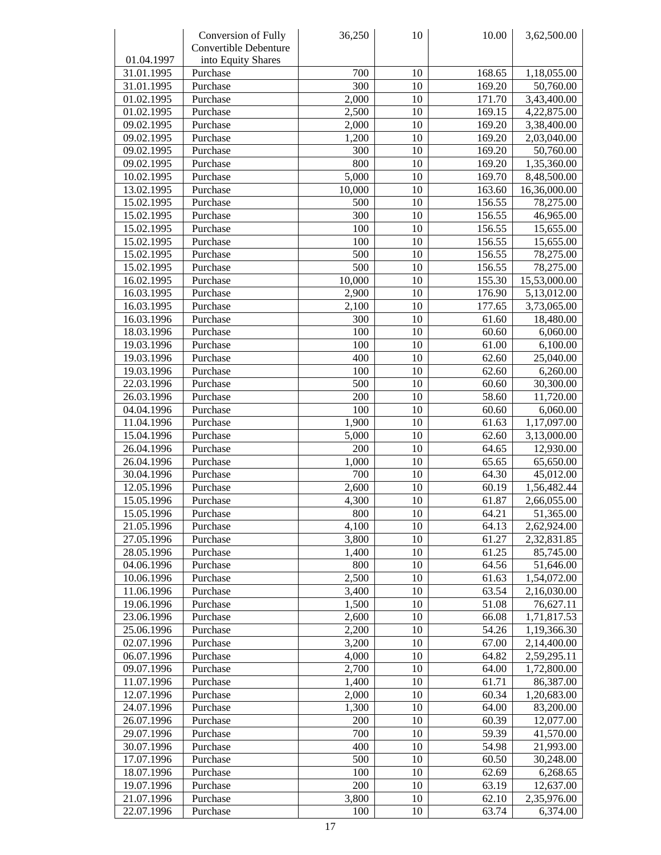|            | Conversion of Fully   | 36,250 | 10              | 10.00  | 3,62,500.00              |
|------------|-----------------------|--------|-----------------|--------|--------------------------|
|            | Convertible Debenture |        |                 |        |                          |
| 01.04.1997 | into Equity Shares    |        |                 |        |                          |
| 31.01.1995 | Purchase              | 700    | 10              | 168.65 | 1,18,055.00              |
| 31.01.1995 | Purchase              | 300    | 10              | 169.20 | 50,760.00                |
| 01.02.1995 | Purchase              | 2,000  | 10              | 171.70 | 3,43,400.00              |
| 01.02.1995 | Purchase              | 2,500  | 10              | 169.15 | 4,22,875.00              |
| 09.02.1995 | Purchase              | 2,000  | 10              | 169.20 | 3,38,400.00              |
| 09.02.1995 | Purchase              | 1,200  | 10              | 169.20 | 2,03,040.00              |
| 09.02.1995 | Purchase              | 300    | 10              | 169.20 | 50,760.00                |
| 09.02.1995 | Purchase              | 800    | 10              | 169.20 | 1,35,360.00              |
| 10.02.1995 | Purchase              | 5,000  | 10              | 169.70 | 8,48,500.00              |
| 13.02.1995 | Purchase              | 10,000 | 10              | 163.60 | 16,36,000.00             |
| 15.02.1995 | Purchase              | 500    | 10              | 156.55 | 78,275.00                |
| 15.02.1995 | Purchase              | 300    | 10              | 156.55 | 46,965.00                |
| 15.02.1995 | Purchase              | 100    | 10              | 156.55 | 15,655.00                |
| 15.02.1995 | Purchase              | 100    | 10              | 156.55 | 15,655.00                |
| 15.02.1995 | Purchase              | 500    | 10              | 156.55 |                          |
|            |                       | 500    |                 |        | 78,275.00                |
| 15.02.1995 | Purchase              |        | 10              | 156.55 | 78,275.00                |
| 16.02.1995 | Purchase              | 10,000 | 10              | 155.30 | 15,53,000.00             |
| 16.03.1995 | Purchase              | 2,900  | 10              | 176.90 | 5,13,012.00              |
| 16.03.1995 | Purchase              | 2,100  | 10              | 177.65 | 3,73,065.00              |
| 16.03.1996 | Purchase              | 300    | 10              | 61.60  | 18,480.00                |
| 18.03.1996 | Purchase              | 100    | 10              | 60.60  | 6,060.00                 |
| 19.03.1996 | Purchase              | 100    | 10              | 61.00  | 6,100.00                 |
| 19.03.1996 | Purchase              | 400    | 10              | 62.60  | 25,040.00                |
| 19.03.1996 | Purchase              | 100    | 10              | 62.60  | 6,260.00                 |
| 22.03.1996 | Purchase              | 500    | 10              | 60.60  | 30,300.00                |
| 26.03.1996 | Purchase              | 200    | 10              | 58.60  | 11,720.00                |
| 04.04.1996 | Purchase              | 100    | 10              | 60.60  | 6,060.00                 |
| 11.04.1996 | Purchase              | 1,900  | 10              | 61.63  | 1,17,097.00              |
| 15.04.1996 | Purchase              | 5,000  | 10              | 62.60  | 3,13,000.00              |
| 26.04.1996 | Purchase              | 200    | 10              | 64.65  | 12,930.00                |
| 26.04.1996 | Purchase              | 1,000  | 10              | 65.65  | 65,650.00                |
| 30.04.1996 | Purchase              | 700    | 10              | 64.30  | 45,012.00                |
| 12.05.1996 | Purchase              | 2,600  | 10              | 60.19  | 1,56,482.44              |
| 15.05.1996 | Purchase              | 4,300  | 10              | 61.87  | 2,66,055.00              |
| 15.05.1996 | Purchase              | 800    | $\overline{10}$ | 64.21  | $\overline{51}$ , 365.00 |
| 21.05.1996 | Purchase              | 4,100  | 10              | 64.13  | 2,62,924.00              |
| 27.05.1996 | Purchase              | 3,800  | 10              | 61.27  | 2,32,831.85              |
| 28.05.1996 | Purchase              | 1,400  | 10              | 61.25  | 85,745.00                |
| 04.06.1996 | Purchase              | 800    | 10              | 64.56  | 51,646.00                |
| 10.06.1996 | Purchase              | 2,500  | 10              | 61.63  | 1,54,072.00              |
| 11.06.1996 | Purchase              | 3,400  | 10              | 63.54  | 2,16,030.00              |
| 19.06.1996 | Purchase              | 1,500  | 10              | 51.08  | 76,627.11                |
| 23.06.1996 | Purchase              | 2,600  | 10              | 66.08  | 1,71,817.53              |
| 25.06.1996 | Purchase              | 2,200  | 10              | 54.26  | 1,19,366.30              |
| 02.07.1996 | Purchase              | 3,200  | 10              | 67.00  | 2,14,400.00              |
| 06.07.1996 | Purchase              | 4,000  | 10              | 64.82  | 2,59,295.11              |
| 09.07.1996 | Purchase              | 2,700  | 10              | 64.00  | 1,72,800.00              |
| 11.07.1996 | Purchase              | 1,400  | 10              | 61.71  | 86,387.00                |
| 12.07.1996 | Purchase              | 2,000  | 10              | 60.34  | 1,20,683.00              |
| 24.07.1996 | Purchase              | 1,300  | 10              | 64.00  | 83,200.00                |
| 26.07.1996 | Purchase              | 200    | 10              | 60.39  | 12,077.00                |
| 29.07.1996 | Purchase              | 700    | 10              | 59.39  | 41,570.00                |
| 30.07.1996 | Purchase              | 400    | 10              | 54.98  | 21,993.00                |
| 17.07.1996 | Purchase              | 500    | 10              | 60.50  | 30,248.00                |
| 18.07.1996 | Purchase              | 100    | 10              | 62.69  | 6,268.65                 |
| 19.07.1996 | Purchase              | 200    | 10              | 63.19  | 12,637.00                |
| 21.07.1996 | Purchase              | 3,800  | 10              | 62.10  | 2,35,976.00              |
| 22.07.1996 | Purchase              | 100    | 10              | 63.74  | 6,374.00                 |
|            |                       |        |                 |        |                          |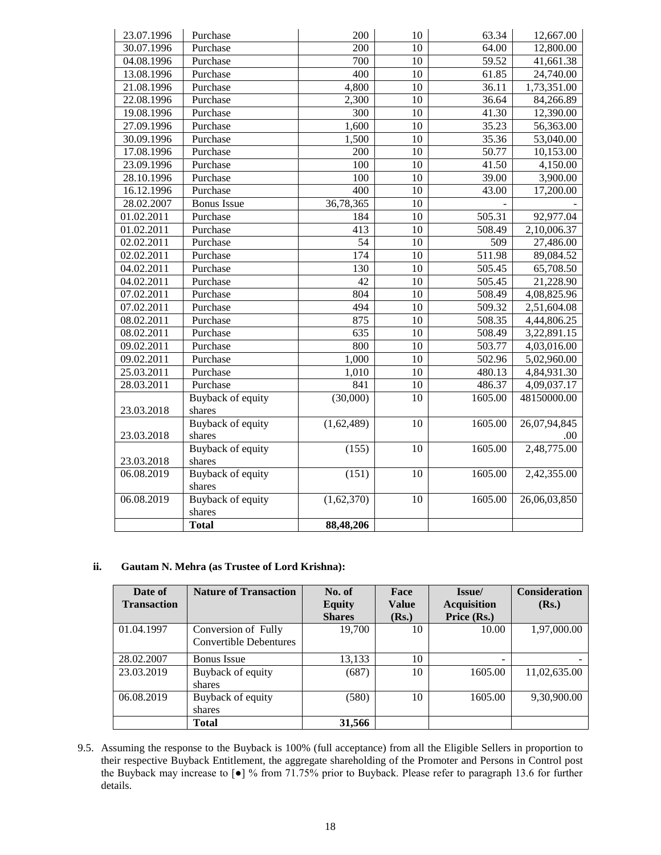| 23.07.1996 | Purchase                 | 200              | 10              | 63.34               | 12,667.00    |
|------------|--------------------------|------------------|-----------------|---------------------|--------------|
| 30.07.1996 | Purchase                 | 200              | 10              | 64.00               | 12,800.00    |
| 04.08.1996 | Purchase                 | 700              | 10              | 59.52               | 41,661.38    |
| 13.08.1996 | Purchase                 | $\overline{400}$ | 10              | 61.85               | 24,740.00    |
| 21.08.1996 | Purchase                 | 4,800            | 10              | 36.11               | 1,73,351.00  |
| 22.08.1996 | Purchase                 | 2,300            | 10              | 36.64               | 84,266.89    |
| 19.08.1996 | Purchase                 | 300              | 10              | 41.30               | 12,390.00    |
| 27.09.1996 | Purchase                 | 1,600            | 10              | 35.23               | 56,363.00    |
| 30.09.1996 | Purchase                 | 1,500            | 10              | 35.36               | 53,040.00    |
| 17.08.1996 | Purchase                 | 200              | 10              | 50.77               | 10,153.00    |
| 23.09.1996 | Purchase                 | 100              | 10              | 41.50               | 4,150.00     |
| 28.10.1996 | Purchase                 | 100              | 10              | 39.00               | 3,900.00     |
| 16.12.1996 | Purchase                 | 400              | 10              | 43.00               | 17,200.00    |
| 28.02.2007 | <b>Bonus</b> Issue       | 36,78,365        | 10              |                     |              |
| 01.02.2011 | Purchase                 | 184              | 10              | 505.31              | 92,977.04    |
| 01.02.2011 | Purchase                 | 413              | 10              | 508.49              | 2,10,006.37  |
| 02.02.2011 | Purchase                 | 54               | 10              | 509                 | 27,486.00    |
| 02.02.2011 | Purchase                 | 174              | 10              | $\overline{511.98}$ | 89,084.52    |
| 04.02.2011 | Purchase                 | 130              | 10              | 505.45              | 65,708.50    |
| 04.02.2011 | Purchase                 |                  | 10              | $\overline{505.45}$ | 21,228.90    |
| 07.02.2011 | Purchase                 | 804              | 10              | 508.49              | 4,08,825.96  |
| 07.02.2011 | Purchase                 | 494              | 10              | 509.32              | 2,51,604.08  |
| 08.02.2011 | Purchase                 | 875              | 10              | 508.35              | 4,44,806.25  |
| 08.02.2011 | Purchase                 | 635              | 10              | 508.49              | 3,22,891.15  |
| 09.02.2011 | Purchase                 | 800              | 10              | 503.77              | 4,03,016.00  |
| 09.02.2011 | Purchase                 | 1,000            | 10              | 502.96              | 5,02,960.00  |
| 25.03.2011 | Purchase                 | 1,010            | 10              | 480.13              | 4,84,931.30  |
| 28.03.2011 | Purchase                 | 841              | $10\,$          | 486.37              | 4,09,037.17  |
|            | Buyback of equity        | (30,000)         | 10              | 1605.00             | 48150000.00  |
| 23.03.2018 | shares                   |                  |                 |                     |              |
|            | <b>Buyback of equity</b> | (1,62,489)       | 10              | 1605.00             | 26,07,94,845 |
| 23.03.2018 | shares                   |                  |                 |                     | .00          |
|            | <b>Buyback of equity</b> | (155)            | $\overline{10}$ | 1605.00             | 2,48,775.00  |
| 23.03.2018 | shares                   |                  |                 |                     |              |
| 06.08.2019 | Buyback of equity        | (151)            | 10              | 1605.00             | 2,42,355.00  |
|            | shares                   |                  |                 |                     |              |
| 06.08.2019 | <b>Buyback of equity</b> | (1,62,370)       | 10              | 1605.00             | 26,06,03,850 |
|            | shares                   |                  |                 |                     |              |
|            | <b>Total</b>             | 88,48,206        |                 |                     |              |

## **ii. Gautam N. Mehra (as Trustee of Lord Krishna):**

| Date of<br><b>Transaction</b> | <b>Nature of Transaction</b>                         | No. of<br><b>Equity</b><br><b>Shares</b> | Face<br><b>Value</b><br>(Rs.) | Issue/<br><b>Acquisition</b><br>Price (Rs.) | <b>Consideration</b><br>(Rs.) |
|-------------------------------|------------------------------------------------------|------------------------------------------|-------------------------------|---------------------------------------------|-------------------------------|
| 01.04.1997                    | Conversion of Fully<br><b>Convertible Debentures</b> | 19,700                                   | 10                            | 10.00                                       | 1,97,000.00                   |
| 28.02.2007                    | <b>Bonus</b> Issue                                   | 13,133                                   | 10                            |                                             |                               |
| 23.03.2019                    | Buyback of equity<br>shares                          | (687)                                    | 10                            | 1605.00                                     | 11,02,635.00                  |
| 06.08.2019                    | Buyback of equity<br>shares                          | (580)                                    | 10                            | 1605.00                                     | 9,30,900.00                   |
|                               | <b>Total</b>                                         | 31,566                                   |                               |                                             |                               |

9.5. Assuming the response to the Buyback is 100% (full acceptance) from all the Eligible Sellers in proportion to their respective Buyback Entitlement, the aggregate shareholding of the Promoter and Persons in Control post the Buyback may increase to [●] % from 71.75% prior to Buyback. Please refer to paragraph 13.6 for further details.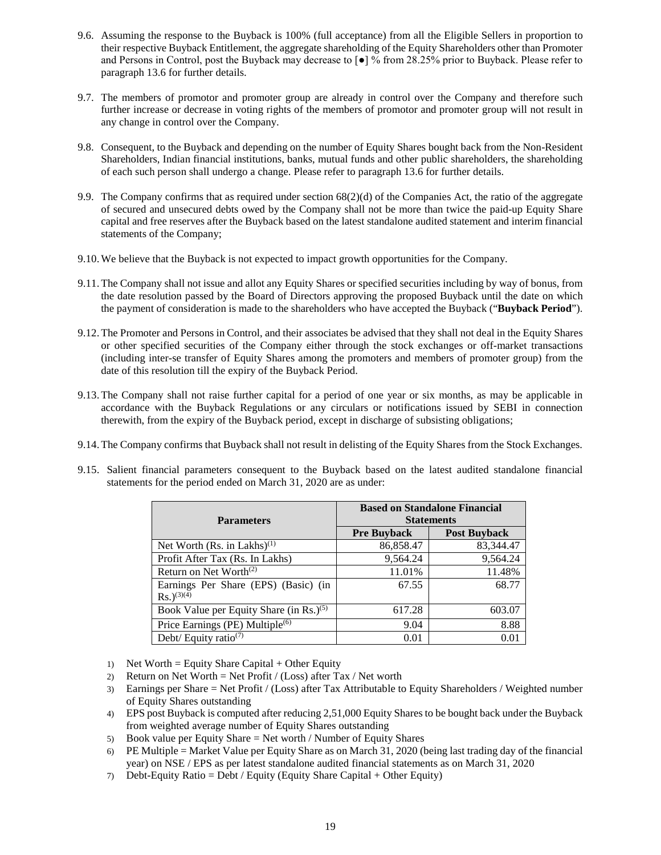- 9.6. Assuming the response to the Buyback is 100% (full acceptance) from all the Eligible Sellers in proportion to their respective Buyback Entitlement, the aggregate shareholding of the Equity Shareholders other than Promoter and Persons in Control, post the Buyback may decrease to [●] % from 28.25% prior to Buyback. Please refer to paragraph 13.6 for further details.
- 9.7. The members of promotor and promoter group are already in control over the Company and therefore such further increase or decrease in voting rights of the members of promotor and promoter group will not result in any change in control over the Company.
- 9.8. Consequent, to the Buyback and depending on the number of Equity Shares bought back from the Non-Resident Shareholders, Indian financial institutions, banks, mutual funds and other public shareholders, the shareholding of each such person shall undergo a change. Please refer to paragraph 13.6 for further details.
- 9.9. The Company confirms that as required under section 68(2)(d) of the Companies Act, the ratio of the aggregate of secured and unsecured debts owed by the Company shall not be more than twice the paid-up Equity Share capital and free reserves after the Buyback based on the latest standalone audited statement and interim financial statements of the Company;
- 9.10.We believe that the Buyback is not expected to impact growth opportunities for the Company.
- 9.11.The Company shall not issue and allot any Equity Shares or specified securities including by way of bonus, from the date resolution passed by the Board of Directors approving the proposed Buyback until the date on which the payment of consideration is made to the shareholders who have accepted the Buyback ("**Buyback Period**").
- 9.12.The Promoter and Persons in Control, and their associates be advised that they shall not deal in the Equity Shares or other specified securities of the Company either through the stock exchanges or off-market transactions (including inter-se transfer of Equity Shares among the promoters and members of promoter group) from the date of this resolution till the expiry of the Buyback Period.
- 9.13.The Company shall not raise further capital for a period of one year or six months, as may be applicable in accordance with the Buyback Regulations or any circulars or notifications issued by SEBI in connection therewith, from the expiry of the Buyback period, except in discharge of subsisting obligations;
- 9.14.The Company confirms that Buyback shall not result in delisting of the Equity Shares from the Stock Exchanges.
- 9.15. Salient financial parameters consequent to the Buyback based on the latest audited standalone financial statements for the period ended on March 31, 2020 are as under:

| <b>Parameters</b>                                                 | <b>Based on Standalone Financial</b><br><b>Statements</b> |                     |  |  |
|-------------------------------------------------------------------|-----------------------------------------------------------|---------------------|--|--|
|                                                                   | <b>Pre Buyback</b>                                        | <b>Post Buyback</b> |  |  |
| Net Worth (Rs. in Lakhs) <sup>(1)</sup>                           | 86,858.47                                                 | 83,344.47           |  |  |
| Profit After Tax (Rs. In Lakhs)                                   | 9,564.24                                                  | 9,564.24            |  |  |
| Return on Net Worth <sup>(2)</sup>                                | 11.01%                                                    | 11.48%              |  |  |
| Earnings Per Share (EPS) (Basic) (in<br>$Rs.$ ) <sup>(3)(4)</sup> | 67.55                                                     | 68.77               |  |  |
|                                                                   |                                                           |                     |  |  |
| Book Value per Equity Share (in Rs.) <sup>(5)</sup>               | 617.28                                                    | 603.07              |  |  |
| Price Earnings (PE) Multiple <sup>(6)</sup>                       | 9.04                                                      | 8.88                |  |  |
| Debt/ Equity ratio <sup>(7)</sup>                                 | 0.01                                                      | 0.01                |  |  |

- 1) Net Worth = Equity Share Capital + Other Equity
- 2) Return on Net Worth = Net Profit / (Loss) after Tax / Net worth
- 3) Earnings per Share = Net Profit / (Loss) after Tax Attributable to Equity Shareholders / Weighted number of Equity Shares outstanding
- 4) EPS post Buyback is computed after reducing 2,51,000 Equity Shares to be bought back under the Buyback from weighted average number of Equity Shares outstanding
- 5) Book value per Equity Share = Net worth / Number of Equity Shares
- 6) PE Multiple = Market Value per Equity Share as on March 31, 2020 (being last trading day of the financial year) on NSE / EPS as per latest standalone audited financial statements as on March 31, 2020
- 7) Debt-Equity Ratio = Debt / Equity (Equity Share Capital + Other Equity)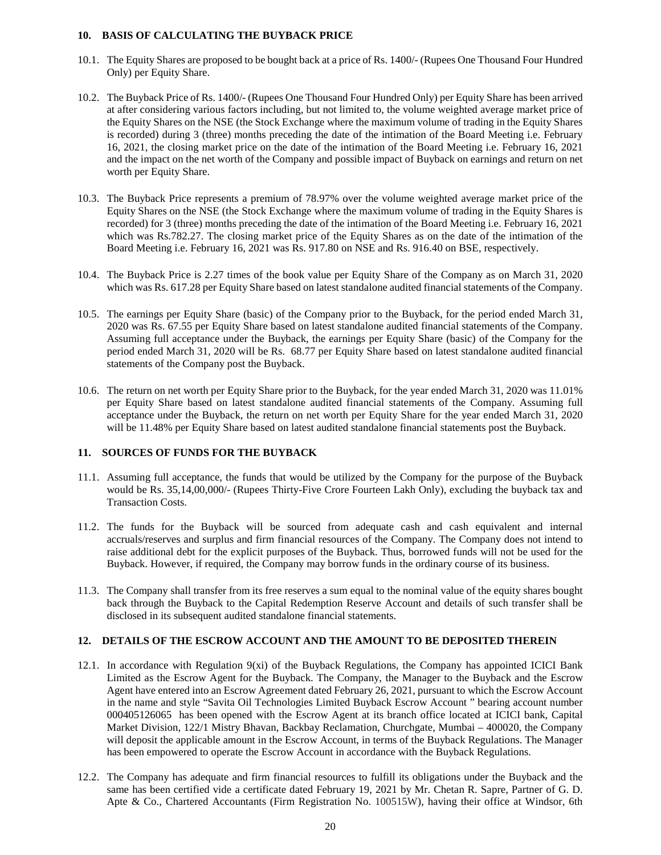## **10. BASIS OF CALCULATING THE BUYBACK PRICE**

- 10.1. The Equity Shares are proposed to be bought back at a price of Rs. 1400/- (Rupees One Thousand Four Hundred Only) per Equity Share.
- 10.2. The Buyback Price of Rs. 1400/- (Rupees One Thousand Four Hundred Only) per Equity Share has been arrived at after considering various factors including, but not limited to, the volume weighted average market price of the Equity Shares on the NSE (the Stock Exchange where the maximum volume of trading in the Equity Shares is recorded) during 3 (three) months preceding the date of the intimation of the Board Meeting i.e. February 16, 2021, the closing market price on the date of the intimation of the Board Meeting i.e. February 16, 2021 and the impact on the net worth of the Company and possible impact of Buyback on earnings and return on net worth per Equity Share.
- 10.3. The Buyback Price represents a premium of 78.97% over the volume weighted average market price of the Equity Shares on the NSE (the Stock Exchange where the maximum volume of trading in the Equity Shares is recorded) for 3 (three) months preceding the date of the intimation of the Board Meeting i.e. February 16, 2021 which was Rs.782.27. The closing market price of the Equity Shares as on the date of the intimation of the Board Meeting i.e. February 16, 2021 was Rs. 917.80 on NSE and Rs. 916.40 on BSE, respectively.
- 10.4. The Buyback Price is 2.27 times of the book value per Equity Share of the Company as on March 31, 2020 which was Rs. 617.28 per Equity Share based on latest standalone audited financial statements of the Company.
- 10.5. The earnings per Equity Share (basic) of the Company prior to the Buyback, for the period ended March 31, 2020 was Rs. 67.55 per Equity Share based on latest standalone audited financial statements of the Company. Assuming full acceptance under the Buyback, the earnings per Equity Share (basic) of the Company for the period ended March 31, 2020 will be Rs. 68.77 per Equity Share based on latest standalone audited financial statements of the Company post the Buyback.
- 10.6. The return on net worth per Equity Share prior to the Buyback, for the year ended March 31, 2020 was 11.01% per Equity Share based on latest standalone audited financial statements of the Company. Assuming full acceptance under the Buyback, the return on net worth per Equity Share for the year ended March 31, 2020 will be 11.48% per Equity Share based on latest audited standalone financial statements post the Buyback.

## **11. SOURCES OF FUNDS FOR THE BUYBACK**

- 11.1. Assuming full acceptance, the funds that would be utilized by the Company for the purpose of the Buyback would be Rs. 35,14,00,000/- (Rupees Thirty-Five Crore Fourteen Lakh Only), excluding the buyback tax and Transaction Costs.
- 11.2. The funds for the Buyback will be sourced from adequate cash and cash equivalent and internal accruals/reserves and surplus and firm financial resources of the Company. The Company does not intend to raise additional debt for the explicit purposes of the Buyback. Thus, borrowed funds will not be used for the Buyback. However, if required, the Company may borrow funds in the ordinary course of its business.
- 11.3. The Company shall transfer from its free reserves a sum equal to the nominal value of the equity shares bought back through the Buyback to the Capital Redemption Reserve Account and details of such transfer shall be disclosed in its subsequent audited standalone financial statements.

## **12. DETAILS OF THE ESCROW ACCOUNT AND THE AMOUNT TO BE DEPOSITED THEREIN**

- 12.1. In accordance with Regulation 9(xi) of the Buyback Regulations, the Company has appointed ICICI Bank Limited as the Escrow Agent for the Buyback. The Company, the Manager to the Buyback and the Escrow Agent have entered into an Escrow Agreement dated February 26, 2021, pursuant to which the Escrow Account in the name and style "Savita Oil Technologies Limited Buyback Escrow Account " bearing account number 000405126065 has been opened with the Escrow Agent at its branch office located at ICICI bank, Capital Market Division, 122/1 Mistry Bhavan, Backbay Reclamation, Churchgate, Mumbai – 400020, the Company will deposit the applicable amount in the Escrow Account, in terms of the Buyback Regulations. The Manager has been empowered to operate the Escrow Account in accordance with the Buyback Regulations.
- 12.2. The Company has adequate and firm financial resources to fulfill its obligations under the Buyback and the same has been certified vide a certificate dated February 19, 2021 by Mr. Chetan R. Sapre, Partner of G. D. Apte & Co., Chartered Accountants (Firm Registration No. 100515W), having their office at Windsor, 6th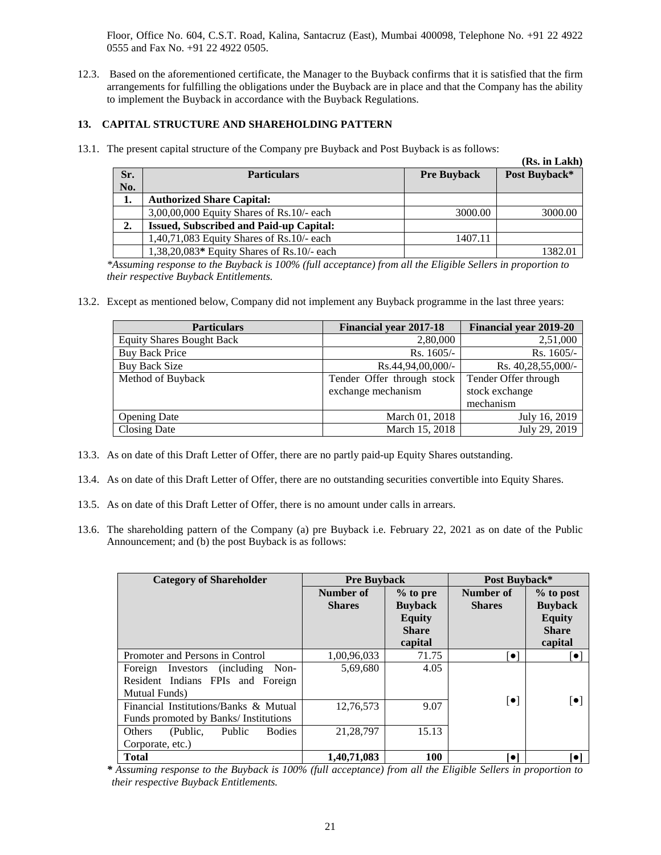Floor, Office No. 604, C.S.T. Road, Kalina, Santacruz (East), Mumbai 400098, Telephone No. +91 22 4922 0555 and Fax No. +91 22 4922 0505.

12.3. Based on the aforementioned certificate, the Manager to the Buyback confirms that it is satisfied that the firm arrangements for fulfilling the obligations under the Buyback are in place and that the Company has the ability to implement the Buyback in accordance with the Buyback Regulations.

# **13. CAPITAL STRUCTURE AND SHAREHOLDING PATTERN**

13.1. The present capital structure of the Company pre Buyback and Post Buyback is as follows:

|     |                                                |                    | (Rs. in Lakh) |
|-----|------------------------------------------------|--------------------|---------------|
| Sr. | <b>Particulars</b>                             | <b>Pre Buyback</b> | Post Buyback* |
| No. |                                                |                    |               |
| 1.  | <b>Authorized Share Capital:</b>               |                    |               |
|     | $3,00,00,000$ Equity Shares of Rs. $10/-$ each | 3000.00            | 3000.00       |
| 2.  | <b>Issued, Subscribed and Paid-up Capital:</b> |                    |               |
|     | $1,40,71,083$ Equity Shares of Rs. $10/-$ each | 1407.11            |               |
|     | $1,38,20,083*$ Equity Shares of Rs.10/- each   |                    | 1382.01       |

*\*Assuming response to the Buyback is 100% (full acceptance) from all the Eligible Sellers in proportion to their respective Buyback Entitlements.*

13.2. Except as mentioned below, Company did not implement any Buyback programme in the last three years:

| <b>Particulars</b>               | <b>Financial year 2017-18</b> | <b>Financial year 2019-20</b> |  |
|----------------------------------|-------------------------------|-------------------------------|--|
| <b>Equity Shares Bought Back</b> | 2,80,000                      | 2,51,000                      |  |
| <b>Buy Back Price</b>            | $Rs. 1605/-$                  | Rs. 1605/-                    |  |
| Buy Back Size                    | $Rs.44,94,00,000/$ -          | Rs. 40,28,55,000/-            |  |
| Method of Buyback                | Tender Offer through stock    | Tender Offer through          |  |
|                                  | exchange mechanism            | stock exchange                |  |
|                                  |                               | mechanism                     |  |
| <b>Opening Date</b>              | March 01, 2018                | July 16, 2019                 |  |
| <b>Closing Date</b>              | March 15, 2018                | July 29, 2019                 |  |

- 13.3. As on date of this Draft Letter of Offer, there are no partly paid-up Equity Shares outstanding.
- 13.4. As on date of this Draft Letter of Offer, there are no outstanding securities convertible into Equity Shares.
- 13.5. As on date of this Draft Letter of Offer, there is no amount under calls in arrears.
- 13.6. The shareholding pattern of the Company (a) pre Buyback i.e. February 22, 2021 as on date of the Public Announcement; and (b) the post Buyback is as follows:

| <b>Category of Shareholder</b>                | <b>Pre Buyback</b> |                         | Post Buyback*                      |                         |  |
|-----------------------------------------------|--------------------|-------------------------|------------------------------------|-------------------------|--|
|                                               | Number of          | % to pre                | Number of                          | % to post               |  |
|                                               | <b>Shares</b>      | <b>Buyback</b>          | <b>Shares</b>                      | <b>Buyback</b>          |  |
|                                               |                    | <b>Equity</b>           |                                    | <b>Equity</b>           |  |
|                                               |                    | <b>Share</b><br>capital |                                    | <b>Share</b>            |  |
|                                               |                    |                         |                                    | capital                 |  |
| Promoter and Persons in Control               | 1,00,96,033        | 71.75                   | $\left\lceil \bullet \right\rceil$ | [0]                     |  |
| (including)<br>Non-<br>Investors<br>Foreign   | 5,69,680           | 4.05                    |                                    |                         |  |
| Resident Indians FPIs and Foreign             |                    |                         |                                    |                         |  |
| <b>Mutual Funds</b> )                         |                    |                         |                                    |                         |  |
| Financial Institutions/Banks & Mutual         | 12,76,573          | 9.07                    | $[\bullet]$                        | $\lceil \bullet \rceil$ |  |
| Funds promoted by Banks/Institutions          |                    |                         |                                    |                         |  |
| (Public,<br>Public<br><b>Bodies</b><br>Others | 21, 28, 797        | 15.13                   |                                    |                         |  |
| Corporate, etc.)                              |                    |                         |                                    |                         |  |
| <b>Total</b>                                  | 1.40.71.083        | <b>100</b>              | l ol                               | Гoі                     |  |

*\* Assuming response to the Buyback is 100% (full acceptance) from all the Eligible Sellers in proportion to their respective Buyback Entitlements.*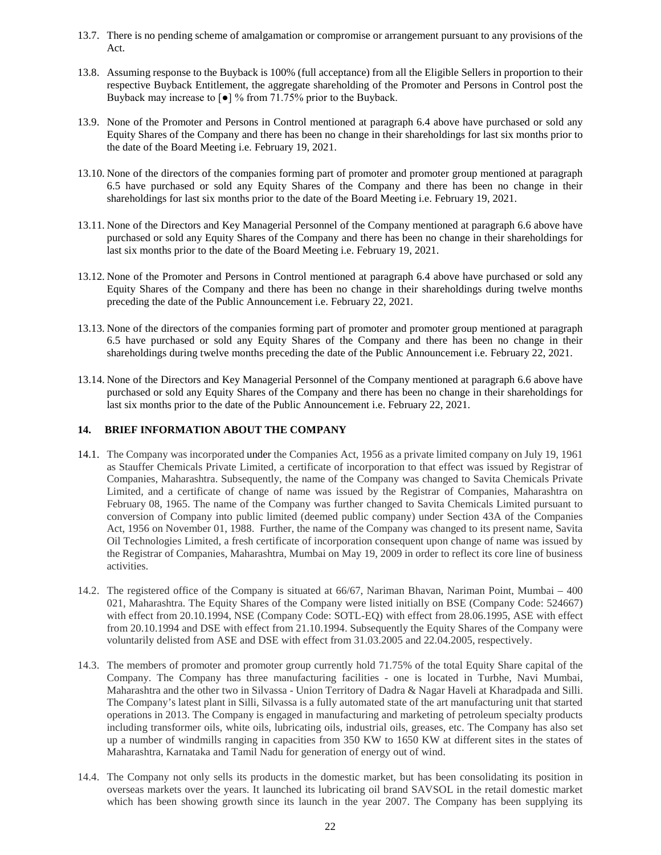- 13.7. There is no pending scheme of amalgamation or compromise or arrangement pursuant to any provisions of the Act.
- 13.8. Assuming response to the Buyback is 100% (full acceptance) from all the Eligible Sellers in proportion to their respective Buyback Entitlement, the aggregate shareholding of the Promoter and Persons in Control post the Buyback may increase to [●] % from 71.75% prior to the Buyback.
- 13.9. None of the Promoter and Persons in Control mentioned at paragraph 6.4 above have purchased or sold any Equity Shares of the Company and there has been no change in their shareholdings for last six months prior to the date of the Board Meeting i.e. February 19, 2021.
- 13.10. None of the directors of the companies forming part of promoter and promoter group mentioned at paragraph 6.5 have purchased or sold any Equity Shares of the Company and there has been no change in their shareholdings for last six months prior to the date of the Board Meeting i.e. February 19, 2021.
- 13.11. None of the Directors and Key Managerial Personnel of the Company mentioned at paragraph 6.6 above have purchased or sold any Equity Shares of the Company and there has been no change in their shareholdings for last six months prior to the date of the Board Meeting i.e. February 19, 2021.
- 13.12. None of the Promoter and Persons in Control mentioned at paragraph 6.4 above have purchased or sold any Equity Shares of the Company and there has been no change in their shareholdings during twelve months preceding the date of the Public Announcement i.e. February 22, 2021.
- 13.13. None of the directors of the companies forming part of promoter and promoter group mentioned at paragraph 6.5 have purchased or sold any Equity Shares of the Company and there has been no change in their shareholdings during twelve months preceding the date of the Public Announcement i.e. February 22, 2021.
- 13.14. None of the Directors and Key Managerial Personnel of the Company mentioned at paragraph 6.6 above have purchased or sold any Equity Shares of the Company and there has been no change in their shareholdings for last six months prior to the date of the Public Announcement i.e. February 22, 2021.

## **14. BRIEF INFORMATION ABOUT THE COMPANY**

- 14.1. The Company was incorporated under the Companies Act, 1956 as a private limited company on July 19, 1961 as Stauffer Chemicals Private Limited, a certificate of incorporation to that effect was issued by Registrar of Companies, Maharashtra. Subsequently, the name of the Company was changed to Savita Chemicals Private Limited, and a certificate of change of name was issued by the Registrar of Companies, Maharashtra on February 08, 1965. The name of the Company was further changed to Savita Chemicals Limited pursuant to conversion of Company into public limited (deemed public company) under Section 43A of the Companies Act, 1956 on November 01, 1988. Further, the name of the Company was changed to its present name, Savita Oil Technologies Limited, a fresh certificate of incorporation consequent upon change of name was issued by the Registrar of Companies, Maharashtra, Mumbai on May 19, 2009 in order to reflect its core line of business activities.
- 14.2. The registered office of the Company is situated at 66/67, Nariman Bhavan, Nariman Point, Mumbai 400 021, Maharashtra. The Equity Shares of the Company were listed initially on BSE (Company Code: 524667) with effect from 20.10.1994, NSE (Company Code: SOTL-EQ) with effect from 28.06.1995, ASE with effect from 20.10.1994 and DSE with effect from 21.10.1994. Subsequently the Equity Shares of the Company were voluntarily delisted from ASE and DSE with effect from 31.03.2005 and 22.04.2005, respectively.
- 14.3. The members of promoter and promoter group currently hold 71.75% of the total Equity Share capital of the Company. The Company has three manufacturing facilities - one is located in Turbhe, Navi Mumbai, Maharashtra and the other two in Silvassa - Union Territory of Dadra & Nagar Haveli at Kharadpada and Silli. The Company's latest plant in Silli, Silvassa is a fully automated state of the art manufacturing unit that started operations in 2013. The Company is engaged in manufacturing and marketing of petroleum specialty products including transformer oils, white oils, lubricating oils, industrial oils, greases, etc. The Company has also set up a number of windmills ranging in capacities from 350 KW to 1650 KW at different sites in the states of Maharashtra, Karnataka and Tamil Nadu for generation of energy out of wind.
- 14.4. The Company not only sells its products in the domestic market, but has been consolidating its position in overseas markets over the years. It launched its lubricating oil brand SAVSOL in the retail domestic market which has been showing growth since its launch in the year 2007. The Company has been supplying its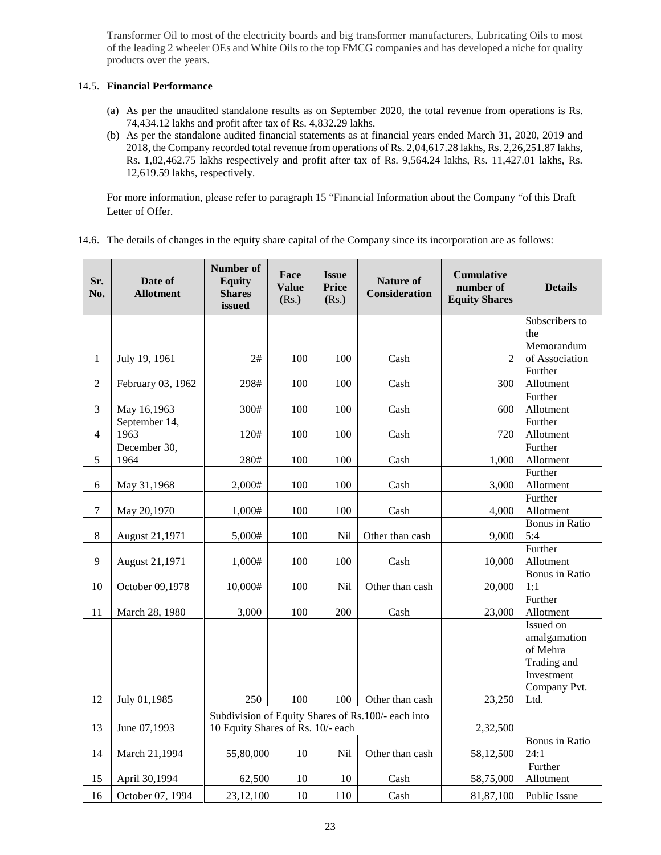Transformer Oil to most of the electricity boards and big transformer manufacturers, Lubricating Oils to most of the leading 2 wheeler OEs and White Oils to the top FMCG companies and has developed a niche for quality products over the years.

## 14.5. **Financial Performance**

- (a) As per the unaudited standalone results as on September 2020, the total revenue from operations is Rs. 74,434.12 lakhs and profit after tax of Rs. 4,832.29 lakhs.
- (b) As per the standalone audited financial statements as at financial years ended March 31, 2020, 2019 and 2018, the Company recorded total revenue from operations of Rs. 2,04,617.28 lakhs, Rs. 2,26,251.87 lakhs, Rs. 1,82,462.75 lakhs respectively and profit after tax of Rs. 9,564.24 lakhs, Rs. 11,427.01 lakhs, Rs. 12,619.59 lakhs, respectively.

For more information, please refer to paragraph 15 "Financial Information about the Company "of this Draft Letter of Offer.

| 14.6. The details of changes in the equity share capital of the Company since its incorporation are as follows: |  |  |  |  |
|-----------------------------------------------------------------------------------------------------------------|--|--|--|--|

| Sr.<br>No.     | Date of<br><b>Allotment</b> | Number of<br><b>Equity</b><br><b>Shares</b><br>issued | Face<br><b>Value</b><br>(Rs.)     | <b>Issue</b><br><b>Price</b><br>(Rs.) | <b>Nature of</b><br><b>Consideration</b>           | <b>Cumulative</b><br>number of<br><b>Equity Shares</b> | <b>Details</b>        |
|----------------|-----------------------------|-------------------------------------------------------|-----------------------------------|---------------------------------------|----------------------------------------------------|--------------------------------------------------------|-----------------------|
|                |                             |                                                       |                                   |                                       |                                                    |                                                        | Subscribers to        |
|                |                             |                                                       |                                   |                                       |                                                    |                                                        | the                   |
|                |                             |                                                       |                                   |                                       |                                                    |                                                        | Memorandum            |
| $\mathbf{1}$   | July 19, 1961               | 2#                                                    | 100                               | 100                                   | Cash                                               | $\overline{2}$                                         | of Association        |
|                |                             |                                                       |                                   |                                       |                                                    |                                                        | Further               |
| $\sqrt{2}$     | February 03, 1962           | 298#                                                  | 100                               | 100                                   | Cash                                               | 300                                                    | Allotment             |
|                |                             |                                                       |                                   |                                       |                                                    |                                                        | Further               |
| 3              | May 16,1963                 | 300#                                                  | 100                               | 100                                   | Cash                                               | 600                                                    | Allotment             |
|                | September 14,               |                                                       |                                   |                                       |                                                    |                                                        | Further               |
| $\overline{4}$ | 1963<br>December 30,        | 120#                                                  | 100                               | 100                                   | Cash                                               | 720                                                    | Allotment<br>Further  |
| $\sqrt{5}$     | 1964                        | 280#                                                  | 100                               | 100                                   | Cash                                               |                                                        |                       |
|                |                             |                                                       |                                   |                                       |                                                    | 1,000                                                  | Allotment<br>Further  |
| 6              |                             | 2,000#                                                | 100                               | 100                                   | Cash                                               | 3,000                                                  | Allotment             |
|                | May 31,1968                 |                                                       |                                   |                                       |                                                    |                                                        | Further               |
| $\tau$         | May 20,1970                 | 1,000#                                                | 100                               | 100                                   | Cash                                               | 4,000                                                  | Allotment             |
|                |                             |                                                       |                                   |                                       |                                                    |                                                        | <b>Bonus</b> in Ratio |
| $\,8\,$        | August 21,1971              | 5,000#                                                | 100                               | Nil                                   | Other than cash                                    | 9,000                                                  | 5:4                   |
|                |                             |                                                       |                                   |                                       |                                                    |                                                        | Further               |
| $\mathbf{9}$   | August 21,1971              | 1,000#                                                | 100                               | 100                                   | Cash                                               | 10,000                                                 | Allotment             |
|                |                             |                                                       |                                   |                                       |                                                    |                                                        | <b>Bonus</b> in Ratio |
| 10             | October 09,1978             | 10,000#                                               | 100                               | Nil                                   | Other than cash                                    | 20,000                                                 | 1:1                   |
|                |                             |                                                       |                                   |                                       |                                                    |                                                        | Further               |
| 11             | March 28, 1980              | 3,000                                                 | 100                               | 200                                   | Cash                                               | 23,000                                                 | Allotment             |
|                |                             |                                                       |                                   |                                       |                                                    |                                                        | Issued on             |
|                |                             |                                                       |                                   |                                       |                                                    |                                                        | amalgamation          |
|                |                             |                                                       |                                   |                                       |                                                    |                                                        | of Mehra              |
|                |                             |                                                       |                                   |                                       |                                                    |                                                        | Trading and           |
|                |                             |                                                       |                                   |                                       |                                                    |                                                        | Investment            |
|                |                             |                                                       |                                   |                                       |                                                    |                                                        | Company Pvt.          |
| 12             | July 01,1985                | 250                                                   | 100                               | 100                                   | Other than cash                                    | 23,250                                                 | Ltd.                  |
|                |                             |                                                       |                                   |                                       | Subdivision of Equity Shares of Rs.100/- each into |                                                        |                       |
| 13             | June 07,1993                |                                                       | 10 Equity Shares of Rs. 10/- each |                                       | 2,32,500                                           |                                                        |                       |
|                |                             |                                                       |                                   |                                       |                                                    |                                                        | <b>Bonus</b> in Ratio |
| 14             | March 21,1994               | 55,80,000                                             | 10                                | Nil                                   | Other than cash                                    | 58,12,500                                              | 24:1                  |
|                |                             |                                                       |                                   |                                       |                                                    |                                                        | Further               |
| 15             | April 30,1994               | 62,500                                                | 10                                | 10                                    | Cash                                               | 58,75,000                                              | Allotment             |
| 16             | October 07, 1994            | 23,12,100                                             | 10                                | 110                                   | Cash                                               | 81,87,100                                              | <b>Public Issue</b>   |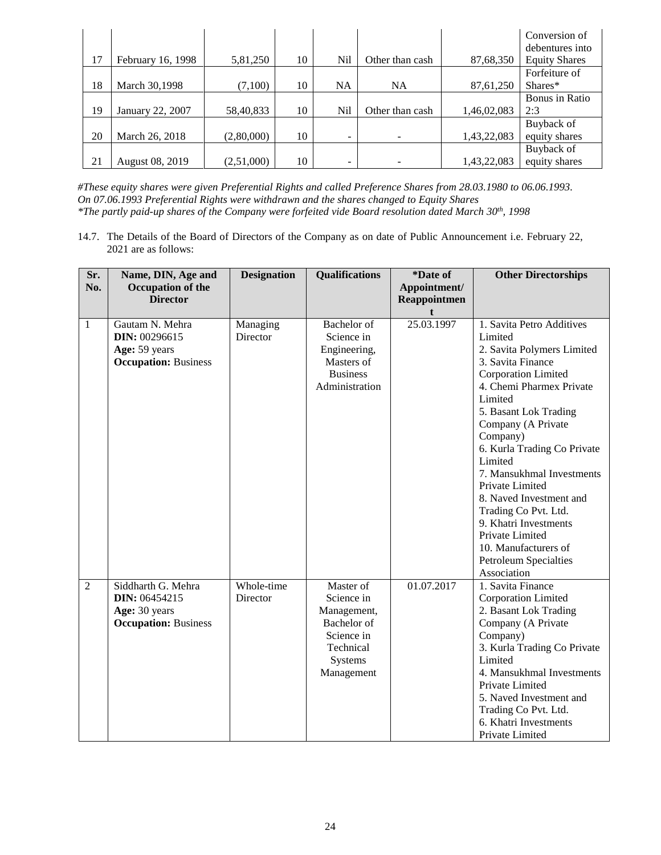|    |                   |            |    |           |                 |             | Conversion of        |
|----|-------------------|------------|----|-----------|-----------------|-------------|----------------------|
|    |                   |            |    |           |                 |             | debentures into      |
| 17 | February 16, 1998 | 5,81,250   | 10 | Nil       | Other than cash | 87,68,350   | <b>Equity Shares</b> |
|    |                   |            |    |           |                 |             | Forfeiture of        |
| 18 | March 30,1998     | (7,100)    | 10 | <b>NA</b> | <b>NA</b>       | 87,61,250   | $Shares*$            |
|    |                   |            |    |           |                 |             | Bonus in Ratio       |
| 19 | January 22, 2007  | 58,40,833  | 10 | Nil       | Other than cash | 1,46,02,083 | 2:3                  |
|    |                   |            |    |           |                 |             | Buyback of           |
| 20 | March 26, 2018    | (2,80,000) | 10 | Ξ.        |                 | 1,43,22,083 | equity shares        |
|    |                   |            |    |           |                 |             | Buyback of           |
| 21 | August 08, 2019   | (2,51,000) | 10 | -         |                 | 1,43,22,083 | equity shares        |

*#These equity shares were given Preferential Rights and called Preference Shares from 28.03.1980 to 06.06.1993. On 07.06.1993 Preferential Rights were withdrawn and the shares changed to Equity Shares \*The partly paid-up shares of the Company were forfeited vide Board resolution dated March 30th, 1998*

14.7. The Details of the Board of Directors of the Company as on date of Public Announcement i.e. February 22, 2021 are as follows:

| Sr.            | Name, DIN, Age and          | <b>Designation</b> | <b>Qualifications</b>         | *Date of     | <b>Other Directorships</b>          |
|----------------|-----------------------------|--------------------|-------------------------------|--------------|-------------------------------------|
| No.            | Occupation of the           |                    |                               | Appointment/ |                                     |
|                | <b>Director</b>             |                    |                               | Reappointmen |                                     |
|                |                             |                    |                               |              |                                     |
| $\mathbf{1}$   | Gautam N. Mehra             | Managing           | Bachelor of                   | 25.03.1997   | 1. Savita Petro Additives           |
|                | DIN: 00296615               | Director           | Science in                    |              | Limited                             |
|                | Age: 59 years               |                    | Engineering,                  |              | 2. Savita Polymers Limited          |
|                | <b>Occupation: Business</b> |                    | Masters of<br><b>Business</b> |              | 3. Savita Finance                   |
|                |                             |                    |                               |              | Corporation Limited                 |
|                |                             |                    | Administration                |              | 4. Chemi Pharmex Private<br>Limited |
|                |                             |                    |                               |              | 5. Basant Lok Trading               |
|                |                             |                    |                               |              | Company (A Private                  |
|                |                             |                    |                               |              | Company)                            |
|                |                             |                    |                               |              | 6. Kurla Trading Co Private         |
|                |                             |                    |                               |              | Limited                             |
|                |                             |                    |                               |              | 7. Mansukhmal Investments           |
|                |                             |                    |                               |              | Private Limited                     |
|                |                             |                    |                               |              | 8. Naved Investment and             |
|                |                             |                    |                               |              | Trading Co Pvt. Ltd.                |
|                |                             |                    |                               |              | 9. Khatri Investments               |
|                |                             |                    |                               |              | Private Limited                     |
|                |                             |                    |                               |              | 10. Manufacturers of                |
|                |                             |                    |                               |              | <b>Petroleum Specialties</b>        |
|                |                             |                    |                               |              | Association                         |
| $\overline{2}$ | Siddharth G. Mehra          | Whole-time         | Master of                     | 01.07.2017   | 1. Savita Finance                   |
|                | DIN: 06454215               | Director           | Science in                    |              | Corporation Limited                 |
|                | Age: 30 years               |                    | Management,                   |              | 2. Basant Lok Trading               |
|                | <b>Occupation: Business</b> |                    | Bachelor of                   |              | Company (A Private                  |
|                |                             |                    | Science in                    |              | Company)                            |
|                |                             |                    | Technical                     |              | 3. Kurla Trading Co Private         |
|                |                             |                    | Systems                       |              | Limited                             |
|                |                             |                    | Management                    |              | 4. Mansukhmal Investments           |
|                |                             |                    |                               |              | Private Limited                     |
|                |                             |                    |                               |              | 5. Naved Investment and             |
|                |                             |                    |                               |              | Trading Co Pvt. Ltd.                |
|                |                             |                    |                               |              | 6. Khatri Investments               |
|                |                             |                    |                               |              | Private Limited                     |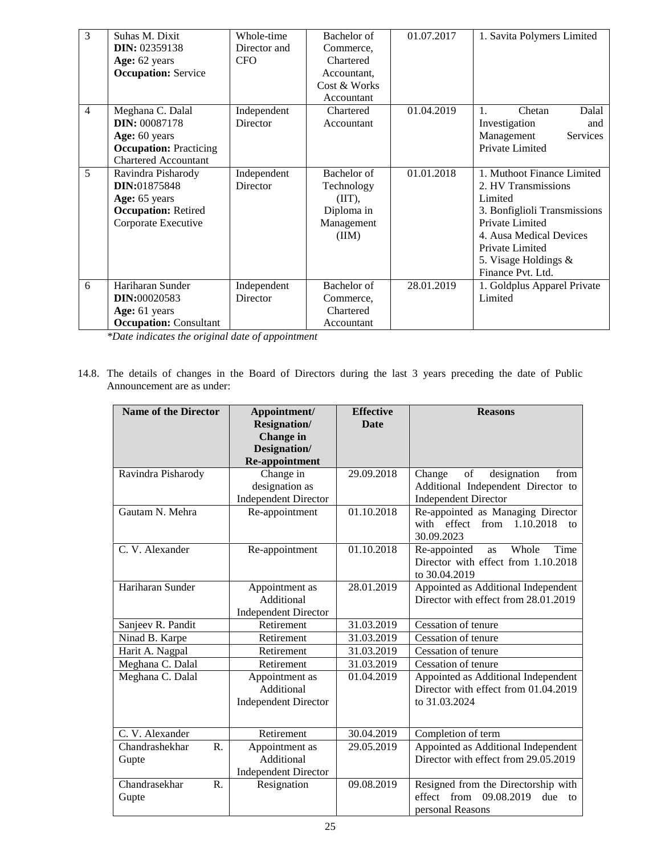| $\overline{3}$ | Suhas M. Dixit                | Whole-time      | Bachelor of  | 01.07.2017 | 1. Savita Polymers Limited   |
|----------------|-------------------------------|-----------------|--------------|------------|------------------------------|
|                | <b>DIN: 02359138</b>          | Director and    | Commerce,    |            |                              |
|                | Age: 62 years                 | <b>CFO</b>      | Chartered    |            |                              |
|                | <b>Occupation:</b> Service    |                 | Accountant.  |            |                              |
|                |                               |                 | Cost & Works |            |                              |
|                |                               |                 | Accountant   |            |                              |
| $\overline{4}$ | Meghana C. Dalal              | Independent     | Chartered    | 01.04.2019 | Chetan<br>1.<br>Dalal        |
|                | <b>DIN: 00087178</b>          | <b>Director</b> | Accountant   |            | Investigation<br>and         |
|                | Age: 60 years                 |                 |              |            | Services<br>Management       |
|                | <b>Occupation: Practicing</b> |                 |              |            | Private Limited              |
|                | <b>Chartered Accountant</b>   |                 |              |            |                              |
| 5              | Ravindra Pisharody            | Independent     | Bachelor of  | 01.01.2018 | 1. Muthoot Finance Limited   |
|                | DIN:01875848                  | Director        | Technology   |            | 2. HV Transmissions          |
|                | Age: 65 years                 |                 | (III),       |            | Limited                      |
|                | <b>Occupation: Retired</b>    |                 | Diploma in   |            | 3. Bonfiglioli Transmissions |
|                | Corporate Executive           |                 | Management   |            | Private Limited              |
|                |                               |                 | (III)        |            | 4. Ausa Medical Devices      |
|                |                               |                 |              |            | Private Limited              |
|                |                               |                 |              |            | 5. Visage Holdings $\&$      |
|                |                               |                 |              |            | Finance Pvt. Ltd.            |
| 6              | Hariharan Sunder              | Independent     | Bachelor of  | 28.01.2019 | 1. Goldplus Apparel Private  |
|                | <b>DIN:00020583</b>           | Director        | Commerce,    |            | Limited                      |
|                | Age: 61 years                 |                 | Chartered    |            |                              |
|                | <b>Occupation: Consultant</b> |                 | Accountant   |            |                              |

*\*Date indicates the original date of appointment*

14.8. The details of changes in the Board of Directors during the last 3 years preceding the date of Public Announcement are as under:

| <b>Name of the Director</b>              | Appointment/<br><b>Resignation/</b><br>Change in<br>Designation/<br>Re-appointment | <b>Effective</b><br><b>Date</b> | <b>Reasons</b>                                                                                           |
|------------------------------------------|------------------------------------------------------------------------------------|---------------------------------|----------------------------------------------------------------------------------------------------------|
| Ravindra Pisharody                       | Change in<br>designation as<br><b>Independent Director</b>                         | 29.09.2018                      | of<br>designation<br>Change<br>from<br>Additional Independent Director to<br><b>Independent Director</b> |
| Gautam N. Mehra                          | Re-appointment                                                                     | 01.10.2018                      | Re-appointed as Managing Director<br>with effect from<br>1.10.2018<br>10 <sub>o</sub><br>30.09.2023      |
| C. V. Alexander                          | Re-appointment                                                                     | 01.10.2018                      | Whole<br>Re-appointed<br>Time<br>as<br>Director with effect from 1.10.2018<br>to 30.04.2019              |
| Hariharan Sunder                         | Appointment as<br>Additional<br><b>Independent Director</b>                        | 28.01.2019                      | Appointed as Additional Independent<br>Director with effect from 28.01.2019                              |
| Sanjeev R. Pandit                        | Retirement                                                                         | 31.03.2019                      | Cessation of tenure                                                                                      |
| Ninad B. Karpe                           | Retirement                                                                         | 31.03.2019                      | Cessation of tenure                                                                                      |
| Harit A. Nagpal                          | Retirement                                                                         | 31.03.2019                      | Cessation of tenure                                                                                      |
| Meghana C. Dalal                         | Retirement                                                                         | 31.03.2019                      | Cessation of tenure                                                                                      |
| Meghana C. Dalal                         | Appointment as<br>Additional<br><b>Independent Director</b>                        | 01.04.2019                      | Appointed as Additional Independent<br>Director with effect from 01.04.2019<br>to 31.03.2024             |
| C. V. Alexander                          | Retirement                                                                         | 30.04.2019                      | Completion of term                                                                                       |
| Chandrashekhar<br>R.<br>Gupte            | Appointment as<br>Additional<br><b>Independent Director</b>                        | 29.05.2019                      | Appointed as Additional Independent<br>Director with effect from 29.05.2019                              |
| Chandrasekhar<br>$\mathbf{R}$ .<br>Gupte | Resignation                                                                        | 09.08.2019                      | Resigned from the Directorship with<br>effect from 09.08.2019<br>due<br>to<br>personal Reasons           |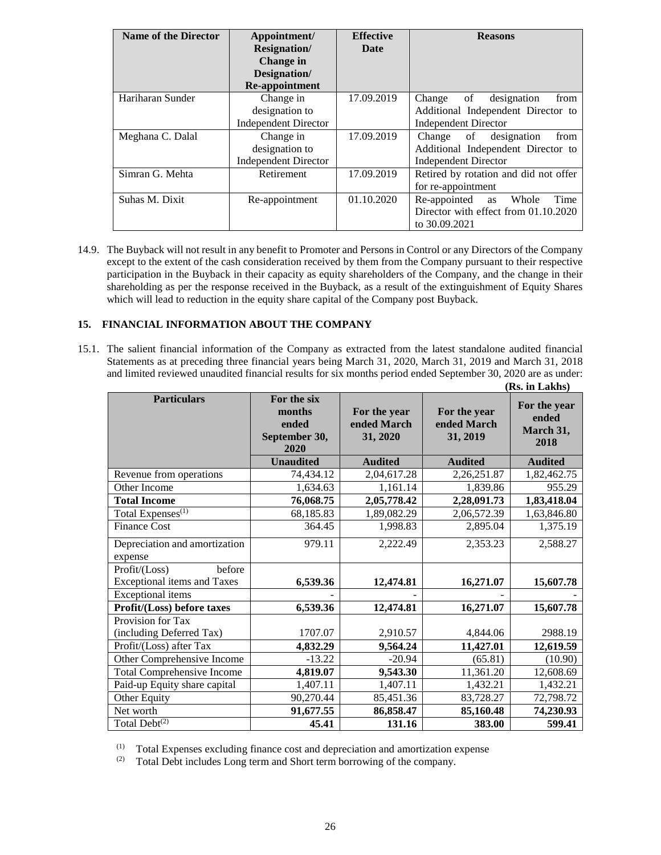| <b>Name of the Director</b> | Appointment/                | <b>Effective</b> | <b>Reasons</b>                        |
|-----------------------------|-----------------------------|------------------|---------------------------------------|
|                             | <b>Resignation</b> /        | Date             |                                       |
|                             | Change in                   |                  |                                       |
|                             | Designation/                |                  |                                       |
|                             | Re-appointment              |                  |                                       |
| Hariharan Sunder            | Change in                   | 17.09.2019       | designation<br>Change<br>of<br>from   |
|                             | designation to              |                  | Additional Independent Director to    |
|                             | <b>Independent Director</b> |                  | <b>Independent Director</b>           |
| Meghana C. Dalal            | Change in                   | 17.09.2019       | Change of designation<br>from         |
|                             | designation to              |                  | Additional Independent Director to    |
|                             | <b>Independent Director</b> |                  | <b>Independent Director</b>           |
| Simran G. Mehta             | Retirement                  | 17.09.2019       | Retired by rotation and did not offer |
|                             |                             |                  | for re-appointment                    |
| Suhas M. Dixit              | Re-appointment              | 01.10.2020       | Time<br>Re-appointed<br>Whole<br>as   |
|                             |                             |                  | Director with effect from 01.10.2020  |
|                             |                             |                  | to 30.09.2021                         |

14.9. The Buyback will not result in any benefit to Promoter and Persons in Control or any Directors of the Company except to the extent of the cash consideration received by them from the Company pursuant to their respective participation in the Buyback in their capacity as equity shareholders of the Company, and the change in their shareholding as per the response received in the Buyback, as a result of the extinguishment of Equity Shares which will lead to reduction in the equity share capital of the Company post Buyback.

## **15. FINANCIAL INFORMATION ABOUT THE COMPANY**

15.1. The salient financial information of the Company as extracted from the latest standalone audited financial Statements as at preceding three financial years being March 31, 2020, March 31, 2019 and March 31, 2018 and limited reviewed unaudited financial results for six months period ended September 30, 2020 are as under: **(Rs. in Lakhs)**

| <b>Particulars</b>                 | For the six<br>months<br>ended<br>September 30,<br>2020 | For the year<br>ended March<br>31, 2020 | For the year<br>ended March<br>31, 2019 | For the year<br>ended<br>March 31,<br>2018 |
|------------------------------------|---------------------------------------------------------|-----------------------------------------|-----------------------------------------|--------------------------------------------|
|                                    | <b>Unaudited</b>                                        | <b>Audited</b>                          | <b>Audited</b>                          | <b>Audited</b>                             |
| Revenue from operations            | 74,434.12                                               | 2,04,617.28                             | 2,26,251.87                             | 1,82,462.75                                |
| Other Income                       | 1,634.63                                                | 1,161.14                                | 1,839.86                                | 955.29                                     |
| <b>Total Income</b>                | 76,068.75                                               | 2,05,778.42                             | 2,28,091.73                             | 1,83,418.04                                |
| Total Expenses $\sqrt{(1)}$        | 68,185.83                                               | 1,89,082.29                             | 2,06,572.39                             | 1,63,846.80                                |
| <b>Finance Cost</b>                | 364.45                                                  | 1,998.83                                | 2,895.04                                | 1,375.19                                   |
| Depreciation and amortization      | 979.11                                                  | 2,222.49                                | 2,353.23                                | 2,588.27                                   |
| expense                            |                                                         |                                         |                                         |                                            |
| Profit/(Loss)<br>before            |                                                         |                                         |                                         |                                            |
| <b>Exceptional items and Taxes</b> | 6,539.36                                                | 12,474.81                               | 16,271.07                               | 15,607.78                                  |
| <b>Exceptional</b> items           |                                                         |                                         |                                         |                                            |
| Profit/(Loss) before taxes         | 6,539.36                                                | 12,474.81                               | 16,271.07                               | 15,607.78                                  |
| Provision for Tax                  |                                                         |                                         |                                         |                                            |
| (including Deferred Tax)           | 1707.07                                                 | 2,910.57                                | 4,844.06                                | 2988.19                                    |
| Profit/(Loss) after Tax            | 4,832.29                                                | 9,564.24                                | 11,427.01                               | 12,619.59                                  |
| Other Comprehensive Income         | $-13.22$                                                | $-20.94$                                | (65.81)                                 | (10.90)                                    |
| <b>Total Comprehensive Income</b>  | 4,819.07                                                | 9,543.30                                | 11,361.20                               | 12,608.69                                  |
| Paid-up Equity share capital       | 1,407.11                                                | 1,407.11                                | 1,432.21                                | 1,432.21                                   |
| Other Equity                       | 90,270.44                                               | 85,451.36                               | 83,728.27                               | 72,798.72                                  |
| Net worth                          | 91,677.55                                               | 86,858.47                               | 85,160.48                               | 74,230.93                                  |
| Total Debt $^{(2)}$                | 45.41                                                   | 131.16                                  | 383.00                                  | 599.41                                     |

(1) Total Expenses excluding finance cost and depreciation and amortization expense (2) Total Debt includes Long term and Short term borrowing of the company.

Total Debt includes Long term and Short term borrowing of the company.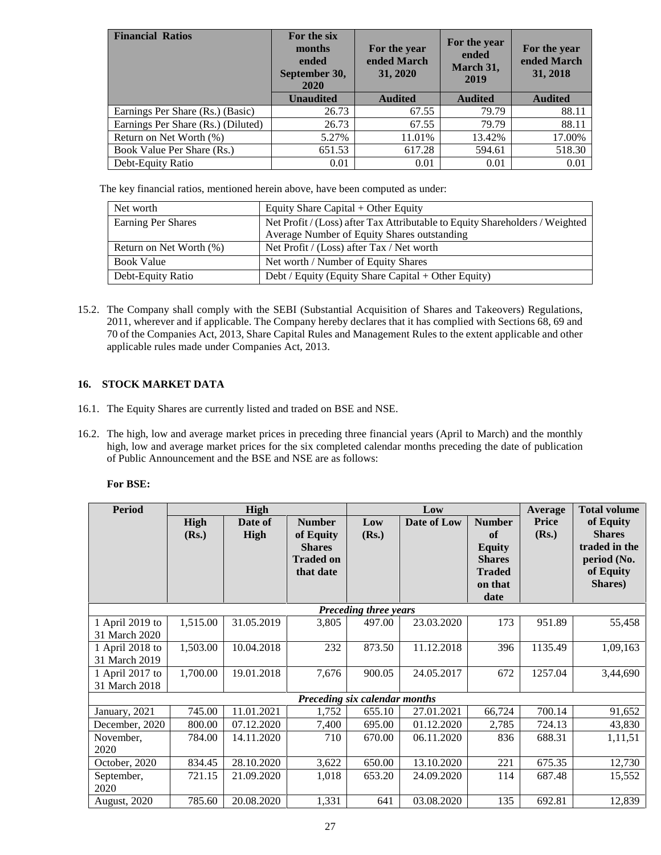| <b>Financial Ratios</b>            | For the six<br>months<br>ended<br>September 30,<br>2020 | For the year<br>ended March<br>31, 2020 | For the year<br>ended<br>March 31,<br>2019 | For the year<br>ended March<br>31, 2018 |
|------------------------------------|---------------------------------------------------------|-----------------------------------------|--------------------------------------------|-----------------------------------------|
|                                    | <b>Unaudited</b>                                        | <b>Audited</b>                          | <b>Audited</b>                             | <b>Audited</b>                          |
| Earnings Per Share (Rs.) (Basic)   | 26.73                                                   | 67.55                                   | 79.79                                      | 88.11                                   |
| Earnings Per Share (Rs.) (Diluted) | 26.73                                                   | 67.55                                   | 79.79                                      | 88.11                                   |
| Return on Net Worth (%)            | 5.27%                                                   | 11.01%                                  | 13.42%                                     | 17.00%                                  |
| Book Value Per Share (Rs.)         | 651.53                                                  | 617.28                                  | 594.61                                     | 518.30                                  |
| Debt-Equity Ratio                  | 0.01                                                    | 0.01                                    | 0.01                                       | 0.01                                    |

The key financial ratios, mentioned herein above, have been computed as under:

| Net worth               | Equity Share Capital + Other Equity                                          |
|-------------------------|------------------------------------------------------------------------------|
| Earning Per Shares      | Net Profit / (Loss) after Tax Attributable to Equity Shareholders / Weighted |
|                         | Average Number of Equity Shares outstanding                                  |
| Return on Net Worth (%) | Net Profit / (Loss) after Tax / Net worth                                    |
| <b>Book Value</b>       | Net worth / Number of Equity Shares                                          |
| Debt-Equity Ratio       | Debt / Equity (Equity Share Capital + Other Equity)                          |

15.2. The Company shall comply with the SEBI (Substantial Acquisition of Shares and Takeovers) Regulations, 2011, wherever and if applicable. The Company hereby declares that it has complied with Sections 68, 69 and 70 of the Companies Act, 2013, Share Capital Rules and Management Rules to the extent applicable and other applicable rules made under Companies Act, 2013.

# **16. STOCK MARKET DATA**

- 16.1. The Equity Shares are currently listed and traded on BSE and NSE.
- 16.2. The high, low and average market prices in preceding three financial years (April to March) and the monthly high, low and average market prices for the six completed calendar months preceding the date of publication of Public Announcement and the BSE and NSE are as follows:

## **For BSE:**

| <b>Period</b>       | High     |            |                  | Low                           |             |               | Average | <b>Total volume</b> |
|---------------------|----------|------------|------------------|-------------------------------|-------------|---------------|---------|---------------------|
|                     | High     | Date of    | <b>Number</b>    | Low                           | Date of Low | <b>Number</b> | Price   | of Equity           |
|                     | (Rs.)    | High       | of Equity        | (Rs.)                         |             | of            | (Rs.)   | <b>Shares</b>       |
|                     |          |            | <b>Shares</b>    |                               |             | <b>Equity</b> |         | traded in the       |
|                     |          |            | <b>Traded on</b> |                               |             | <b>Shares</b> |         | period (No.         |
|                     |          |            | that date        |                               |             | <b>Traded</b> |         | of Equity           |
|                     |          |            |                  |                               |             | on that       |         | Shares)             |
|                     |          |            |                  |                               |             | date          |         |                     |
|                     |          |            |                  | Preceding three years         |             |               |         |                     |
| 1 April 2019 to     | 1,515.00 | 31.05.2019 | 3,805            | 497.00                        | 23.03.2020  | 173           | 951.89  | 55,458              |
| 31 March 2020       |          |            |                  |                               |             |               |         |                     |
| 1 April 2018 to     | 1,503.00 | 10.04.2018 | 232              | 873.50                        | 11.12.2018  | 396           | 1135.49 | 1,09,163            |
| 31 March 2019       |          |            |                  |                               |             |               |         |                     |
| 1 April 2017 to     | 1,700.00 | 19.01.2018 | 7,676            | 900.05                        | 24.05.2017  | 672           | 1257.04 | 3,44,690            |
| 31 March 2018       |          |            |                  |                               |             |               |         |                     |
|                     |          |            |                  | Preceding six calendar months |             |               |         |                     |
| January, 2021       | 745.00   | 11.01.2021 | 1,752            | 655.10                        | 27.01.2021  | 66,724        | 700.14  | 91,652              |
| December, 2020      | 800.00   | 07.12.2020 | 7,400            | 695.00                        | 01.12.2020  | 2,785         | 724.13  | 43,830              |
| November,           | 784.00   | 14.11.2020 | 710              | 670.00                        | 06.11.2020  | 836           | 688.31  | 1,11,51             |
| 2020                |          |            |                  |                               |             |               |         |                     |
| October, 2020       | 834.45   | 28.10.2020 | 3,622            | 650.00                        | 13.10.2020  | 221           | 675.35  | 12,730              |
| September,          | 721.15   | 21.09.2020 | 1,018            | 653.20                        | 24.09.2020  | 114           | 687.48  | 15,552              |
| 2020                |          |            |                  |                               |             |               |         |                     |
| <b>August, 2020</b> | 785.60   | 20.08.2020 | 1,331            | 641                           | 03.08.2020  | 135           | 692.81  | 12,839              |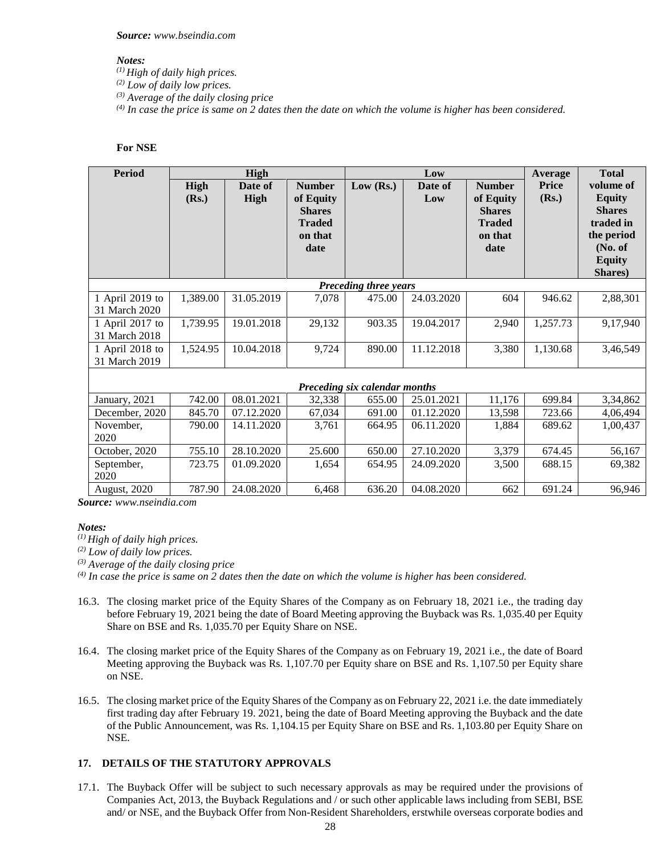*Source: www.bseindia.com*

#### *Notes:*

*(1) High of daily high prices.*

*(2) Low of daily low prices.*

*(3) Average of the daily closing price*

*(4) In case the price is same on 2 dates then the date on which the volume is higher has been considered.*

## **For NSE**

| <b>Period</b>   |          | <b>High</b> |                                                                |                               | Low        |                                                                | <b>Average</b> | <b>Total</b>                                                                         |
|-----------------|----------|-------------|----------------------------------------------------------------|-------------------------------|------------|----------------------------------------------------------------|----------------|--------------------------------------------------------------------------------------|
|                 | High     | Date of     | <b>Number</b>                                                  | Low $(Rs.)$                   | Date of    | <b>Number</b>                                                  | <b>Price</b>   | volume of                                                                            |
|                 | (Rs.)    | High        | of Equity<br><b>Shares</b><br><b>Traded</b><br>on that<br>date |                               | Low        | of Equity<br><b>Shares</b><br><b>Traded</b><br>on that<br>date | (Rs.)          | <b>Equity</b><br><b>Shares</b><br>traded in<br>the period<br>No. of<br><b>Equity</b> |
|                 |          |             |                                                                | <b>Preceding three years</b>  |            |                                                                |                | Shares)                                                                              |
| 1 April 2019 to | 1,389.00 | 31.05.2019  | 7,078                                                          | 475.00                        | 24.03.2020 | 604                                                            | 946.62         | 2,88,301                                                                             |
| 31 March 2020   |          |             |                                                                |                               |            |                                                                |                |                                                                                      |
| 1 April 2017 to | 1,739.95 | 19.01.2018  | 29,132                                                         | 903.35                        | 19.04.2017 | 2,940                                                          | 1,257.73       | 9,17,940                                                                             |
| 31 March 2018   |          |             |                                                                |                               |            |                                                                |                |                                                                                      |
| 1 April 2018 to | 1,524.95 | 10.04.2018  | 9,724                                                          | 890.00                        | 11.12.2018 | 3,380                                                          | 1,130.68       | 3,46,549                                                                             |
| 31 March 2019   |          |             |                                                                |                               |            |                                                                |                |                                                                                      |
|                 |          |             |                                                                | Preceding six calendar months |            |                                                                |                |                                                                                      |
| January, 2021   | 742.00   | 08.01.2021  | 32,338                                                         | 655.00                        | 25.01.2021 | 11,176                                                         | 699.84         | 3,34,862                                                                             |
| December, 2020  | 845.70   | 07.12.2020  | 67,034                                                         | 691.00                        | 01.12.2020 | 13,598                                                         | 723.66         | 4,06,494                                                                             |
| November,       | 790.00   | 14.11.2020  | 3,761                                                          | 664.95                        | 06.11.2020 | 1,884                                                          | 689.62         | 1,00,437                                                                             |
| 2020            |          |             |                                                                |                               |            |                                                                |                |                                                                                      |
| October, 2020   | 755.10   | 28.10.2020  | 25.600                                                         | 650.00                        | 27.10.2020 | 3,379                                                          | 674.45         | 56,167                                                                               |
| September,      | 723.75   | 01.09.2020  | 1,654                                                          | 654.95                        | 24.09.2020 | 3,500                                                          | 688.15         | 69,382                                                                               |
| 2020            |          |             |                                                                |                               |            |                                                                |                |                                                                                      |
| August, 2020    | 787.90   | 24.08.2020  | 6,468                                                          | 636.20                        | 04.08.2020 | 662                                                            | 691.24         | 96,946                                                                               |

*Source: www.nseindia.com*

#### *Notes:*

*(1) High of daily high prices.*

*(2) Low of daily low prices.*

*(3) Average of the daily closing price*

*(4) In case the price is same on 2 dates then the date on which the volume is higher has been considered.*

- 16.3. The closing market price of the Equity Shares of the Company as on February 18, 2021 i.e., the trading day before February 19, 2021 being the date of Board Meeting approving the Buyback was Rs. 1,035.40 per Equity Share on BSE and Rs. 1,035.70 per Equity Share on NSE.
- 16.4. The closing market price of the Equity Shares of the Company as on February 19, 2021 i.e., the date of Board Meeting approving the Buyback was Rs. 1,107.70 per Equity share on BSE and Rs. 1,107.50 per Equity share on NSE.
- 16.5. The closing market price of the Equity Shares of the Company as on February 22, 2021 i.e. the date immediately first trading day after February 19. 2021, being the date of Board Meeting approving the Buyback and the date of the Public Announcement, was Rs. 1,104.15 per Equity Share on BSE and Rs. 1,103.80 per Equity Share on NSE.

# **17. DETAILS OF THE STATUTORY APPROVALS**

17.1. The Buyback Offer will be subject to such necessary approvals as may be required under the provisions of Companies Act, 2013, the Buyback Regulations and / or such other applicable laws including from SEBI, BSE and/ or NSE, and the Buyback Offer from Non-Resident Shareholders, erstwhile overseas corporate bodies and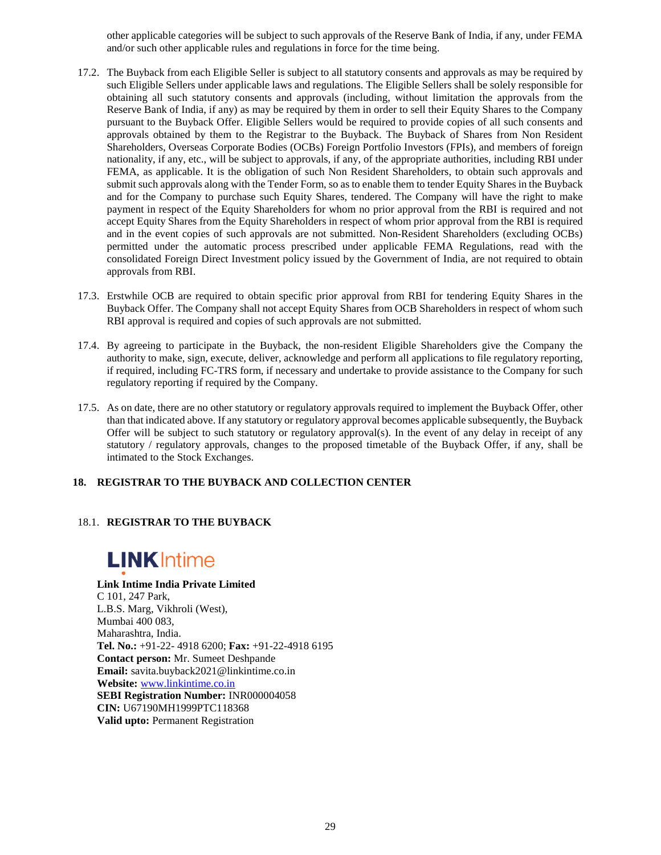other applicable categories will be subject to such approvals of the Reserve Bank of India, if any, under FEMA and/or such other applicable rules and regulations in force for the time being.

- 17.2. The Buyback from each Eligible Seller is subject to all statutory consents and approvals as may be required by such Eligible Sellers under applicable laws and regulations. The Eligible Sellers shall be solely responsible for obtaining all such statutory consents and approvals (including, without limitation the approvals from the Reserve Bank of India, if any) as may be required by them in order to sell their Equity Shares to the Company pursuant to the Buyback Offer. Eligible Sellers would be required to provide copies of all such consents and approvals obtained by them to the Registrar to the Buyback. The Buyback of Shares from Non Resident Shareholders, Overseas Corporate Bodies (OCBs) Foreign Portfolio Investors (FPIs), and members of foreign nationality, if any, etc., will be subject to approvals, if any, of the appropriate authorities, including RBI under FEMA, as applicable. It is the obligation of such Non Resident Shareholders, to obtain such approvals and submit such approvals along with the Tender Form, so as to enable them to tender Equity Shares in the Buyback and for the Company to purchase such Equity Shares, tendered. The Company will have the right to make payment in respect of the Equity Shareholders for whom no prior approval from the RBI is required and not accept Equity Shares from the Equity Shareholders in respect of whom prior approval from the RBI is required and in the event copies of such approvals are not submitted. Non-Resident Shareholders (excluding OCBs) permitted under the automatic process prescribed under applicable FEMA Regulations, read with the consolidated Foreign Direct Investment policy issued by the Government of India, are not required to obtain approvals from RBI.
- 17.3. Erstwhile OCB are required to obtain specific prior approval from RBI for tendering Equity Shares in the Buyback Offer. The Company shall not accept Equity Shares from OCB Shareholders in respect of whom such RBI approval is required and copies of such approvals are not submitted.
- 17.4. By agreeing to participate in the Buyback, the non-resident Eligible Shareholders give the Company the authority to make, sign, execute, deliver, acknowledge and perform all applications to file regulatory reporting, if required, including FC-TRS form, if necessary and undertake to provide assistance to the Company for such regulatory reporting if required by the Company.
- 17.5. As on date, there are no other statutory or regulatory approvals required to implement the Buyback Offer, other than that indicated above. If any statutory or regulatory approval becomes applicable subsequently, the Buyback Offer will be subject to such statutory or regulatory approval(s). In the event of any delay in receipt of any statutory / regulatory approvals, changes to the proposed timetable of the Buyback Offer, if any, shall be intimated to the Stock Exchanges.

## **18. REGISTRAR TO THE BUYBACK AND COLLECTION CENTER**

# 18.1. **REGISTRAR TO THE BUYBACK**

# **LINK** Intime

## **Link Intime India Private Limited**

C 101, 247 Park, L.B.S. Marg, Vikhroli (West), Mumbai 400 083, Maharashtra, India. **Tel. No.:** +91-22- 4918 6200; **Fax:** +91-22-4918 6195 **Contact person:** Mr. Sumeet Deshpande **Email:** savita.buyback2021@linkintime.co.in **Website:** www.linkintime.co.in **SEBI Registration Number:** INR000004058 **CIN:** U67190MH1999PTC118368 **Valid upto:** Permanent Registration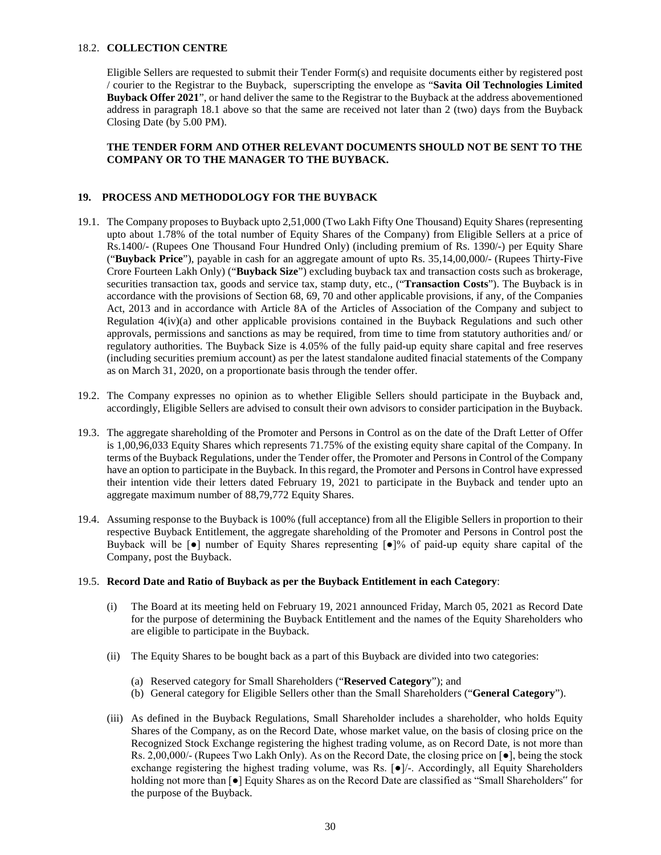## 18.2. **COLLECTION CENTRE**

Eligible Sellers are requested to submit their Tender Form(s) and requisite documents either by registered post / courier to the Registrar to the Buyback, superscripting the envelope as "**Savita Oil Technologies Limited Buyback Offer 2021**", or hand deliver the same to the Registrar to the Buyback at the address abovementioned address in paragraph 18.1 above so that the same are received not later than 2 (two) days from the Buyback Closing Date (by 5.00 PM).

## **THE TENDER FORM AND OTHER RELEVANT DOCUMENTS SHOULD NOT BE SENT TO THE COMPANY OR TO THE MANAGER TO THE BUYBACK.**

#### **19. PROCESS AND METHODOLOGY FOR THE BUYBACK**

- 19.1. The Company proposes to Buyback upto 2,51,000 (Two Lakh Fifty One Thousand) Equity Shares (representing upto about 1.78% of the total number of Equity Shares of the Company) from Eligible Sellers at a price of Rs.1400/- (Rupees One Thousand Four Hundred Only) (including premium of Rs. 1390/-) per Equity Share ("**Buyback Price**"), payable in cash for an aggregate amount of upto Rs. 35,14,00,000/- (Rupees Thirty-Five Crore Fourteen Lakh Only) ("**Buyback Size**") excluding buyback tax and transaction costs such as brokerage, securities transaction tax, goods and service tax, stamp duty, etc., ("**Transaction Costs**"). The Buyback is in accordance with the provisions of Section 68, 69, 70 and other applicable provisions, if any, of the Companies Act, 2013 and in accordance with Article 8A of the Articles of Association of the Company and subject to Regulation 4(iv)(a) and other applicable provisions contained in the Buyback Regulations and such other approvals, permissions and sanctions as may be required, from time to time from statutory authorities and/ or regulatory authorities. The Buyback Size is 4.05% of the fully paid-up equity share capital and free reserves (including securities premium account) as per the latest standalone audited finacial statements of the Company as on March 31, 2020, on a proportionate basis through the tender offer.
- 19.2. The Company expresses no opinion as to whether Eligible Sellers should participate in the Buyback and, accordingly, Eligible Sellers are advised to consult their own advisors to consider participation in the Buyback.
- 19.3. The aggregate shareholding of the Promoter and Persons in Control as on the date of the Draft Letter of Offer is 1,00,96,033 Equity Shares which represents 71.75% of the existing equity share capital of the Company. In terms of the Buyback Regulations, under the Tender offer, the Promoter and Persons in Control of the Company have an option to participate in the Buyback. In this regard, the Promoter and Persons in Control have expressed their intention vide their letters dated February 19, 2021 to participate in the Buyback and tender upto an aggregate maximum number of 88,79,772 Equity Shares.
- 19.4. Assuming response to the Buyback is 100% (full acceptance) from all the Eligible Sellers in proportion to their respective Buyback Entitlement, the aggregate shareholding of the Promoter and Persons in Control post the Buyback will be [●] number of Equity Shares representing [●]% of paid-up equity share capital of the Company, post the Buyback.

#### 19.5. **Record Date and Ratio of Buyback as per the Buyback Entitlement in each Category**:

- (i) The Board at its meeting held on February 19, 2021 announced Friday, March 05, 2021 as Record Date for the purpose of determining the Buyback Entitlement and the names of the Equity Shareholders who are eligible to participate in the Buyback.
- (ii) The Equity Shares to be bought back as a part of this Buyback are divided into two categories:
	- (a) Reserved category for Small Shareholders ("**Reserved Category**"); and
	- (b) General category for Eligible Sellers other than the Small Shareholders ("**General Category**").
- (iii) As defined in the Buyback Regulations, Small Shareholder includes a shareholder, who holds Equity Shares of the Company, as on the Record Date, whose market value, on the basis of closing price on the Recognized Stock Exchange registering the highest trading volume, as on Record Date, is not more than Rs. 2,00,000/- (Rupees Two Lakh Only). As on the Record Date, the closing price on [●], being the stock exchange registering the highest trading volume, was Rs. [ $\bullet$ ]/-. Accordingly, all Equity Shareholders holding not more than [●] Equity Shares as on the Record Date are classified as "Small Shareholders" for the purpose of the Buyback.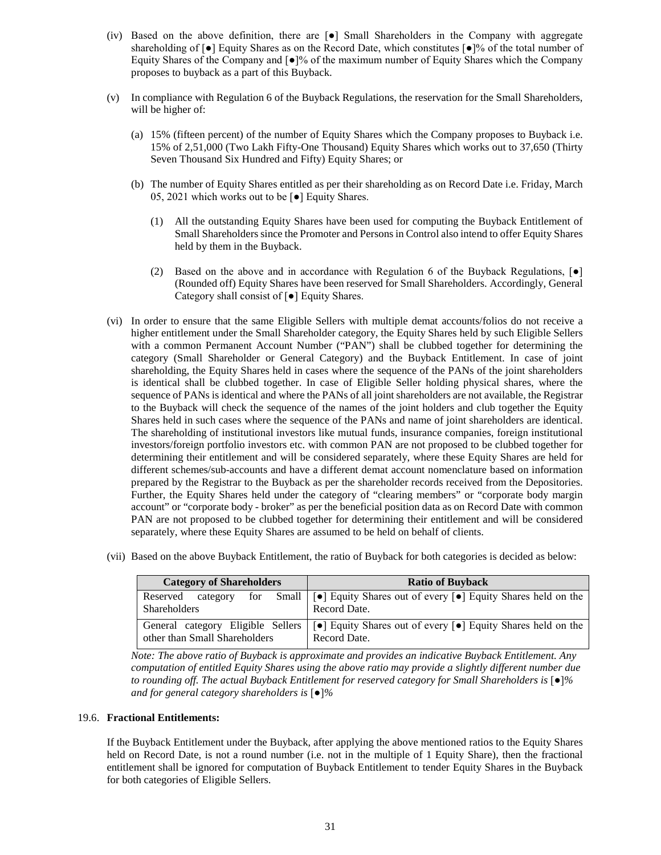- (iv) Based on the above definition, there are [●] Small Shareholders in the Company with aggregate shareholding of [●] Equity Shares as on the Record Date, which constitutes [●]% of the total number of Equity Shares of the Company and [●]% of the maximum number of Equity Shares which the Company proposes to buyback as a part of this Buyback.
- (v) In compliance with Regulation 6 of the Buyback Regulations, the reservation for the Small Shareholders, will be higher of:
	- (a) 15% (fifteen percent) of the number of Equity Shares which the Company proposes to Buyback i.e. 15% of 2,51,000 (Two Lakh Fifty-One Thousand) Equity Shares which works out to 37,650 (Thirty Seven Thousand Six Hundred and Fifty) Equity Shares; or
	- (b) The number of Equity Shares entitled as per their shareholding as on Record Date i.e. Friday, March 05, 2021 which works out to be [●] Equity Shares.
		- (1) All the outstanding Equity Shares have been used for computing the Buyback Entitlement of Small Shareholders since the Promoter and Persons in Control also intend to offer Equity Shares held by them in the Buyback.
		- (2) Based on the above and in accordance with Regulation 6 of the Buyback Regulations, [●] (Rounded off) Equity Shares have been reserved for Small Shareholders. Accordingly, General Category shall consist of [●] Equity Shares.
- (vi) In order to ensure that the same Eligible Sellers with multiple demat accounts/folios do not receive a higher entitlement under the Small Shareholder category, the Equity Shares held by such Eligible Sellers with a common Permanent Account Number ("PAN") shall be clubbed together for determining the category (Small Shareholder or General Category) and the Buyback Entitlement. In case of joint shareholding, the Equity Shares held in cases where the sequence of the PANs of the joint shareholders is identical shall be clubbed together. In case of Eligible Seller holding physical shares, where the sequence of PANs is identical and where the PANs of all joint shareholders are not available, the Registrar to the Buyback will check the sequence of the names of the joint holders and club together the Equity Shares held in such cases where the sequence of the PANs and name of joint shareholders are identical. The shareholding of institutional investors like mutual funds, insurance companies, foreign institutional investors/foreign portfolio investors etc. with common PAN are not proposed to be clubbed together for determining their entitlement and will be considered separately, where these Equity Shares are held for different schemes/sub-accounts and have a different demat account nomenclature based on information prepared by the Registrar to the Buyback as per the shareholder records received from the Depositories. Further, the Equity Shares held under the category of "clearing members" or "corporate body margin account" or "corporate body - broker" as per the beneficial position data as on Record Date with common PAN are not proposed to be clubbed together for determining their entitlement and will be considered separately, where these Equity Shares are assumed to be held on behalf of clients.
- (vii) Based on the above Buyback Entitlement, the ratio of Buyback for both categories is decided as below:

| <b>Category of Shareholders</b> | <b>Ratio of Buyback</b>                                                                                                            |
|---------------------------------|------------------------------------------------------------------------------------------------------------------------------------|
| Reserved<br>category            | for Small   [ $\bullet$ ] Equity Shares out of every $\lceil \bullet \rceil$ Equity Shares held on the                             |
| Shareholders                    | Record Date.                                                                                                                       |
|                                 | General category Eligible Sellers $\lceil \cdot \rceil$ Equity Shares out of every $\lceil \cdot \rceil$ Equity Shares held on the |
| other than Small Shareholders   | Record Date.                                                                                                                       |

*Note: The above ratio of Buyback is approximate and provides an indicative Buyback Entitlement. Any computation of entitled Equity Shares using the above ratio may provide a slightly different number due to rounding off. The actual Buyback Entitlement for reserved category for Small Shareholders is* [●]*% and for general category shareholders is* [●]*%*

#### 19.6. **Fractional Entitlements:**

If the Buyback Entitlement under the Buyback, after applying the above mentioned ratios to the Equity Shares held on Record Date, is not a round number (i.e. not in the multiple of 1 Equity Share), then the fractional entitlement shall be ignored for computation of Buyback Entitlement to tender Equity Shares in the Buyback for both categories of Eligible Sellers.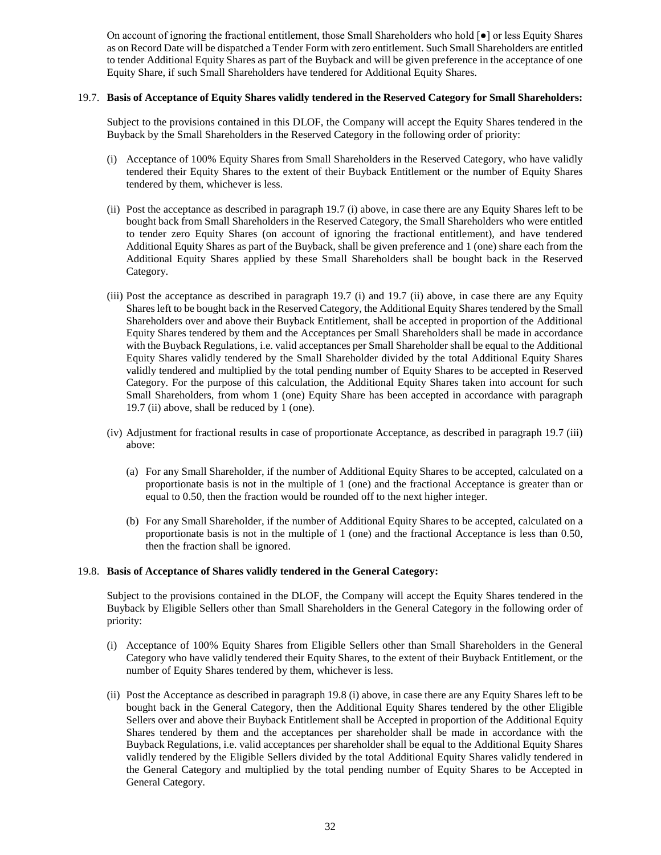On account of ignoring the fractional entitlement, those Small Shareholders who hold [●] or less Equity Shares as on Record Date will be dispatched a Tender Form with zero entitlement. Such Small Shareholders are entitled to tender Additional Equity Shares as part of the Buyback and will be given preference in the acceptance of one Equity Share, if such Small Shareholders have tendered for Additional Equity Shares.

## 19.7. **Basis of Acceptance of Equity Shares validly tendered in the Reserved Category for Small Shareholders:**

Subject to the provisions contained in this DLOF, the Company will accept the Equity Shares tendered in the Buyback by the Small Shareholders in the Reserved Category in the following order of priority:

- (i) Acceptance of 100% Equity Shares from Small Shareholders in the Reserved Category, who have validly tendered their Equity Shares to the extent of their Buyback Entitlement or the number of Equity Shares tendered by them, whichever is less.
- (ii) Post the acceptance as described in paragraph 19.7 (i) above, in case there are any Equity Shares left to be bought back from Small Shareholders in the Reserved Category, the Small Shareholders who were entitled to tender zero Equity Shares (on account of ignoring the fractional entitlement), and have tendered Additional Equity Shares as part of the Buyback, shall be given preference and 1 (one) share each from the Additional Equity Shares applied by these Small Shareholders shall be bought back in the Reserved Category.
- (iii) Post the acceptance as described in paragraph 19.7 (i) and 19.7 (ii) above, in case there are any Equity Shares left to be bought back in the Reserved Category, the Additional Equity Shares tendered by the Small Shareholders over and above their Buyback Entitlement, shall be accepted in proportion of the Additional Equity Shares tendered by them and the Acceptances per Small Shareholders shall be made in accordance with the Buyback Regulations, i.e. valid acceptances per Small Shareholder shall be equal to the Additional Equity Shares validly tendered by the Small Shareholder divided by the total Additional Equity Shares validly tendered and multiplied by the total pending number of Equity Shares to be accepted in Reserved Category. For the purpose of this calculation, the Additional Equity Shares taken into account for such Small Shareholders, from whom 1 (one) Equity Share has been accepted in accordance with paragraph 19.7 (ii) above, shall be reduced by 1 (one).
- (iv) Adjustment for fractional results in case of proportionate Acceptance, as described in paragraph 19.7 (iii) above:
	- (a) For any Small Shareholder, if the number of Additional Equity Shares to be accepted, calculated on a proportionate basis is not in the multiple of 1 (one) and the fractional Acceptance is greater than or equal to 0.50, then the fraction would be rounded off to the next higher integer.
	- (b) For any Small Shareholder, if the number of Additional Equity Shares to be accepted, calculated on a proportionate basis is not in the multiple of 1 (one) and the fractional Acceptance is less than 0.50, then the fraction shall be ignored.

## 19.8. **Basis of Acceptance of Shares validly tendered in the General Category:**

Subject to the provisions contained in the DLOF, the Company will accept the Equity Shares tendered in the Buyback by Eligible Sellers other than Small Shareholders in the General Category in the following order of priority:

- (i) Acceptance of 100% Equity Shares from Eligible Sellers other than Small Shareholders in the General Category who have validly tendered their Equity Shares, to the extent of their Buyback Entitlement, or the number of Equity Shares tendered by them, whichever is less.
- (ii) Post the Acceptance as described in paragraph 19.8 (i) above, in case there are any Equity Shares left to be bought back in the General Category, then the Additional Equity Shares tendered by the other Eligible Sellers over and above their Buyback Entitlement shall be Accepted in proportion of the Additional Equity Shares tendered by them and the acceptances per shareholder shall be made in accordance with the Buyback Regulations, i.e. valid acceptances per shareholder shall be equal to the Additional Equity Shares validly tendered by the Eligible Sellers divided by the total Additional Equity Shares validly tendered in the General Category and multiplied by the total pending number of Equity Shares to be Accepted in General Category.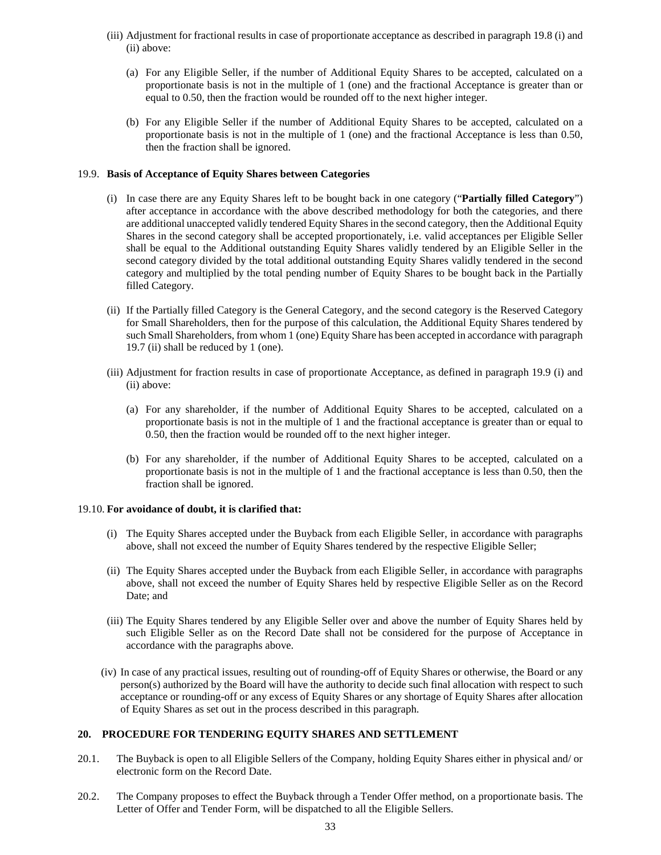- (iii) Adjustment for fractional results in case of proportionate acceptance as described in paragraph 19.8 (i) and (ii) above:
	- (a) For any Eligible Seller, if the number of Additional Equity Shares to be accepted, calculated on a proportionate basis is not in the multiple of 1 (one) and the fractional Acceptance is greater than or equal to 0.50, then the fraction would be rounded off to the next higher integer.
	- (b) For any Eligible Seller if the number of Additional Equity Shares to be accepted, calculated on a proportionate basis is not in the multiple of 1 (one) and the fractional Acceptance is less than 0.50, then the fraction shall be ignored.

#### 19.9. **Basis of Acceptance of Equity Shares between Categories**

- (i) In case there are any Equity Shares left to be bought back in one category ("**Partially filled Category**") after acceptance in accordance with the above described methodology for both the categories, and there are additional unaccepted validly tendered Equity Shares in the second category, then the Additional Equity Shares in the second category shall be accepted proportionately, i.e. valid acceptances per Eligible Seller shall be equal to the Additional outstanding Equity Shares validly tendered by an Eligible Seller in the second category divided by the total additional outstanding Equity Shares validly tendered in the second category and multiplied by the total pending number of Equity Shares to be bought back in the Partially filled Category.
- (ii) If the Partially filled Category is the General Category, and the second category is the Reserved Category for Small Shareholders, then for the purpose of this calculation, the Additional Equity Shares tendered by such Small Shareholders, from whom 1 (one) Equity Share has been accepted in accordance with paragraph 19.7 (ii) shall be reduced by 1 (one).
- (iii) Adjustment for fraction results in case of proportionate Acceptance, as defined in paragraph 19.9 (i) and (ii) above:
	- (a) For any shareholder, if the number of Additional Equity Shares to be accepted, calculated on a proportionate basis is not in the multiple of 1 and the fractional acceptance is greater than or equal to 0.50, then the fraction would be rounded off to the next higher integer.
	- (b) For any shareholder, if the number of Additional Equity Shares to be accepted, calculated on a proportionate basis is not in the multiple of 1 and the fractional acceptance is less than 0.50, then the fraction shall be ignored.

#### 19.10. **For avoidance of doubt, it is clarified that:**

- (i) The Equity Shares accepted under the Buyback from each Eligible Seller, in accordance with paragraphs above, shall not exceed the number of Equity Shares tendered by the respective Eligible Seller;
- (ii) The Equity Shares accepted under the Buyback from each Eligible Seller, in accordance with paragraphs above, shall not exceed the number of Equity Shares held by respective Eligible Seller as on the Record Date; and
- (iii) The Equity Shares tendered by any Eligible Seller over and above the number of Equity Shares held by such Eligible Seller as on the Record Date shall not be considered for the purpose of Acceptance in accordance with the paragraphs above.
- (iv) In case of any practical issues, resulting out of rounding-off of Equity Shares or otherwise, the Board or any person(s) authorized by the Board will have the authority to decide such final allocation with respect to such acceptance or rounding-off or any excess of Equity Shares or any shortage of Equity Shares after allocation of Equity Shares as set out in the process described in this paragraph.

#### **20. PROCEDURE FOR TENDERING EQUITY SHARES AND SETTLEMENT**

- 20.1. The Buyback is open to all Eligible Sellers of the Company, holding Equity Shares either in physical and/ or electronic form on the Record Date.
- 20.2. The Company proposes to effect the Buyback through a Tender Offer method, on a proportionate basis. The Letter of Offer and Tender Form, will be dispatched to all the Eligible Sellers.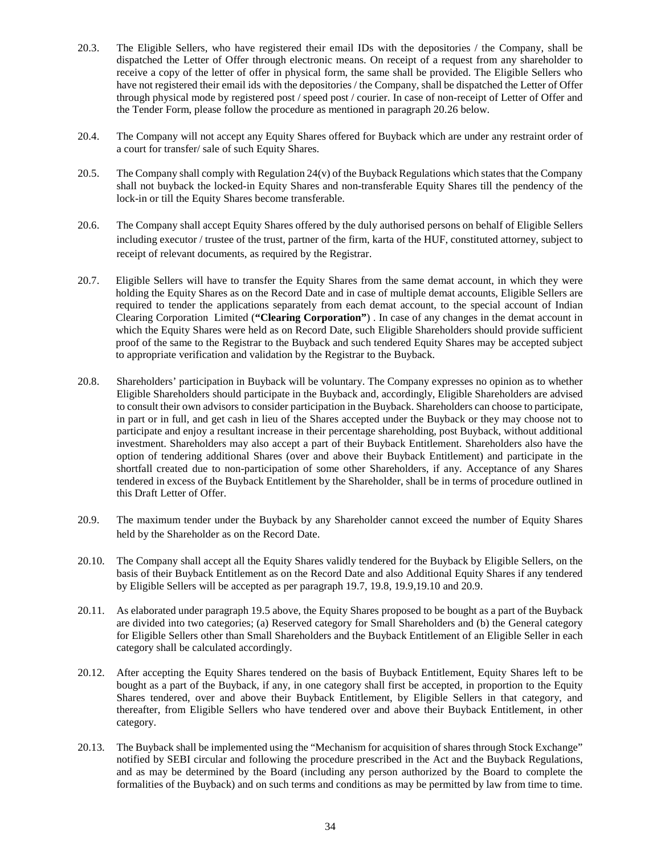- 20.3. The Eligible Sellers, who have registered their email IDs with the depositories / the Company, shall be dispatched the Letter of Offer through electronic means. On receipt of a request from any shareholder to receive a copy of the letter of offer in physical form, the same shall be provided. The Eligible Sellers who have not registered their email ids with the depositories / the Company, shall be dispatched the Letter of Offer through physical mode by registered post / speed post / courier. In case of non-receipt of Letter of Offer and the Tender Form, please follow the procedure as mentioned in paragraph 20.26 below.
- 20.4. The Company will not accept any Equity Shares offered for Buyback which are under any restraint order of a court for transfer/ sale of such Equity Shares.
- 20.5. The Company shall comply with Regulation 24(v) of the Buyback Regulations which states that the Company shall not buyback the locked-in Equity Shares and non-transferable Equity Shares till the pendency of the lock-in or till the Equity Shares become transferable.
- 20.6. The Company shall accept Equity Shares offered by the duly authorised persons on behalf of Eligible Sellers including executor / trustee of the trust, partner of the firm, karta of the HUF, constituted attorney, subject to receipt of relevant documents, as required by the Registrar.
- 20.7. Eligible Sellers will have to transfer the Equity Shares from the same demat account, in which they were holding the Equity Shares as on the Record Date and in case of multiple demat accounts, Eligible Sellers are required to tender the applications separately from each demat account, to the special account of Indian Clearing Corporation Limited (**"Clearing Corporation"**) . In case of any changes in the demat account in which the Equity Shares were held as on Record Date, such Eligible Shareholders should provide sufficient proof of the same to the Registrar to the Buyback and such tendered Equity Shares may be accepted subject to appropriate verification and validation by the Registrar to the Buyback.
- 20.8. Shareholders' participation in Buyback will be voluntary. The Company expresses no opinion as to whether Eligible Shareholders should participate in the Buyback and, accordingly, Eligible Shareholders are advised to consult their own advisors to consider participation in the Buyback. Shareholders can choose to participate, in part or in full, and get cash in lieu of the Shares accepted under the Buyback or they may choose not to participate and enjoy a resultant increase in their percentage shareholding, post Buyback, without additional investment. Shareholders may also accept a part of their Buyback Entitlement. Shareholders also have the option of tendering additional Shares (over and above their Buyback Entitlement) and participate in the shortfall created due to non-participation of some other Shareholders, if any. Acceptance of any Shares tendered in excess of the Buyback Entitlement by the Shareholder, shall be in terms of procedure outlined in this Draft Letter of Offer.
- 20.9. The maximum tender under the Buyback by any Shareholder cannot exceed the number of Equity Shares held by the Shareholder as on the Record Date.
- 20.10. The Company shall accept all the Equity Shares validly tendered for the Buyback by Eligible Sellers, on the basis of their Buyback Entitlement as on the Record Date and also Additional Equity Shares if any tendered by Eligible Sellers will be accepted as per paragraph 19.7, 19.8, 19.9,19.10 and 20.9.
- 20.11. As elaborated under paragraph 19.5 above, the Equity Shares proposed to be bought as a part of the Buyback are divided into two categories; (a) Reserved category for Small Shareholders and (b) the General category for Eligible Sellers other than Small Shareholders and the Buyback Entitlement of an Eligible Seller in each category shall be calculated accordingly.
- 20.12. After accepting the Equity Shares tendered on the basis of Buyback Entitlement, Equity Shares left to be bought as a part of the Buyback, if any, in one category shall first be accepted, in proportion to the Equity Shares tendered, over and above their Buyback Entitlement, by Eligible Sellers in that category, and thereafter, from Eligible Sellers who have tendered over and above their Buyback Entitlement, in other category.
- 20.13. The Buyback shall be implemented using the "Mechanism for acquisition of shares through Stock Exchange" notified by SEBI circular and following the procedure prescribed in the Act and the Buyback Regulations, and as may be determined by the Board (including any person authorized by the Board to complete the formalities of the Buyback) and on such terms and conditions as may be permitted by law from time to time.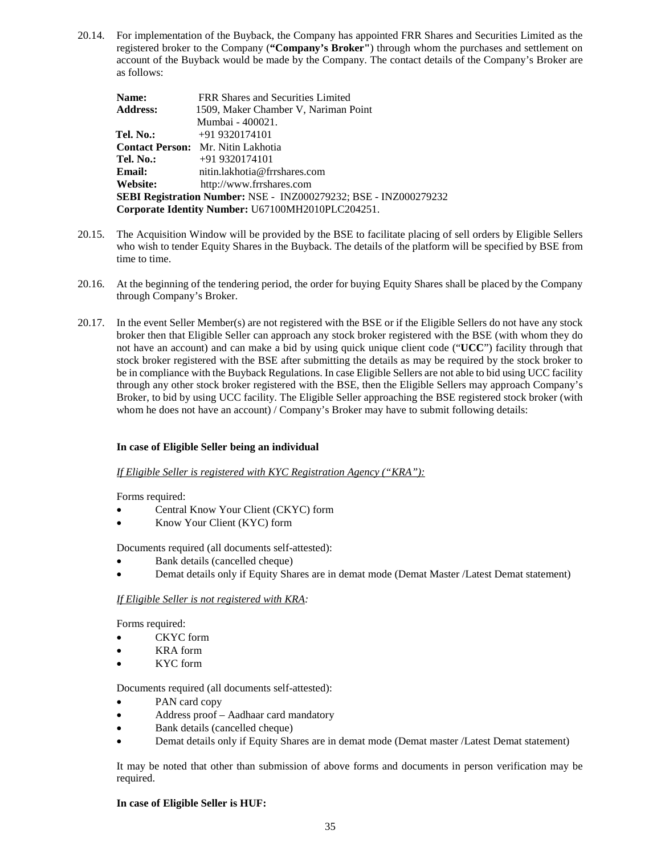20.14. For implementation of the Buyback, the Company has appointed FRR Shares and Securities Limited as the registered broker to the Company (**"Company's Broker"**) through whom the purchases and settlement on account of the Buyback would be made by the Company. The contact details of the Company's Broker are as follows:

| Name:           | FRR Shares and Securities Limited                                |
|-----------------|------------------------------------------------------------------|
| <b>Address:</b> | 1509, Maker Chamber V, Nariman Point                             |
|                 | Mumbai - 400021.                                                 |
| Tel. No.:       | $+919320174101$                                                  |
|                 | <b>Contact Person:</b> Mr. Nitin Lakhotia                        |
| Tel. No.:       | $+919320174101$                                                  |
| <b>Email:</b>   | nitin.lakhotia@frrshares.com                                     |
| Website:        | http://www.frrshares.com                                         |
|                 | SEBI Registration Number: NSE - INZ000279232; BSE - INZ000279232 |
|                 | Corporate Identity Number: U67100MH2010PLC204251.                |

- 20.15. The Acquisition Window will be provided by the BSE to facilitate placing of sell orders by Eligible Sellers who wish to tender Equity Shares in the Buyback. The details of the platform will be specified by BSE from time to time.
- 20.16. At the beginning of the tendering period, the order for buying Equity Shares shall be placed by the Company through Company's Broker.
- 20.17. In the event Seller Member(s) are not registered with the BSE or if the Eligible Sellers do not have any stock broker then that Eligible Seller can approach any stock broker registered with the BSE (with whom they do not have an account) and can make a bid by using quick unique client code ("**UCC**") facility through that stock broker registered with the BSE after submitting the details as may be required by the stock broker to be in compliance with the Buyback Regulations. In case Eligible Sellers are not able to bid using UCC facility through any other stock broker registered with the BSE, then the Eligible Sellers may approach Company's Broker, to bid by using UCC facility. The Eligible Seller approaching the BSE registered stock broker (with whom he does not have an account) / Company's Broker may have to submit following details:

## **In case of Eligible Seller being an individual**

#### *If Eligible Seller is registered with KYC Registration Agency ("KRA"):*

Forms required:

- Central Know Your Client (CKYC) form
- Know Your Client (KYC) form

Documents required (all documents self-attested):

- Bank details (cancelled cheque)
- Demat details only if Equity Shares are in demat mode (Demat Master /Latest Demat statement)

## *If Eligible Seller is not registered with KRA:*

Forms required:

- CKYC form
- KRA form
- KYC form

Documents required (all documents self-attested):

- PAN card copy
- Address proof Aadhaar card mandatory
- Bank details (cancelled cheque)
- Demat details only if Equity Shares are in demat mode (Demat master /Latest Demat statement)

It may be noted that other than submission of above forms and documents in person verification may be required.

#### **In case of Eligible Seller is HUF:**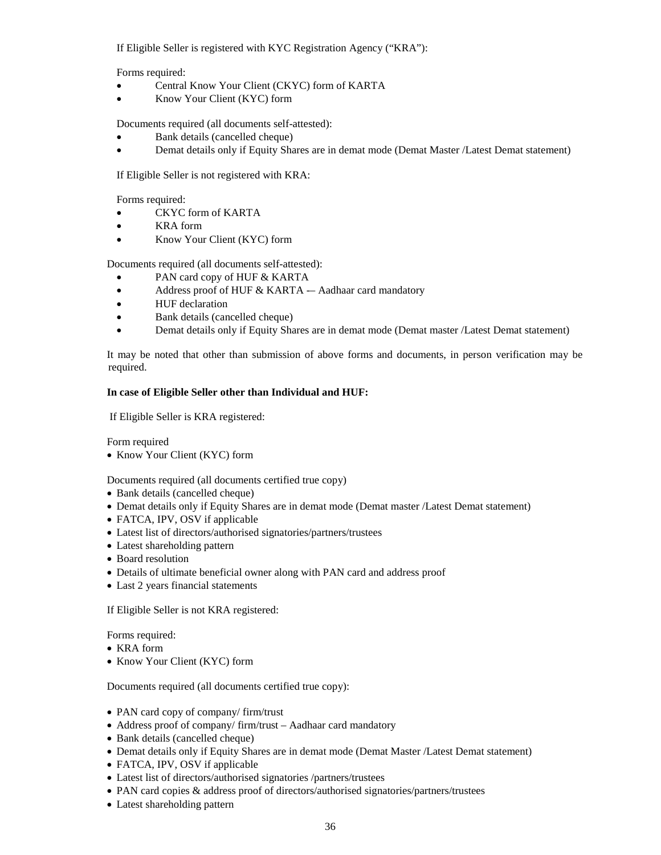If Eligible Seller is registered with KYC Registration Agency ("KRA"):

Forms required:

- Central Know Your Client (CKYC) form of KARTA
- Know Your Client (KYC) form

Documents required (all documents self-attested):

- Bank details (cancelled cheque)
- Demat details only if Equity Shares are in demat mode (Demat Master /Latest Demat statement)

If Eligible Seller is not registered with KRA:

Forms required:

- CKYC form of KARTA
- KRA form
- Know Your Client (KYC) form

Documents required (all documents self-attested):

- PAN card copy of HUF & KARTA
- Address proof of HUF & KARTA -– Aadhaar card mandatory
- HUF declaration
- Bank details (cancelled cheque)
- Demat details only if Equity Shares are in demat mode (Demat master /Latest Demat statement)

It may be noted that other than submission of above forms and documents, in person verification may be required.

#### **In case of Eligible Seller other than Individual and HUF:**

If Eligible Seller is KRA registered:

Form required

• Know Your Client (KYC) form

Documents required (all documents certified true copy)

- Bank details (cancelled cheque)
- Demat details only if Equity Shares are in demat mode (Demat master /Latest Demat statement)
- FATCA, IPV, OSV if applicable
- Latest list of directors/authorised signatories/partners/trustees
- Latest shareholding pattern
- Board resolution
- Details of ultimate beneficial owner along with PAN card and address proof
- Last 2 years financial statements

If Eligible Seller is not KRA registered:

Forms required:

- KRA form
- Know Your Client (KYC) form

Documents required (all documents certified true copy):

- PAN card copy of company/ firm/trust
- Address proof of company/ firm/trust Aadhaar card mandatory
- Bank details (cancelled cheque)
- Demat details only if Equity Shares are in demat mode (Demat Master /Latest Demat statement)
- FATCA, IPV, OSV if applicable
- Latest list of directors/authorised signatories /partners/trustees
- PAN card copies & address proof of directors/authorised signatories/partners/trustees
- Latest shareholding pattern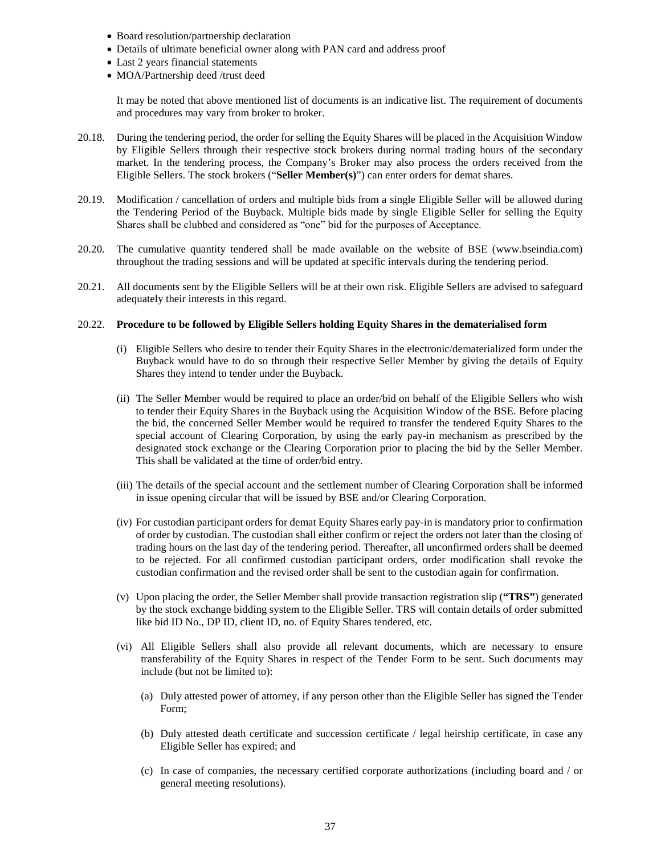- Board resolution/partnership declaration
- Details of ultimate beneficial owner along with PAN card and address proof
- Last 2 years financial statements
- MOA/Partnership deed /trust deed

It may be noted that above mentioned list of documents is an indicative list. The requirement of documents and procedures may vary from broker to broker.

- 20.18. During the tendering period, the order for selling the Equity Shares will be placed in the Acquisition Window by Eligible Sellers through their respective stock brokers during normal trading hours of the secondary market. In the tendering process, the Company's Broker may also process the orders received from the Eligible Sellers. The stock brokers ("**Seller Member(s)**") can enter orders for demat shares.
- 20.19. Modification / cancellation of orders and multiple bids from a single Eligible Seller will be allowed during the Tendering Period of the Buyback. Multiple bids made by single Eligible Seller for selling the Equity Shares shall be clubbed and considered as "one" bid for the purposes of Acceptance.
- 20.20. The cumulative quantity tendered shall be made available on the website of BSE (www.bseindia.com) throughout the trading sessions and will be updated at specific intervals during the tendering period.
- 20.21. All documents sent by the Eligible Sellers will be at their own risk. Eligible Sellers are advised to safeguard adequately their interests in this regard.

#### 20.22. **Procedure to be followed by Eligible Sellers holding Equity Shares in the dematerialised form**

- (i) Eligible Sellers who desire to tender their Equity Shares in the electronic/dematerialized form under the Buyback would have to do so through their respective Seller Member by giving the details of Equity Shares they intend to tender under the Buyback.
- (ii) The Seller Member would be required to place an order/bid on behalf of the Eligible Sellers who wish to tender their Equity Shares in the Buyback using the Acquisition Window of the BSE. Before placing the bid, the concerned Seller Member would be required to transfer the tendered Equity Shares to the special account of Clearing Corporation, by using the early pay-in mechanism as prescribed by the designated stock exchange or the Clearing Corporation prior to placing the bid by the Seller Member. This shall be validated at the time of order/bid entry.
- (iii) The details of the special account and the settlement number of Clearing Corporation shall be informed in issue opening circular that will be issued by BSE and/or Clearing Corporation.
- (iv) For custodian participant orders for demat Equity Shares early pay-in is mandatory prior to confirmation of order by custodian. The custodian shall either confirm or reject the orders not later than the closing of trading hours on the last day of the tendering period. Thereafter, all unconfirmed orders shall be deemed to be rejected. For all confirmed custodian participant orders, order modification shall revoke the custodian confirmation and the revised order shall be sent to the custodian again for confirmation.
- (v) Upon placing the order, the Seller Member shall provide transaction registration slip (**"TRS"**) generated by the stock exchange bidding system to the Eligible Seller. TRS will contain details of order submitted like bid ID No., DP ID, client ID, no. of Equity Shares tendered, etc.
- (vi) All Eligible Sellers shall also provide all relevant documents, which are necessary to ensure transferability of the Equity Shares in respect of the Tender Form to be sent. Such documents may include (but not be limited to):
	- (a) Duly attested power of attorney, if any person other than the Eligible Seller has signed the Tender Form;
	- (b) Duly attested death certificate and succession certificate / legal heirship certificate, in case any Eligible Seller has expired; and
	- (c) In case of companies, the necessary certified corporate authorizations (including board and / or general meeting resolutions).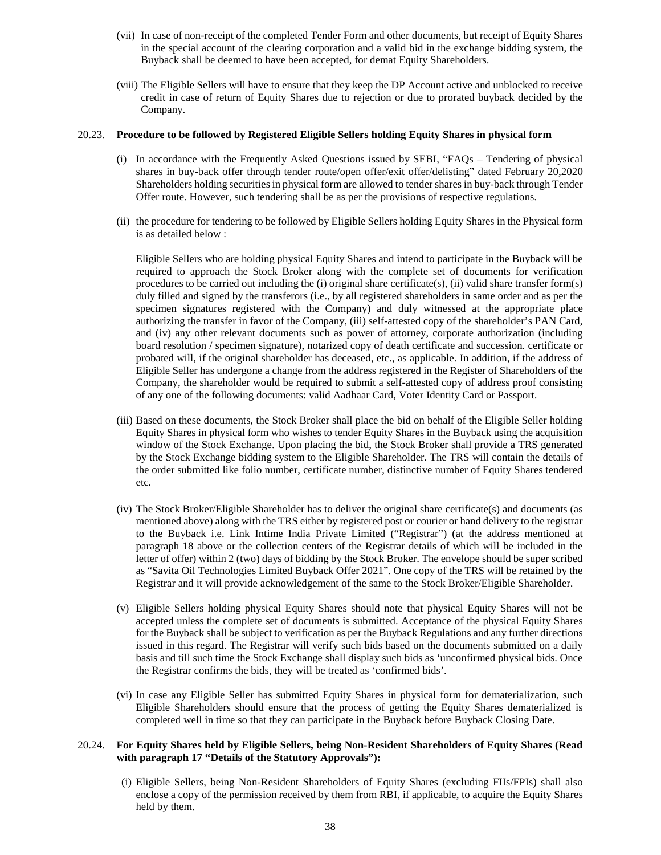- (vii) In case of non-receipt of the completed Tender Form and other documents, but receipt of Equity Shares in the special account of the clearing corporation and a valid bid in the exchange bidding system, the Buyback shall be deemed to have been accepted, for demat Equity Shareholders.
- (viii) The Eligible Sellers will have to ensure that they keep the DP Account active and unblocked to receive credit in case of return of Equity Shares due to rejection or due to prorated buyback decided by the Company.

#### 20.23. **Procedure to be followed by Registered Eligible Sellers holding Equity Shares in physical form**

- (i) In accordance with the Frequently Asked Questions issued by SEBI, "FAQs Tendering of physical shares in buy-back offer through tender route/open offer/exit offer/delisting" dated February 20,2020 Shareholders holding securities in physical form are allowed to tender shares in buy-back through Tender Offer route. However, such tendering shall be as per the provisions of respective regulations.
- (ii) the procedure for tendering to be followed by Eligible Sellers holding Equity Shares in the Physical form is as detailed below :

Eligible Sellers who are holding physical Equity Shares and intend to participate in the Buyback will be required to approach the Stock Broker along with the complete set of documents for verification procedures to be carried out including the (i) original share certificate(s), (ii) valid share transfer form(s) duly filled and signed by the transferors (i.e., by all registered shareholders in same order and as per the specimen signatures registered with the Company) and duly witnessed at the appropriate place authorizing the transfer in favor of the Company, (iii) self-attested copy of the shareholder's PAN Card, and (iv) any other relevant documents such as power of attorney, corporate authorization (including board resolution / specimen signature), notarized copy of death certificate and succession. certificate or probated will, if the original shareholder has deceased, etc., as applicable. In addition, if the address of Eligible Seller has undergone a change from the address registered in the Register of Shareholders of the Company, the shareholder would be required to submit a self-attested copy of address proof consisting of any one of the following documents: valid Aadhaar Card, Voter Identity Card or Passport.

- (iii) Based on these documents, the Stock Broker shall place the bid on behalf of the Eligible Seller holding Equity Shares in physical form who wishes to tender Equity Shares in the Buyback using the acquisition window of the Stock Exchange. Upon placing the bid, the Stock Broker shall provide a TRS generated by the Stock Exchange bidding system to the Eligible Shareholder. The TRS will contain the details of the order submitted like folio number, certificate number, distinctive number of Equity Shares tendered etc.
- (iv) The Stock Broker/Eligible Shareholder has to deliver the original share certificate(s) and documents (as mentioned above) along with the TRS either by registered post or courier or hand delivery to the registrar to the Buyback i.e. Link Intime India Private Limited ("Registrar") (at the address mentioned at paragraph 18 above or the collection centers of the Registrar details of which will be included in the letter of offer) within 2 (two) days of bidding by the Stock Broker. The envelope should be super scribed as "Savita Oil Technologies Limited Buyback Offer 2021". One copy of the TRS will be retained by the Registrar and it will provide acknowledgement of the same to the Stock Broker/Eligible Shareholder.
- (v) Eligible Sellers holding physical Equity Shares should note that physical Equity Shares will not be accepted unless the complete set of documents is submitted. Acceptance of the physical Equity Shares for the Buyback shall be subject to verification as per the Buyback Regulations and any further directions issued in this regard. The Registrar will verify such bids based on the documents submitted on a daily basis and till such time the Stock Exchange shall display such bids as 'unconfirmed physical bids. Once the Registrar confirms the bids, they will be treated as 'confirmed bids'.
- (vi) In case any Eligible Seller has submitted Equity Shares in physical form for dematerialization, such Eligible Shareholders should ensure that the process of getting the Equity Shares dematerialized is completed well in time so that they can participate in the Buyback before Buyback Closing Date.

## 20.24. **For Equity Shares held by Eligible Sellers, being Non-Resident Shareholders of Equity Shares (Read with paragraph 17 "Details of the Statutory Approvals"):**

(i) Eligible Sellers, being Non-Resident Shareholders of Equity Shares (excluding FIIs/FPIs) shall also enclose a copy of the permission received by them from RBI, if applicable, to acquire the Equity Shares held by them.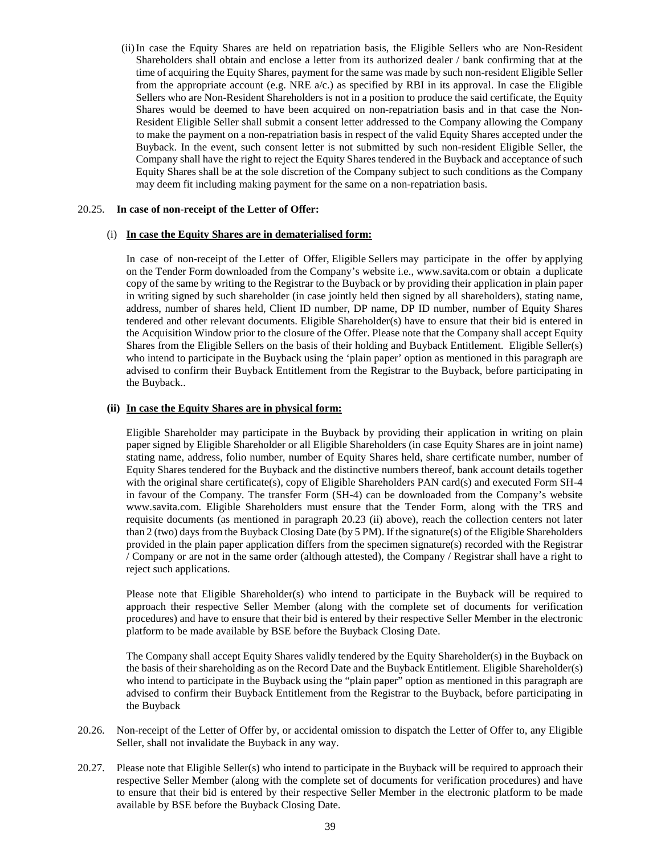(ii)In case the Equity Shares are held on repatriation basis, the Eligible Sellers who are Non-Resident Shareholders shall obtain and enclose a letter from its authorized dealer / bank confirming that at the time of acquiring the Equity Shares, payment for the same was made by such non-resident Eligible Seller from the appropriate account (e.g. NRE  $a/c$ .) as specified by RBI in its approval. In case the Eligible Sellers who are Non-Resident Shareholders is not in a position to produce the said certificate, the Equity Shares would be deemed to have been acquired on non-repatriation basis and in that case the Non-Resident Eligible Seller shall submit a consent letter addressed to the Company allowing the Company to make the payment on a non-repatriation basis in respect of the valid Equity Shares accepted under the Buyback. In the event, such consent letter is not submitted by such non-resident Eligible Seller, the Company shall have the right to reject the Equity Shares tendered in the Buyback and acceptance of such Equity Shares shall be at the sole discretion of the Company subject to such conditions as the Company may deem fit including making payment for the same on a non-repatriation basis.

#### 20.25. **In case of non-receipt of the Letter of Offer:**

#### (i) **In case the Equity Shares are in dematerialised form:**

In case of non-receipt of the Letter of Offer, Eligible Sellers may participate in the offer by applying on the Tender Form downloaded from the Company's website i.e., www.savita.com or obtain a duplicate copy of the same by writing to the Registrar to the Buyback or by providing their application in plain paper in writing signed by such shareholder (in case jointly held then signed by all shareholders), stating name, address, number of shares held, Client ID number, DP name, DP ID number, number of Equity Shares tendered and other relevant documents. Eligible Shareholder(s) have to ensure that their bid is entered in the Acquisition Window prior to the closure of the Offer. Please note that the Company shall accept Equity Shares from the Eligible Sellers on the basis of their holding and Buyback Entitlement. Eligible Seller(s) who intend to participate in the Buyback using the 'plain paper' option as mentioned in this paragraph are advised to confirm their Buyback Entitlement from the Registrar to the Buyback, before participating in the Buyback..

#### **(ii) In case the Equity Shares are in physical form:**

Eligible Shareholder may participate in the Buyback by providing their application in writing on plain paper signed by Eligible Shareholder or all Eligible Shareholders (in case Equity Shares are in joint name) stating name, address, folio number, number of Equity Shares held, share certificate number, number of Equity Shares tendered for the Buyback and the distinctive numbers thereof, bank account details together with the original share certificate(s), copy of Eligible Shareholders PAN card(s) and executed Form SH-4 in favour of the Company. The transfer Form (SH-4) can be downloaded from the Company's website www.savita.com. Eligible Shareholders must ensure that the Tender Form, along with the TRS and requisite documents (as mentioned in paragraph 20.23 (ii) above), reach the collection centers not later than 2 (two) days from the Buyback Closing Date (by 5 PM). If the signature(s) of the Eligible Shareholders provided in the plain paper application differs from the specimen signature(s) recorded with the Registrar / Company or are not in the same order (although attested), the Company / Registrar shall have a right to reject such applications.

Please note that Eligible Shareholder(s) who intend to participate in the Buyback will be required to approach their respective Seller Member (along with the complete set of documents for verification procedures) and have to ensure that their bid is entered by their respective Seller Member in the electronic platform to be made available by BSE before the Buyback Closing Date.

The Company shall accept Equity Shares validly tendered by the Equity Shareholder(s) in the Buyback on the basis of their shareholding as on the Record Date and the Buyback Entitlement. Eligible Shareholder(s) who intend to participate in the Buyback using the "plain paper" option as mentioned in this paragraph are advised to confirm their Buyback Entitlement from the Registrar to the Buyback, before participating in the Buyback

- 20.26. Non-receipt of the Letter of Offer by, or accidental omission to dispatch the Letter of Offer to, any Eligible Seller, shall not invalidate the Buyback in any way.
- 20.27. Please note that Eligible Seller(s) who intend to participate in the Buyback will be required to approach their respective Seller Member (along with the complete set of documents for verification procedures) and have to ensure that their bid is entered by their respective Seller Member in the electronic platform to be made available by BSE before the Buyback Closing Date.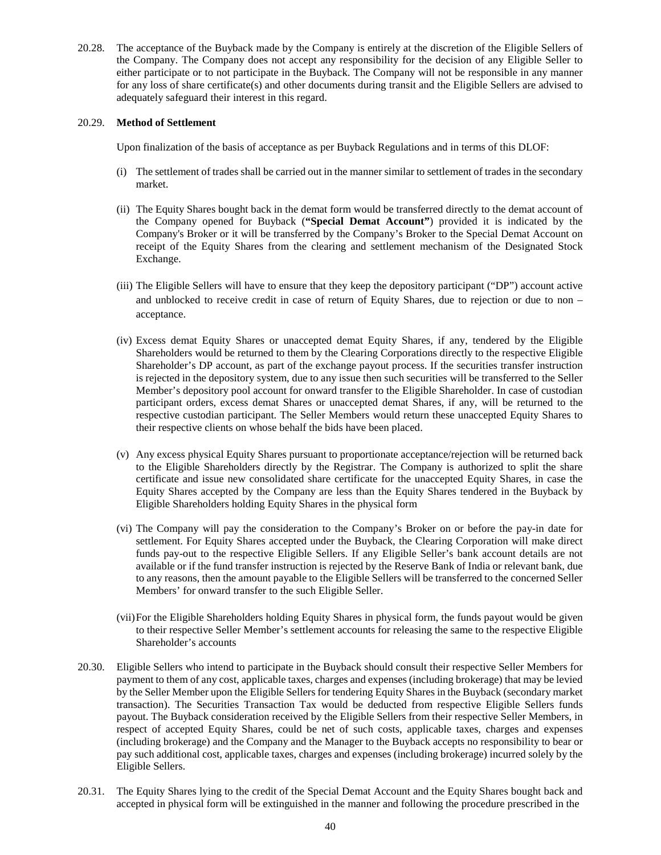20.28. The acceptance of the Buyback made by the Company is entirely at the discretion of the Eligible Sellers of the Company. The Company does not accept any responsibility for the decision of any Eligible Seller to either participate or to not participate in the Buyback. The Company will not be responsible in any manner for any loss of share certificate(s) and other documents during transit and the Eligible Sellers are advised to adequately safeguard their interest in this regard.

## 20.29. **Method of Settlement**

Upon finalization of the basis of acceptance as per Buyback Regulations and in terms of this DLOF:

- (i) The settlement of trades shall be carried out in the manner similar to settlement of trades in the secondary market.
- (ii) The Equity Shares bought back in the demat form would be transferred directly to the demat account of the Company opened for Buyback (**"Special Demat Account"**) provided it is indicated by the Company's Broker or it will be transferred by the Company's Broker to the Special Demat Account on receipt of the Equity Shares from the clearing and settlement mechanism of the Designated Stock Exchange.
- (iii) The Eligible Sellers will have to ensure that they keep the depository participant ("DP") account active and unblocked to receive credit in case of return of Equity Shares, due to rejection or due to non – acceptance.
- (iv) Excess demat Equity Shares or unaccepted demat Equity Shares, if any, tendered by the Eligible Shareholders would be returned to them by the Clearing Corporations directly to the respective Eligible Shareholder's DP account, as part of the exchange payout process. If the securities transfer instruction is rejected in the depository system, due to any issue then such securities will be transferred to the Seller Member's depository pool account for onward transfer to the Eligible Shareholder. In case of custodian participant orders, excess demat Shares or unaccepted demat Shares, if any, will be returned to the respective custodian participant. The Seller Members would return these unaccepted Equity Shares to their respective clients on whose behalf the bids have been placed.
- (v) Any excess physical Equity Shares pursuant to proportionate acceptance/rejection will be returned back to the Eligible Shareholders directly by the Registrar. The Company is authorized to split the share certificate and issue new consolidated share certificate for the unaccepted Equity Shares, in case the Equity Shares accepted by the Company are less than the Equity Shares tendered in the Buyback by Eligible Shareholders holding Equity Shares in the physical form
- (vi) The Company will pay the consideration to the Company's Broker on or before the pay-in date for settlement. For Equity Shares accepted under the Buyback, the Clearing Corporation will make direct funds pay-out to the respective Eligible Sellers. If any Eligible Seller's bank account details are not available or if the fund transfer instruction is rejected by the Reserve Bank of India or relevant bank, due to any reasons, then the amount payable to the Eligible Sellers will be transferred to the concerned Seller Members' for onward transfer to the such Eligible Seller.
- (vii)For the Eligible Shareholders holding Equity Shares in physical form, the funds payout would be given to their respective Seller Member's settlement accounts for releasing the same to the respective Eligible Shareholder's accounts
- 20.30. Eligible Sellers who intend to participate in the Buyback should consult their respective Seller Members for payment to them of any cost, applicable taxes, charges and expenses (including brokerage) that may be levied by the Seller Member upon the Eligible Sellers for tendering Equity Shares in the Buyback (secondary market transaction). The Securities Transaction Tax would be deducted from respective Eligible Sellers funds payout. The Buyback consideration received by the Eligible Sellers from their respective Seller Members, in respect of accepted Equity Shares, could be net of such costs, applicable taxes, charges and expenses (including brokerage) and the Company and the Manager to the Buyback accepts no responsibility to bear or pay such additional cost, applicable taxes, charges and expenses (including brokerage) incurred solely by the Eligible Sellers.
- 20.31. The Equity Shares lying to the credit of the Special Demat Account and the Equity Shares bought back and accepted in physical form will be extinguished in the manner and following the procedure prescribed in the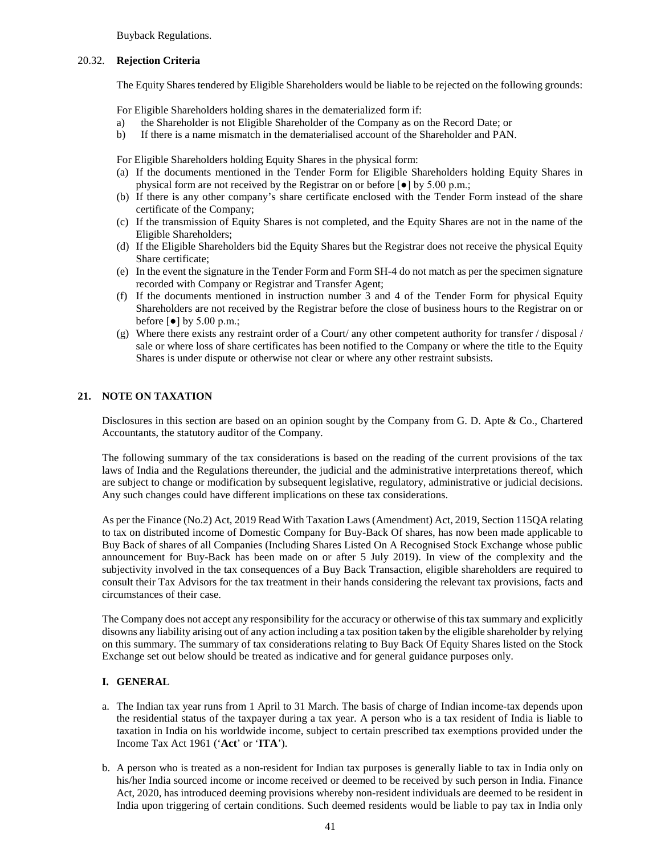Buyback Regulations.

## 20.32. **Rejection Criteria**

The Equity Shares tendered by Eligible Shareholders would be liable to be rejected on the following grounds:

For Eligible Shareholders holding shares in the dematerialized form if:

- a) the Shareholder is not Eligible Shareholder of the Company as on the Record Date; or
- b) If there is a name mismatch in the dematerialised account of the Shareholder and PAN.

For Eligible Shareholders holding Equity Shares in the physical form:

- (a) If the documents mentioned in the Tender Form for Eligible Shareholders holding Equity Shares in physical form are not received by the Registrar on or before [●] by 5.00 p.m.;
- (b) If there is any other company's share certificate enclosed with the Tender Form instead of the share certificate of the Company;
- (c) If the transmission of Equity Shares is not completed, and the Equity Shares are not in the name of the Eligible Shareholders;
- (d) If the Eligible Shareholders bid the Equity Shares but the Registrar does not receive the physical Equity Share certificate;
- (e) In the event the signature in the Tender Form and Form SH-4 do not match as per the specimen signature recorded with Company or Registrar and Transfer Agent;
- (f) If the documents mentioned in instruction number 3 and 4 of the Tender Form for physical Equity Shareholders are not received by the Registrar before the close of business hours to the Registrar on or before  $\lbrack \bullet \rbrack$  by 5.00 p.m.;
- (g) Where there exists any restraint order of a Court/ any other competent authority for transfer / disposal / sale or where loss of share certificates has been notified to the Company or where the title to the Equity Shares is under dispute or otherwise not clear or where any other restraint subsists.

## **21. NOTE ON TAXATION**

Disclosures in this section are based on an opinion sought by the Company from G. D. Apte & Co., Chartered Accountants, the statutory auditor of the Company.

The following summary of the tax considerations is based on the reading of the current provisions of the tax laws of India and the Regulations thereunder, the judicial and the administrative interpretations thereof, which are subject to change or modification by subsequent legislative, regulatory, administrative or judicial decisions. Any such changes could have different implications on these tax considerations.

As per the Finance (No.2) Act, 2019 Read With Taxation Laws (Amendment) Act, 2019, Section 115QA relating to tax on distributed income of Domestic Company for Buy-Back Of shares, has now been made applicable to Buy Back of shares of all Companies (Including Shares Listed On A Recognised Stock Exchange whose public announcement for Buy-Back has been made on or after 5 July 2019). In view of the complexity and the subjectivity involved in the tax consequences of a Buy Back Transaction, eligible shareholders are required to consult their Tax Advisors for the tax treatment in their hands considering the relevant tax provisions, facts and circumstances of their case.

The Company does not accept any responsibility for the accuracy or otherwise of this tax summary and explicitly disowns any liability arising out of any action including a tax position taken by the eligible shareholder by relying on this summary. The summary of tax considerations relating to Buy Back Of Equity Shares listed on the Stock Exchange set out below should be treated as indicative and for general guidance purposes only.

## **I. GENERAL**

- a. The Indian tax year runs from 1 April to 31 March. The basis of charge of Indian income-tax depends upon the residential status of the taxpayer during a tax year. A person who is a tax resident of India is liable to taxation in India on his worldwide income, subject to certain prescribed tax exemptions provided under the Income Tax Act 1961 ('**Act**' or '**ITA**').
- b. A person who is treated as a non-resident for Indian tax purposes is generally liable to tax in India only on his/her India sourced income or income received or deemed to be received by such person in India. Finance Act, 2020, has introduced deeming provisions whereby non-resident individuals are deemed to be resident in India upon triggering of certain conditions. Such deemed residents would be liable to pay tax in India only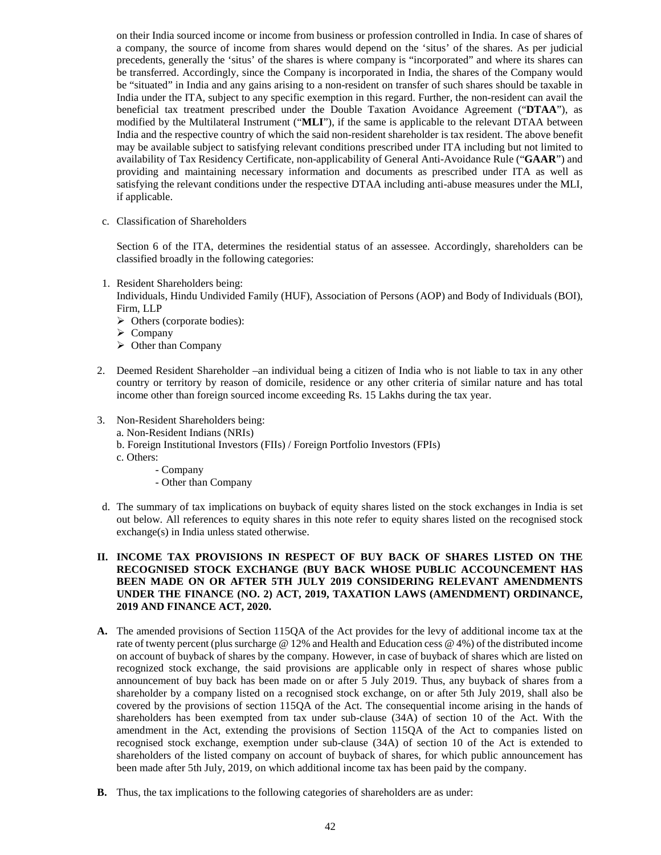on their India sourced income or income from business or profession controlled in India. In case of shares of a company, the source of income from shares would depend on the 'situs' of the shares. As per judicial precedents, generally the 'situs' of the shares is where company is "incorporated" and where its shares can be transferred. Accordingly, since the Company is incorporated in India, the shares of the Company would be "situated" in India and any gains arising to a non-resident on transfer of such shares should be taxable in India under the ITA, subject to any specific exemption in this regard. Further, the non-resident can avail the beneficial tax treatment prescribed under the Double Taxation Avoidance Agreement ("**DTAA**"), as modified by the Multilateral Instrument ("**MLI**"), if the same is applicable to the relevant DTAA between India and the respective country of which the said non-resident shareholder is tax resident. The above benefit may be available subject to satisfying relevant conditions prescribed under ITA including but not limited to availability of Tax Residency Certificate, non-applicability of General Anti-Avoidance Rule ("**GAAR**") and providing and maintaining necessary information and documents as prescribed under ITA as well as satisfying the relevant conditions under the respective DTAA including anti-abuse measures under the MLI, if applicable.

c. Classification of Shareholders

Section 6 of the ITA, determines the residential status of an assessee. Accordingly, shareholders can be classified broadly in the following categories:

1. Resident Shareholders being:

Individuals, Hindu Undivided Family (HUF), Association of Persons (AOP) and Body of Individuals (BOI), Firm, LLP

- Others (corporate bodies):
- $\triangleright$  Company
- $\triangleright$  Other than Company
- 2. Deemed Resident Shareholder –an individual being a citizen of India who is not liable to tax in any other country or territory by reason of domicile, residence or any other criteria of similar nature and has total income other than foreign sourced income exceeding Rs. 15 Lakhs during the tax year.
- 3. Non-Resident Shareholders being:
	- a. Non-Resident Indians (NRIs)
	- b. Foreign Institutional Investors (FIIs) / Foreign Portfolio Investors (FPIs)
	- c. Others:
		- Company
		- Other than Company
- d. The summary of tax implications on buyback of equity shares listed on the stock exchanges in India is set out below. All references to equity shares in this note refer to equity shares listed on the recognised stock exchange(s) in India unless stated otherwise.

## **II. INCOME TAX PROVISIONS IN RESPECT OF BUY BACK OF SHARES LISTED ON THE RECOGNISED STOCK EXCHANGE (BUY BACK WHOSE PUBLIC ACCOUNCEMENT HAS BEEN MADE ON OR AFTER 5TH JULY 2019 CONSIDERING RELEVANT AMENDMENTS UNDER THE FINANCE (NO. 2) ACT, 2019, TAXATION LAWS (AMENDMENT) ORDINANCE, 2019 AND FINANCE ACT, 2020.**

- **A.** The amended provisions of Section 115QA of the Act provides for the levy of additional income tax at the rate of twenty percent (plus surcharge @ 12% and Health and Education cess @ 4%) of the distributed income on account of buyback of shares by the company. However, in case of buyback of shares which are listed on recognized stock exchange, the said provisions are applicable only in respect of shares whose public announcement of buy back has been made on or after 5 July 2019. Thus, any buyback of shares from a shareholder by a company listed on a recognised stock exchange, on or after 5th July 2019, shall also be covered by the provisions of section 115QA of the Act. The consequential income arising in the hands of shareholders has been exempted from tax under sub-clause (34A) of section 10 of the Act. With the amendment in the Act, extending the provisions of Section 115QA of the Act to companies listed on recognised stock exchange, exemption under sub-clause (34A) of section 10 of the Act is extended to shareholders of the listed company on account of buyback of shares, for which public announcement has been made after 5th July, 2019, on which additional income tax has been paid by the company.
- **B.** Thus, the tax implications to the following categories of shareholders are as under: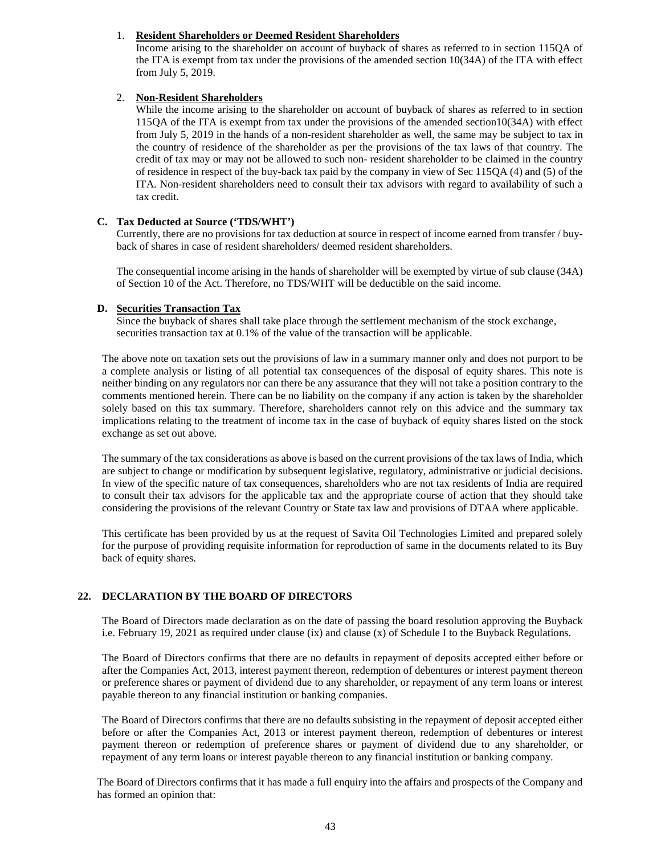## 1. **Resident Shareholders or Deemed Resident Shareholders**

Income arising to the shareholder on account of buyback of shares as referred to in section 115QA of the ITA is exempt from tax under the provisions of the amended section 10(34A) of the ITA with effect from July 5, 2019.

## 2. **Non-Resident Shareholders**

While the income arising to the shareholder on account of buyback of shares as referred to in section 115QA of the ITA is exempt from tax under the provisions of the amended section10(34A) with effect from July 5, 2019 in the hands of a non-resident shareholder as well, the same may be subject to tax in the country of residence of the shareholder as per the provisions of the tax laws of that country. The credit of tax may or may not be allowed to such non- resident shareholder to be claimed in the country of residence in respect of the buy-back tax paid by the company in view of Sec 115QA (4) and (5) of the ITA. Non-resident shareholders need to consult their tax advisors with regard to availability of such a tax credit.

## **C. Tax Deducted at Source ('TDS/WHT')**

Currently, there are no provisions for tax deduction at source in respect of income earned from transfer / buyback of shares in case of resident shareholders/ deemed resident shareholders.

The consequential income arising in the hands of shareholder will be exempted by virtue of sub clause (34A) of Section 10 of the Act. Therefore, no TDS/WHT will be deductible on the said income.

## **D. Securities Transaction Tax**

Since the buyback of shares shall take place through the settlement mechanism of the stock exchange, securities transaction tax at 0.1% of the value of the transaction will be applicable.

The above note on taxation sets out the provisions of law in a summary manner only and does not purport to be a complete analysis or listing of all potential tax consequences of the disposal of equity shares. This note is neither binding on any regulators nor can there be any assurance that they will not take a position contrary to the comments mentioned herein. There can be no liability on the company if any action is taken by the shareholder solely based on this tax summary. Therefore, shareholders cannot rely on this advice and the summary tax implications relating to the treatment of income tax in the case of buyback of equity shares listed on the stock exchange as set out above.

The summary of the tax considerations as above is based on the current provisions of the tax laws of India, which are subject to change or modification by subsequent legislative, regulatory, administrative or judicial decisions. In view of the specific nature of tax consequences, shareholders who are not tax residents of India are required to consult their tax advisors for the applicable tax and the appropriate course of action that they should take considering the provisions of the relevant Country or State tax law and provisions of DTAA where applicable.

This certificate has been provided by us at the request of Savita Oil Technologies Limited and prepared solely for the purpose of providing requisite information for reproduction of same in the documents related to its Buy back of equity shares.

# **22. DECLARATION BY THE BOARD OF DIRECTORS**

The Board of Directors made declaration as on the date of passing the board resolution approving the Buyback i.e. February 19, 2021 as required under clause (ix) and clause (x) of Schedule I to the Buyback Regulations.

The Board of Directors confirms that there are no defaults in repayment of deposits accepted either before or after the Companies Act, 2013, interest payment thereon, redemption of debentures or interest payment thereon or preference shares or payment of dividend due to any shareholder, or repayment of any term loans or interest payable thereon to any financial institution or banking companies.

The Board of Directors confirms that there are no defaults subsisting in the repayment of deposit accepted either before or after the Companies Act, 2013 or interest payment thereon, redemption of debentures or interest payment thereon or redemption of preference shares or payment of dividend due to any shareholder, or repayment of any term loans or interest payable thereon to any financial institution or banking company.

The Board of Directors confirms that it has made a full enquiry into the affairs and prospects of the Company and has formed an opinion that: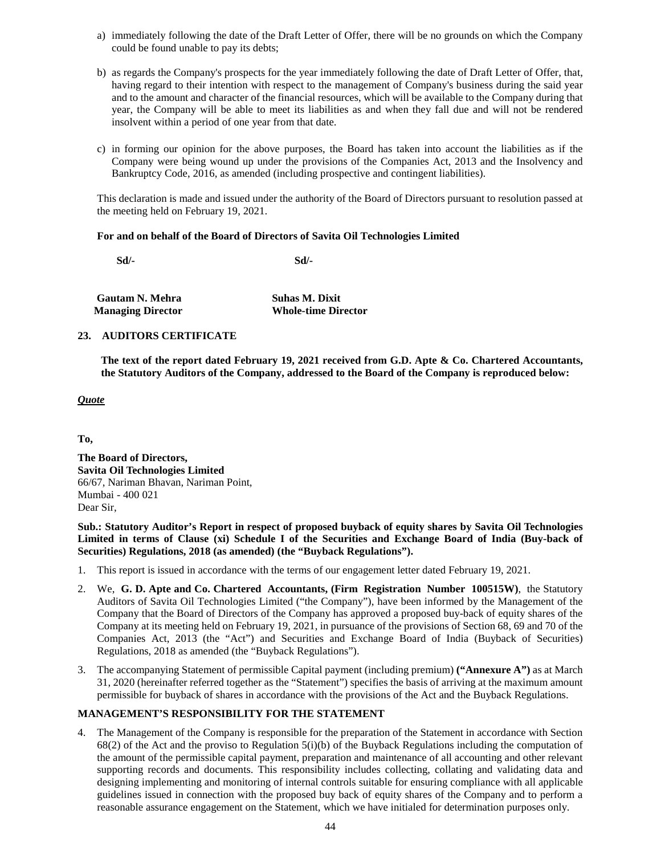- a) immediately following the date of the Draft Letter of Offer, there will be no grounds on which the Company could be found unable to pay its debts;
- b) as regards the Company's prospects for the year immediately following the date of Draft Letter of Offer, that, having regard to their intention with respect to the management of Company's business during the said year and to the amount and character of the financial resources, which will be available to the Company during that year, the Company will be able to meet its liabilities as and when they fall due and will not be rendered insolvent within a period of one year from that date.
- c) in forming our opinion for the above purposes, the Board has taken into account the liabilities as if the Company were being wound up under the provisions of the Companies Act, 2013 and the Insolvency and Bankruptcy Code, 2016, as amended (including prospective and contingent liabilities).

This declaration is made and issued under the authority of the Board of Directors pursuant to resolution passed at the meeting held on February 19, 2021.

## **For and on behalf of the Board of Directors of Savita Oil Technologies Limited**

**Sd/- Sd/-**

| <b>Gautam N. Mehra</b>   | <b>Suhas M. Dixit</b>      |
|--------------------------|----------------------------|
| <b>Managing Director</b> | <b>Whole-time Director</b> |

## **23. AUDITORS CERTIFICATE**

**The text of the report dated February 19, 2021 received from G.D. Apte & Co. Chartered Accountants, the Statutory Auditors of the Company, addressed to the Board of the Company is reproduced below:**

## *Quote*

**To,**

**The Board of Directors, Savita Oil Technologies Limited** 66/67, Nariman Bhavan, Nariman Point, Mumbai - 400 021 Dear Sir,

**Sub.: Statutory Auditor's Report in respect of proposed buyback of equity shares by Savita Oil Technologies Limited in terms of Clause (xi) Schedule I of the Securities and Exchange Board of India (Buy-back of Securities) Regulations, 2018 (as amended) (the "Buyback Regulations").**

- 1. This report is issued in accordance with the terms of our engagement letter dated February 19, 2021.
- 2. We, **G. D. Apte and Co. Chartered Accountants, (Firm Registration Number 100515W)**, the Statutory Auditors of Savita Oil Technologies Limited ("the Company"), have been informed by the Management of the Company that the Board of Directors of the Company has approved a proposed buy-back of equity shares of the Company at its meeting held on February 19, 2021, in pursuance of the provisions of Section 68, 69 and 70 of the Companies Act, 2013 (the "Act") and Securities and Exchange Board of India (Buyback of Securities) Regulations, 2018 as amended (the "Buyback Regulations").
- 3. The accompanying Statement of permissible Capital payment (including premium) **("Annexure A")** as at March 31, 2020 (hereinafter referred together as the "Statement") specifies the basis of arriving at the maximum amount permissible for buyback of shares in accordance with the provisions of the Act and the Buyback Regulations.

## **MANAGEMENT'S RESPONSIBILITY FOR THE STATEMENT**

4. The Management of the Company is responsible for the preparation of the Statement in accordance with Section  $68(2)$  of the Act and the proviso to Regulation  $5(i)(b)$  of the Buyback Regulations including the computation of the amount of the permissible capital payment, preparation and maintenance of all accounting and other relevant supporting records and documents. This responsibility includes collecting, collating and validating data and designing implementing and monitoring of internal controls suitable for ensuring compliance with all applicable guidelines issued in connection with the proposed buy back of equity shares of the Company and to perform a reasonable assurance engagement on the Statement, which we have initialed for determination purposes only.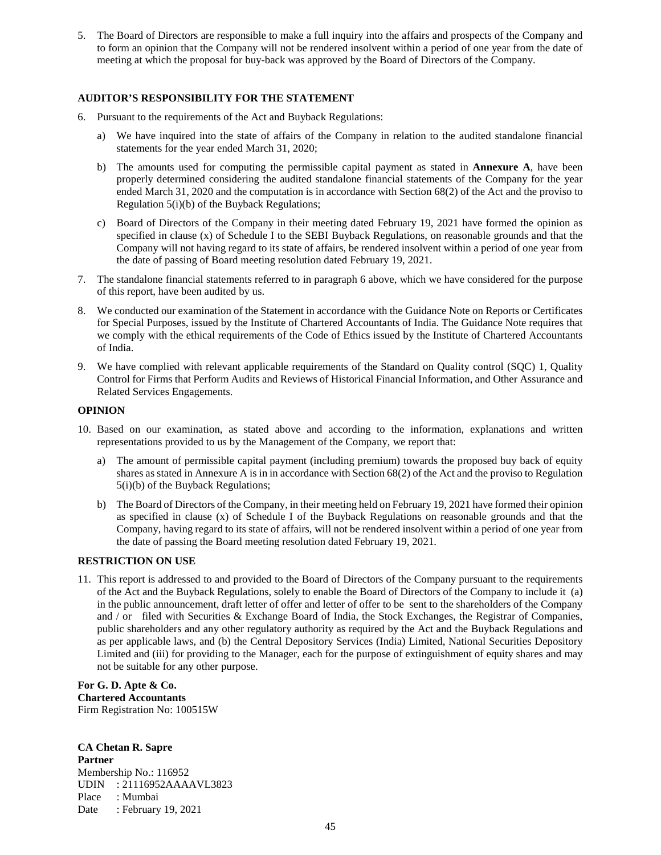5. The Board of Directors are responsible to make a full inquiry into the affairs and prospects of the Company and to form an opinion that the Company will not be rendered insolvent within a period of one year from the date of meeting at which the proposal for buy-back was approved by the Board of Directors of the Company.

# **AUDITOR'S RESPONSIBILITY FOR THE STATEMENT**

- 6. Pursuant to the requirements of the Act and Buyback Regulations:
	- a) We have inquired into the state of affairs of the Company in relation to the audited standalone financial statements for the year ended March 31, 2020;
	- b) The amounts used for computing the permissible capital payment as stated in **Annexure A**, have been properly determined considering the audited standalone financial statements of the Company for the year ended March 31, 2020 and the computation is in accordance with Section 68(2) of the Act and the proviso to Regulation 5(i)(b) of the Buyback Regulations;
	- c) Board of Directors of the Company in their meeting dated February 19, 2021 have formed the opinion as specified in clause (x) of Schedule I to the SEBI Buyback Regulations, on reasonable grounds and that the Company will not having regard to its state of affairs, be rendered insolvent within a period of one year from the date of passing of Board meeting resolution dated February 19, 2021.
- 7. The standalone financial statements referred to in paragraph 6 above, which we have considered for the purpose of this report, have been audited by us.
- 8. We conducted our examination of the Statement in accordance with the Guidance Note on Reports or Certificates for Special Purposes, issued by the Institute of Chartered Accountants of India. The Guidance Note requires that we comply with the ethical requirements of the Code of Ethics issued by the Institute of Chartered Accountants of India.
- 9. We have complied with relevant applicable requirements of the Standard on Quality control (SQC) 1, Quality Control for Firms that Perform Audits and Reviews of Historical Financial Information, and Other Assurance and Related Services Engagements.

## **OPINION**

- 10. Based on our examination, as stated above and according to the information, explanations and written representations provided to us by the Management of the Company, we report that:
	- a) The amount of permissible capital payment (including premium) towards the proposed buy back of equity shares as stated in Annexure A is in in accordance with Section 68(2) of the Act and the proviso to Regulation 5(i)(b) of the Buyback Regulations;
	- b) The Board of Directors of the Company, in their meeting held on February 19, 2021 have formed their opinion as specified in clause (x) of Schedule I of the Buyback Regulations on reasonable grounds and that the Company, having regard to its state of affairs, will not be rendered insolvent within a period of one year from the date of passing the Board meeting resolution dated February 19, 2021.

## **RESTRICTION ON USE**

11. This report is addressed to and provided to the Board of Directors of the Company pursuant to the requirements of the Act and the Buyback Regulations, solely to enable the Board of Directors of the Company to include it (a) in the public announcement, draft letter of offer and letter of offer to be sent to the shareholders of the Company and / or filed with Securities & Exchange Board of India, the Stock Exchanges, the Registrar of Companies, public shareholders and any other regulatory authority as required by the Act and the Buyback Regulations and as per applicable laws, and (b) the Central Depository Services (India) Limited, National Securities Depository Limited and (iii) for providing to the Manager, each for the purpose of extinguishment of equity shares and may not be suitable for any other purpose.

**For G. D. Apte & Co. Chartered Accountants** Firm Registration No: 100515W

**CA Chetan R. Sapre Partner** Membership No.: 116952 UDIN : 21116952AAAAVL3823 Place : Mumbai Date : February 19, 2021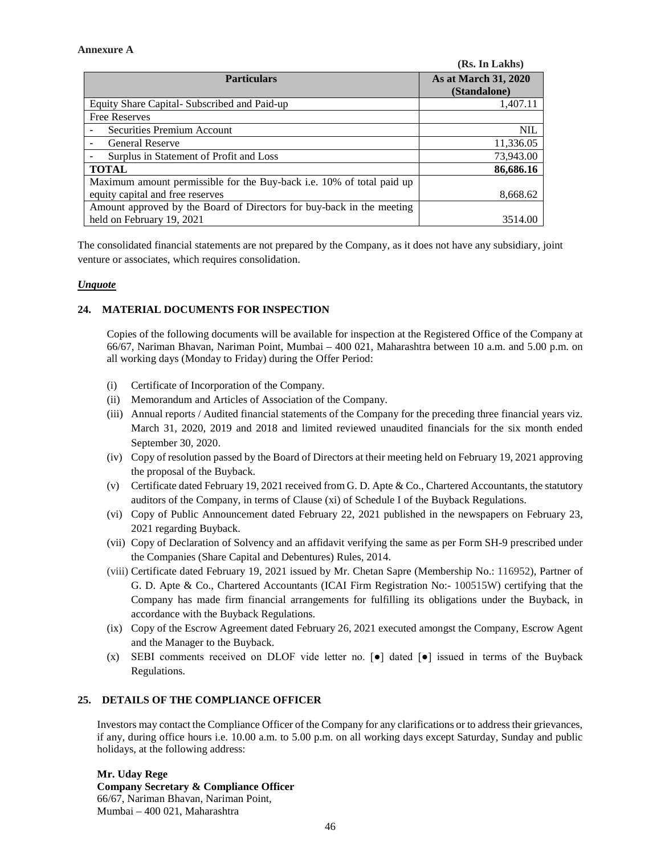#### **Annexure A**

|                                                                       | (Rs. In Lakhs)                       |
|-----------------------------------------------------------------------|--------------------------------------|
| <b>Particulars</b>                                                    | As at March 31, 2020<br>(Standalone) |
| Equity Share Capital - Subscribed and Paid-up                         | 1,407.11                             |
| <b>Free Reserves</b>                                                  |                                      |
| Securities Premium Account                                            | <b>NIL</b>                           |
| <b>General Reserve</b>                                                | 11,336.05                            |
| Surplus in Statement of Profit and Loss                               | 73,943.00                            |
| <b>TOTAL</b>                                                          | 86,686.16                            |
| Maximum amount permissible for the Buy-back i.e. 10% of total paid up |                                      |
| equity capital and free reserves                                      | 8.668.62                             |
| Amount approved by the Board of Directors for buy-back in the meeting |                                      |
| held on February 19, 2021                                             | 3514.00                              |

The consolidated financial statements are not prepared by the Company, as it does not have any subsidiary, joint venture or associates, which requires consolidation.

## *Unquote*

## **24. MATERIAL DOCUMENTS FOR INSPECTION**

Copies of the following documents will be available for inspection at the Registered Office of the Company at 66/67, Nariman Bhavan, Nariman Point, Mumbai – 400 021, Maharashtra between 10 a.m. and 5.00 p.m. on all working days (Monday to Friday) during the Offer Period:

- (i) Certificate of Incorporation of the Company.
- (ii) Memorandum and Articles of Association of the Company.
- (iii) Annual reports / Audited financial statements of the Company for the preceding three financial years viz. March 31, 2020, 2019 and 2018 and limited reviewed unaudited financials for the six month ended September 30, 2020.
- (iv) Copy of resolution passed by the Board of Directors at their meeting held on February 19, 2021 approving the proposal of the Buyback.
- (v) Certificate dated February 19, 2021 received from G. D. Apte & Co., Chartered Accountants, the statutory auditors of the Company, in terms of Clause (xi) of Schedule I of the Buyback Regulations.
- (vi) Copy of Public Announcement dated February 22, 2021 published in the newspapers on February 23, 2021 regarding Buyback.
- (vii) Copy of Declaration of Solvency and an affidavit verifying the same as per Form SH-9 prescribed under the Companies (Share Capital and Debentures) Rules, 2014.
- (viii) Certificate dated February 19, 2021 issued by Mr. Chetan Sapre (Membership No.: 116952), Partner of G. D. Apte & Co., Chartered Accountants (ICAI Firm Registration No:- 100515W) certifying that the Company has made firm financial arrangements for fulfilling its obligations under the Buyback, in accordance with the Buyback Regulations.
- (ix) Copy of the Escrow Agreement dated February 26, 2021 executed amongst the Company, Escrow Agent and the Manager to the Buyback.
- (x) SEBI comments received on DLOF vide letter no.  $\lceil \bullet \rceil$  dated  $\lceil \bullet \rceil$  issued in terms of the Buyback Regulations.

## **25. DETAILS OF THE COMPLIANCE OFFICER**

Investors may contact the Compliance Officer of the Company for any clarifications or to address their grievances, if any, during office hours i.e. 10.00 a.m. to 5.00 p.m. on all working days except Saturday, Sunday and public holidays, at the following address:

**Mr. Uday Rege Company Secretary & Compliance Officer** 66/67, Nariman Bhavan, Nariman Point, Mumbai – 400 021, Maharashtra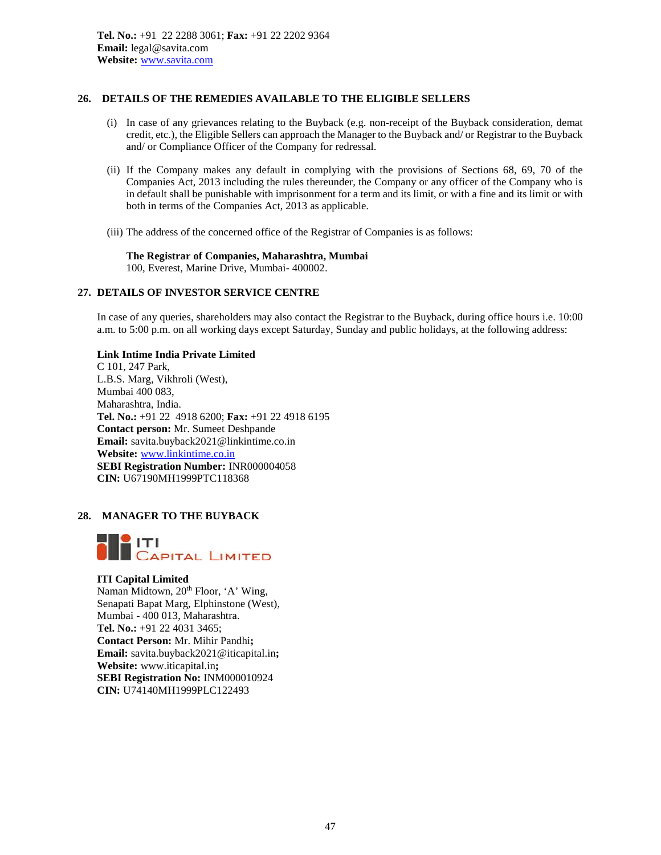## **26. DETAILS OF THE REMEDIES AVAILABLE TO THE ELIGIBLE SELLERS**

- (i) In case of any grievances relating to the Buyback (e.g. non-receipt of the Buyback consideration, demat credit, etc.), the Eligible Sellers can approach the Manager to the Buyback and/ or Registrar to the Buyback and/ or Compliance Officer of the Company for redressal.
- (ii) If the Company makes any default in complying with the provisions of Sections 68, 69, 70 of the Companies Act, 2013 including the rules thereunder, the Company or any officer of the Company who is in default shall be punishable with imprisonment for a term and its limit, or with a fine and its limit or with both in terms of the Companies Act, 2013 as applicable.
- (iii) The address of the concerned office of the Registrar of Companies is as follows:

**The Registrar of Companies, Maharashtra, Mumbai** 100, Everest, Marine Drive, Mumbai- 400002.

## **27. DETAILS OF INVESTOR SERVICE CENTRE**

In case of any queries, shareholders may also contact the Registrar to the Buyback, during office hours i.e. 10:00 a.m. to 5:00 p.m. on all working days except Saturday, Sunday and public holidays, at the following address:

**Link Intime India Private Limited**

C 101, 247 Park, L.B.S. Marg, Vikhroli (West), Mumbai 400 083, Maharashtra, India. **Tel. No.:** +91 22 4918 6200; **Fax:** +91 22 4918 6195 **Contact person:** Mr. Sumeet Deshpande **Email:** savita.buyback2021@linkintime.co.in **Website:** www.linkintime.co.in **SEBI Registration Number:** INR000004058 **CIN:** U67190MH1999PTC118368

## **28. MANAGER TO THE BUYBACK**



## **ITI Capital Limited**

Naman Midtown, 20<sup>th</sup> Floor, 'A' Wing, Senapati Bapat Marg, Elphinstone (West), Mumbai - 400 013, Maharashtra. **Tel. No.:** +91 22 4031 3465; **Contact Person:** Mr. Mihir Pandhi**; Email:** savita.buyback2021@iticapital.in**; Website:** www.iticapital.in**; SEBI Registration No:** INM000010924 **CIN:** U74140MH1999PLC122493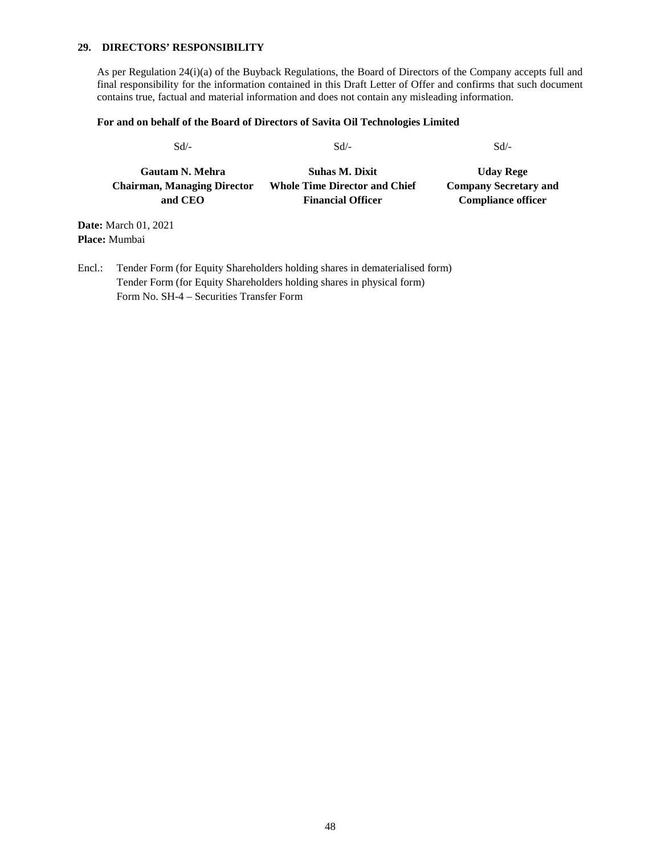## **29. DIRECTORS' RESPONSIBILITY**

As per Regulation 24(i)(a) of the Buyback Regulations, the Board of Directors of the Company accepts full and final responsibility for the information contained in this Draft Letter of Offer and confirms that such document contains true, factual and material information and does not contain any misleading information.

#### **For and on behalf of the Board of Directors of Savita Oil Technologies Limited**

 $Sd$  -  $Sd$  -  $Sd$  -  $Sd$  -

| <b>Gautam N. Mehra</b>             | <b>Suhas M. Dixit</b>                | <b>Uday Rege</b>             |
|------------------------------------|--------------------------------------|------------------------------|
| <b>Chairman, Managing Director</b> | <b>Whole Time Director and Chief</b> | <b>Company Secretary and</b> |
| and CEO                            | <b>Financial Officer</b>             | <b>Compliance officer</b>    |

**Date:** March 01, 2021 **Place:** Mumbai

Encl.: Tender Form (for Equity Shareholders holding shares in dematerialised form) Tender Form (for Equity Shareholders holding shares in physical form) Form No. SH-4 – Securities Transfer Form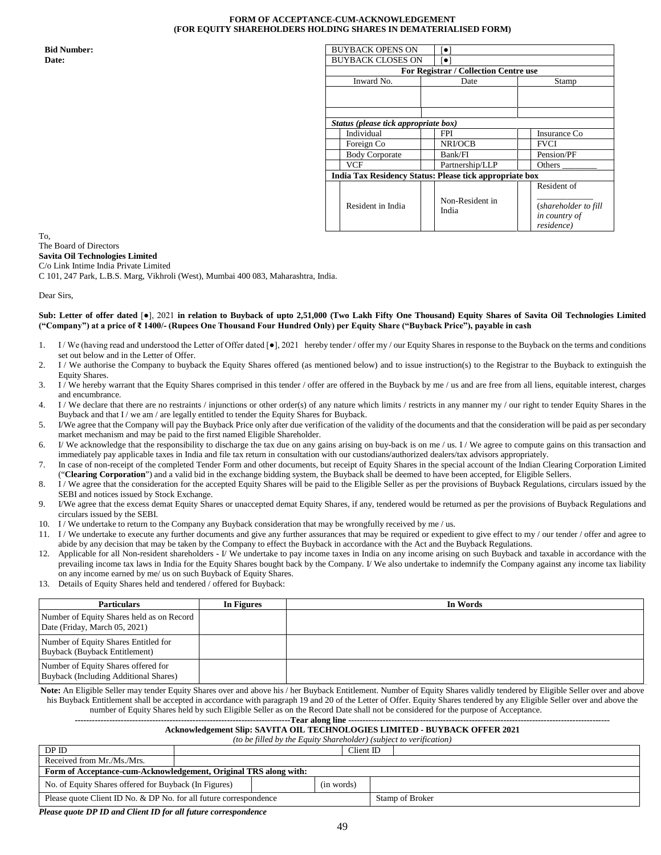#### **FORM OF ACCEPTANCE-CUM-ACKNOWLEDGEMENT (FOR EQUITY SHAREHOLDERS HOLDING SHARES IN DEMATERIALISED FORM)**

| <b>Bid Number:</b> | <b>BUYBACK OPENS ON</b>                                 | $\lceil \bullet \rceil$               |                                                     |
|--------------------|---------------------------------------------------------|---------------------------------------|-----------------------------------------------------|
| Date:              | <b>BUYBACK CLOSES ON</b>                                | $\lceil \bullet \rceil$               |                                                     |
|                    |                                                         | For Registrar / Collection Centre use |                                                     |
|                    | Inward No.                                              | Date                                  | Stamp                                               |
|                    |                                                         |                                       |                                                     |
|                    |                                                         |                                       |                                                     |
|                    |                                                         |                                       |                                                     |
|                    | Status (please tick appropriate box)                    |                                       |                                                     |
|                    | Individual                                              | <b>FPI</b>                            | Insurance Co                                        |
|                    | Foreign Co                                              | NRI/OCB                               | <b>FVCI</b>                                         |
|                    | <b>Body Corporate</b>                                   | Bank/FI                               | Pension/PF                                          |
|                    | <b>VCF</b>                                              | Partnership/LLP                       | Others $_{-}$                                       |
|                    | India Tax Residency Status: Please tick appropriate box |                                       |                                                     |
|                    |                                                         |                                       | Resident of                                         |
|                    | Resident in India                                       | Non-Resident in<br>India              | (shareholder to fill<br>in country of<br>residence) |

To, The Board of Directors **Savita Oil Technologies Limited** C/o Link Intime India Private Limited

C 101, 247 Park, L.B.S. Marg, Vikhroli (West), Mumbai 400 083, Maharashtra, India.

Dear Sirs,

**Sub: Letter of offer dated** [●], 2021 **in relation to Buyback of upto 2,51,000 (Two Lakh Fifty One Thousand) Equity Shares of Savita Oil Technologies Limited** ("Company") at a price of ₹1400/- (Rupees One Thousand Four Hundred Only) per Equity Share ("Buyback Price"), payable in cash

- 1. I/We (having read and understood the Letter of Offer dated [ $\bullet$ ], 2021 hereby tender / offer my / our Equity Shares in response to the Buyback on the terms and conditions set out below and in the Letter of Offer.
- 2. I / We authorise the Company to buyback the Equity Shares offered (as mentioned below) and to issue instruction(s) to the Registrar to the Buyback to extinguish the Equity Shares.
- 3. I / We hereby warrant that the Equity Shares comprised in this tender / offer are offered in the Buyback by me / us and are free from all liens, equitable interest, charges and encumbrance.
- 4. I / We declare that there are no restraints / injunctions or other order(s) of any nature which limits / restricts in any manner my / our right to tender Equity Shares in the Buyback and that I / we am / are legally entitled to tender the Equity Shares for Buyback.
- 5. I/We agree that the Company will pay the Buyback Price only after due verification of the validity of the documents and that the consideration will be paid as per secondary market mechanism and may be paid to the first named Eligible Shareholder.
- 6. I/ We acknowledge that the responsibility to discharge the tax due on any gains arising on buy-back is on me / us. I/ We agree to compute gains on this transaction and immediately pay applicable taxes in India and file tax return in consultation with our custodians/authorized dealers/tax advisors appropriately.
- 7. In case of non-receipt of the completed Tender Form and other documents, but receipt of Equity Shares in the special account of the Indian Clearing Corporation Limited ("**Clearing Corporation**") and a valid bid in the exchange bidding system, the Buyback shall be deemed to have been accepted, for Eligible Sellers.
- 8. I / We agree that the consideration for the accepted Equity Shares will be paid to the Eligible Seller as per the provisions of Buyback Regulations, circulars issued by the SEBI and notices issued by Stock Exchange.
- 9. I/We agree that the excess demat Equity Shares or unaccepted demat Equity Shares, if any, tendered would be returned as per the provisions of Buyback Regulations and circulars issued by the SEBI.
- 10. I / We undertake to return to the Company any Buyback consideration that may be wrongfully received by me / us.
- 11. I / We undertake to execute any further documents and give any further assurances that may be required or expedient to give effect to my / our tender / offer and agree to abide by any decision that may be taken by the Company to effect the Buyback in accordance with the Act and the Buyback Regulations.
- 12. Applicable for all Non-resident shareholders I/ We undertake to pay income taxes in India on any income arising on such Buyback and taxable in accordance with the prevailing income tax laws in India for the Equity Shares bought back by the Company. I/ We also undertake to indemnify the Company against any income tax liability on any income earned by me/ us on such Buyback of Equity Shares.
- 13. Details of Equity Shares held and tendered / offered for Buyback:

| <b>Particulars</b>                                                           | In Figures | In Words |
|------------------------------------------------------------------------------|------------|----------|
| Number of Equity Shares held as on Record<br>Date (Friday, March 05, 2021)   |            |          |
| Number of Equity Shares Entitled for<br>Buyback (Buyback Entitlement)        |            |          |
| Number of Equity Shares offered for<br>Buyback (Including Additional Shares) |            |          |

Note: An Eligible Seller may tender Equity Shares over and above his / her Buyback Entitlement. Number of Equity Shares validly tendered by Eligible Seller over and above his Buyback Entitlement shall be accepted in accordance with paragraph 19 and 20 of the Letter of Offer. Equity Shares tendered by any Eligible Seller over and above the number of Equity Shares held by such Eligible Seller as on the Record Date shall not be considered for the purpose of Acceptance.

#### ----Tear along line ---**Acknowledgement Slip: SAVITA OIL TECHNOLOGIES LIMITED - BUYBACK OFFER 2021**

# *(to be filled by the Equity Shareholder) (subject to verification)*

DP ID Client ID | Client ID | Client ID | Received from Mr./Ms./Mrs. **Form of Acceptance-cum-Acknowledgement, Original TRS along with:** No. of Equity Shares offered for Buyback (In Figures) (in words) Please quote Client ID No. & DP No. for all future correspondence Stamp of Broker

*Please quote DP ID and Client ID for all future correspondence*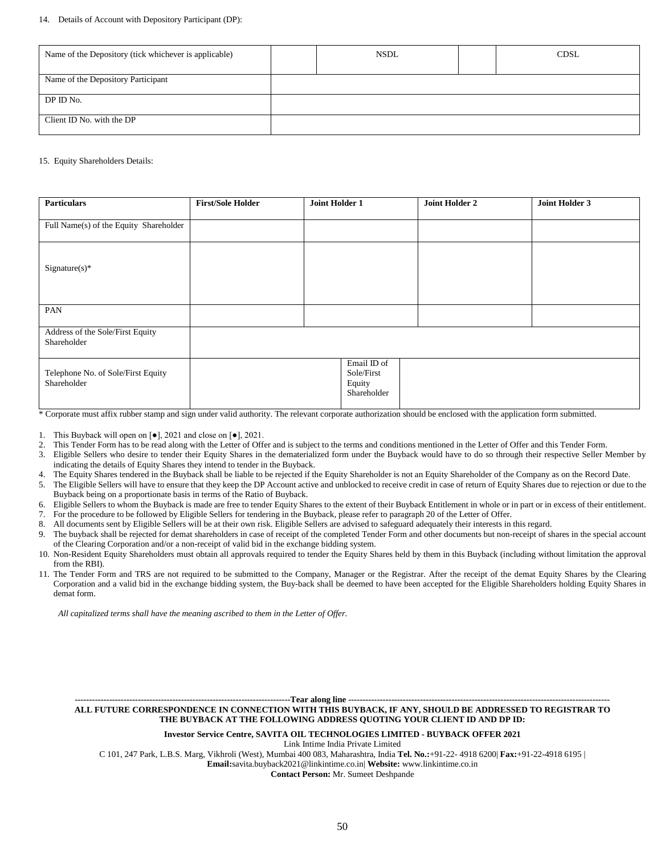#### 14. Details of Account with Depository Participant (DP):

| Name of the Depository (tick whichever is applicable) | <b>NSDL</b> | <b>CDSL</b> |
|-------------------------------------------------------|-------------|-------------|
| Name of the Depository Participant                    |             |             |
| DP ID No.                                             |             |             |
| Client ID No. with the DP                             |             |             |

#### 15. Equity Shareholders Details:

| <b>Particulars</b>                                | <b>First/Sole Holder</b> | Joint Holder 1 |                                                    | <b>Joint Holder 2</b> | Joint Holder 3 |
|---------------------------------------------------|--------------------------|----------------|----------------------------------------------------|-----------------------|----------------|
|                                                   |                          |                |                                                    |                       |                |
| Full Name(s) of the Equity Shareholder            |                          |                |                                                    |                       |                |
| $Sigma(x)*$                                       |                          |                |                                                    |                       |                |
| PAN                                               |                          |                |                                                    |                       |                |
| Address of the Sole/First Equity<br>Shareholder   |                          |                |                                                    |                       |                |
| Telephone No. of Sole/First Equity<br>Shareholder |                          |                | Email ID of<br>Sole/First<br>Equity<br>Shareholder |                       |                |

\* Corporate must affix rubber stamp and sign under valid authority. The relevant corporate authorization should be enclosed with the application form submitted.

1. This Buyback will open on [●], 2021 and close on [●], 2021.

- 2. This Tender Form has to be read along with the Letter of Offer and is subject to the terms and conditions mentioned in the Letter of Offer and this Tender Form.
- 3. Eligible Sellers who desire to tender their Equity Shares in the dematerialized form under the Buyback would have to do so through their respective Seller Member by indicating the details of Equity Shares they intend to tender in the Buyback.
- 4. The Equity Shares tendered in the Buyback shall be liable to be rejected if the Equity Shareholder is not an Equity Shareholder of the Company as on the Record Date.
- 5. The Eligible Sellers will have to ensure that they keep the DP Account active and unblocked to receive credit in case of return of Equity Shares due to rejection or due to the Buyback being on a proportionate basis in terms of the Ratio of Buyback.
- 6. Eligible Sellers to whom the Buyback is made are free to tender Equity Shares to the extent of their Buyback Entitlement in whole or in part or in excess of their entitlement.
- 7. For the procedure to be followed by Eligible Sellers for tendering in the Buyback, please refer to paragraph 20 of the Letter of Offer.
- 8. All documents sent by Eligible Sellers will be at their own risk. Eligible Sellers are advised to safeguard adequately their interests in this regard.
- 9. The buyback shall be rejected for demat shareholders in case of receipt of the completed Tender Form and other documents but non-receipt of shares in the special account of the Clearing Corporation and/or a non-receipt of valid bid in the exchange bidding system.
- 10. Non-Resident Equity Shareholders must obtain all approvals required to tender the Equity Shares held by them in this Buyback (including without limitation the approval from the RBI).
- 11. The Tender Form and TRS are not required to be submitted to the Company, Manager or the Registrar. After the receipt of the demat Equity Shares by the Clearing Corporation and a valid bid in the exchange bidding system, the Buy-back shall be deemed to have been accepted for the Eligible Shareholders holding Equity Shares in demat form.

*All capitalized terms shall have the meaning ascribed to them in the Letter of Offer.*

---Tear along line --

**ALL FUTURE CORRESPONDENCE IN CONNECTION WITH THIS BUYBACK, IF ANY, SHOULD BE ADDRESSED TO REGISTRAR TO THE BUYBACK AT THE FOLLOWING ADDRESS QUOTING YOUR CLIENT ID AND DP ID:**

**Investor Service Centre, SAVITA OIL TECHNOLOGIES LIMITED - BUYBACK OFFER 2021**

Link Intime India Private Limited

C 101, 247 Park, L.B.S. Marg, Vikhroli (West), Mumbai 400 083, Maharashtra, India **Tel. No.:**+91-22- 4918 6200| **Fax:**+91-22-4918 6195 |

**Email:**savita.buyback2021@linkintime.co.in| **Website:** www.linkintime.co.in

**Contact Person:** Mr. Sumeet Deshpande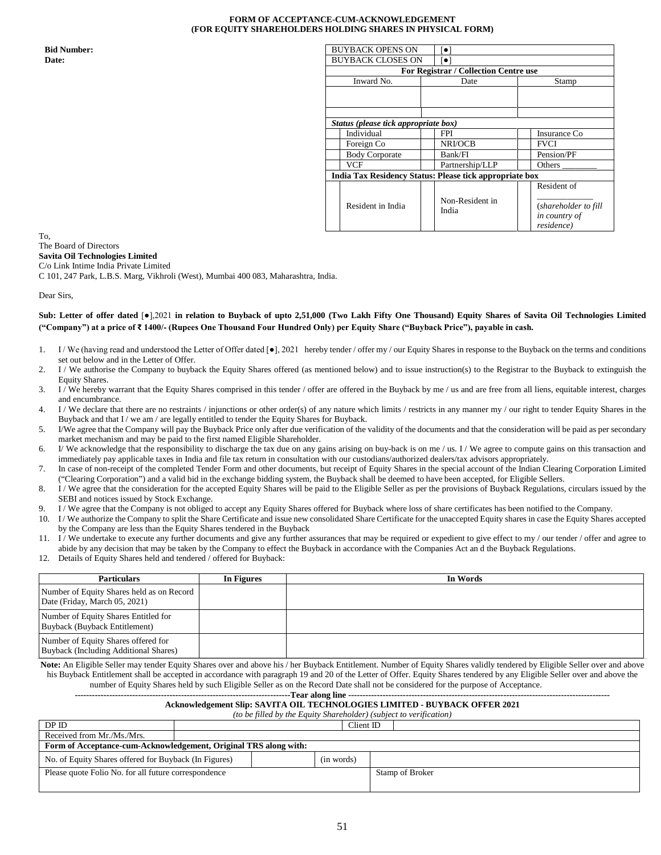#### **FORM OF ACCEPTANCE-CUM-ACKNOWLEDGEMENT (FOR EQUITY SHAREHOLDERS HOLDING SHARES IN PHYSICAL FORM)**

| <b>Bid Number:</b> | <b>BUYBACK OPENS ON</b>                                 | $\lceil \bullet \rceil$               |                                                     |
|--------------------|---------------------------------------------------------|---------------------------------------|-----------------------------------------------------|
| Date:              | <b>BUYBACK CLOSES ON</b>                                | $\lceil \bullet \rceil$               |                                                     |
|                    |                                                         | For Registrar / Collection Centre use |                                                     |
|                    | Inward No.                                              | Date                                  | Stamp                                               |
|                    |                                                         |                                       |                                                     |
|                    |                                                         |                                       |                                                     |
|                    |                                                         |                                       |                                                     |
|                    | Status (please tick appropriate box)                    |                                       |                                                     |
|                    | Individual                                              | <b>FPI</b>                            | Insurance Co                                        |
|                    | Foreign Co                                              | <b>NRI/OCB</b>                        | <b>FVCI</b>                                         |
|                    | <b>Body Corporate</b>                                   | Bank/FI                               | Pension/PF                                          |
|                    | <b>VCF</b>                                              | Partnership/LLP                       | Others                                              |
|                    | India Tax Residency Status: Please tick appropriate box |                                       |                                                     |
|                    |                                                         |                                       | Resident of                                         |
|                    | Resident in India                                       | Non-Resident in<br>India              | (shareholder to fill<br>in country of<br>residence) |

To, The Board of Directors **Savita Oil Technologies Limited** C/o Link Intime India Private Limited

C 101, 247 Park, L.B.S. Marg, Vikhroli (West), Mumbai 400 083, Maharashtra, India.

Dear Sirs,

#### **Sub: Letter of offer dated** [●],2021 **in relation to Buyback of upto 2,51,000 (Two Lakh Fifty One Thousand) Equity Shares of Savita Oil Technologies Limited** ("Company") at a price of ₹ 1400/- (Rupees One Thousand Four Hundred Only) per Equity Share ("Buyback Price"), payable in cash.

- 1. I/We (having read and understood the Letter of Offer dated [ $\bullet$ ], 2021 hereby tender / offer my / our Equity Shares in response to the Buyback on the terms and conditions set out below and in the Letter of Offer.
- 2. I / We authorise the Company to buyback the Equity Shares offered (as mentioned below) and to issue instruction(s) to the Registrar to the Buyback to extinguish the Equity Shares.
- 3. I / We hereby warrant that the Equity Shares comprised in this tender / offer are offered in the Buyback by me / us and are free from all liens, equitable interest, charges and encumbrance.
- 4. I / We declare that there are no restraints / injunctions or other order(s) of any nature which limits / restricts in any manner my / our right to tender Equity Shares in the Buyback and that I / we am / are legally entitled to tender the Equity Shares for Buyback.
- 5. I/We agree that the Company will pay the Buyback Price only after due verification of the validity of the documents and that the consideration will be paid as per secondary market mechanism and may be paid to the first named Eligible Shareholder.
- 6. I/ We acknowledge that the responsibility to discharge the tax due on any gains arising on buy-back is on me / us. I/ We agree to compute gains on this transaction and immediately pay applicable taxes in India and file tax return in consultation with our custodians/authorized dealers/tax advisors appropriately.
- 7. In case of non-receipt of the completed Tender Form and other documents, but receipt of Equity Shares in the special account of the Indian Clearing Corporation Limited ("Clearing Corporation") and a valid bid in the exchange bidding system, the Buyback shall be deemed to have been accepted, for Eligible Sellers.
- 8. I / We agree that the consideration for the accepted Equity Shares will be paid to the Eligible Seller as per the provisions of Buyback Regulations, circulars issued by the SEBI and notices issued by Stock Exchange.
- 9. I / We agree that the Company is not obliged to accept any Equity Shares offered for Buyback where loss of share certificates has been notified to the Company.
- 10. I / We authorize the Company to split the Share Certificate and issue new consolidated Share Certificate for the unaccepted Equity shares in case the Equity Shares accepted by the Company are less than the Equity Shares tendered in the Buyback
- 11. I/We undertake to execute any further documents and give any further assurances that may be required or expedient to give effect to my/our tender/offer and agree to abide by any decision that may be taken by the Company to effect the Buyback in accordance with the Companies Act an d the Buyback Regulations.
- 12. Details of Equity Shares held and tendered / offered for Buyback:

| <b>Particulars</b>                                                                  | In Figures | In Words |
|-------------------------------------------------------------------------------------|------------|----------|
| Number of Equity Shares held as on Record<br>Date (Friday, March 05, 2021)          |            |          |
| Number of Equity Shares Entitled for<br>Buyback (Buyback Entitlement)               |            |          |
| Number of Equity Shares offered for<br><b>Buyback (Including Additional Shares)</b> |            |          |

Note: An Eligible Seller may tender Equity Shares over and above his / her Buyback Entitlement. Number of Equity Shares validly tendered by Eligible Seller over and above his Buyback Entitlement shall be accepted in accordance with paragraph 19 and 20 of the Letter of Offer. Equity Shares tendered by any Eligible Seller over and above the number of Equity Shares held by such Eligible Seller as on the Record Date shall not be considered for the purpose of Acceptance.

# **---------------------------------------------------------------------------Tear along line -------------------------------------------------------------------------------------------**

#### **Acknowledgement Slip: SAVITA OIL TECHNOLOGIES LIMITED - BUYBACK OFFER 2021** *(to be filled by the Equity Shareholder) (subject to verification)*

| DP ID                                                            |  | Client ID |            |                 |  |  |  |
|------------------------------------------------------------------|--|-----------|------------|-----------------|--|--|--|
| Received from Mr./Ms./Mrs.                                       |  |           |            |                 |  |  |  |
| Form of Acceptance-cum-Acknowledgement, Original TRS along with: |  |           |            |                 |  |  |  |
| No. of Equity Shares offered for Buyback (In Figures)            |  |           | (in words) |                 |  |  |  |
| Please quote Folio No. for all future correspondence             |  |           |            | Stamp of Broker |  |  |  |
|                                                                  |  |           |            |                 |  |  |  |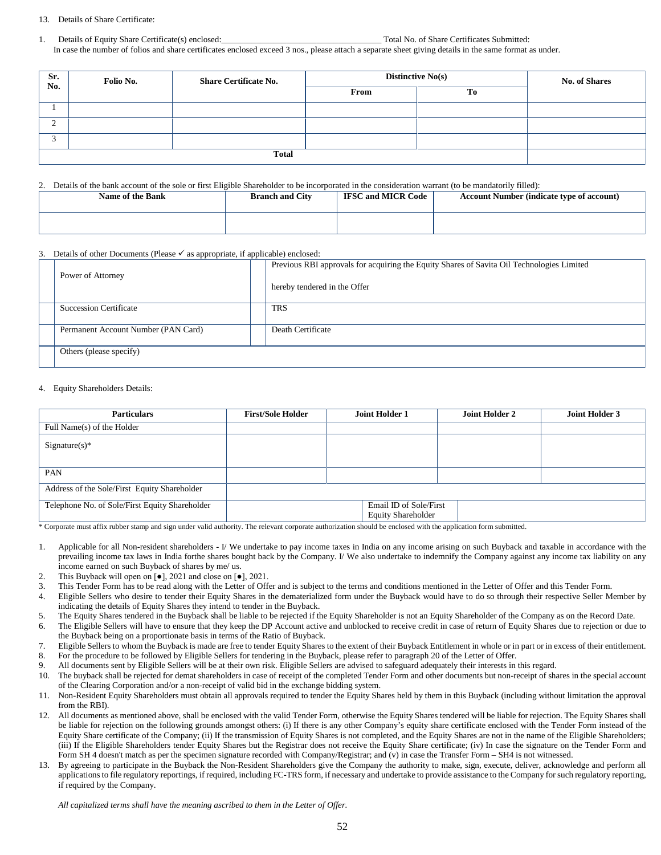#### 13. Details of Share Certificate:

1. Details of Equity Share Certificate(s) enclosed:\_\_\_\_\_\_\_\_\_\_\_\_\_\_\_\_\_\_\_\_\_\_\_\_\_\_\_\_\_\_\_\_\_\_\_\_\_ Total No. of Share Certificates Submitted: In case the number of folios and share certificates enclosed exceed 3 nos., please attach a separate sheet giving details in the same format as under.

| Sr.<br>No. | Folio No. | <b>Share Certificate No.</b> | <b>No. of Shares</b> |    |  |
|------------|-----------|------------------------------|----------------------|----|--|
|            |           |                              | From                 | To |  |
|            |           |                              |                      |    |  |
|            |           |                              |                      |    |  |
|            |           |                              |                      |    |  |
|            |           |                              |                      |    |  |

#### 2. Details of the bank account of the sole or first Eligible Shareholder to be incorporated in the consideration warrant (to be mandatorily filled):

| Name of the Bank | <b>Branch and City</b> | <b>IFSC and MICR Code</b> | <b>Account Number (indicate type of account)</b> |
|------------------|------------------------|---------------------------|--------------------------------------------------|
|                  |                        |                           |                                                  |

#### 3. Details of other Documents (Please  $\checkmark$  as appropriate, if applicable) enclosed:

| Power of Attorney                   | Previous RBI approvals for acquiring the Equity Shares of Savita Oil Technologies Limited<br>hereby tendered in the Offer |
|-------------------------------------|---------------------------------------------------------------------------------------------------------------------------|
| <b>Succession Certificate</b>       | <b>TRS</b>                                                                                                                |
| Permanent Account Number (PAN Card) | Death Certificate                                                                                                         |
| Others (please specify)             |                                                                                                                           |

#### 4. Equity Shareholders Details:

| <b>Particulars</b>                             | <b>First/Sole Holder</b> | <b>Joint Holder 1</b>                               | Joint Holder 2 | Joint Holder 3 |
|------------------------------------------------|--------------------------|-----------------------------------------------------|----------------|----------------|
| Full Name(s) of the Holder                     |                          |                                                     |                |                |
| $Sigma(x)*$                                    |                          |                                                     |                |                |
| PAN                                            |                          |                                                     |                |                |
| Address of the Sole/First Equity Shareholder   |                          |                                                     |                |                |
| Telephone No. of Sole/First Equity Shareholder |                          | Email ID of Sole/First<br><b>Equity Shareholder</b> |                |                |

\* Corporate must affix rubber stamp and sign under valid authority. The relevant corporate authorization should be enclosed with the application form submitted.

- 1. Applicable for all Non-resident shareholders I/ We undertake to pay income taxes in India on any income arising on such Buyback and taxable in accordance with the prevailing income tax laws in India forthe shares bought back by the Company. I/ We also undertake to indemnify the Company against any income tax liability on any income earned on such Buyback of shares by me/ us.
- 2. This Buyback will open on [●], 2021 and close on [●], 2021.
- 3. This Tender Form has to be read along with the Letter of Offer and is subject to the terms and conditions mentioned in the Letter of Offer and this Tender Form.
- 4. Eligible Sellers who desire to tender their Equity Shares in the dematerialized form under the Buyback would have to do so through their respective Seller Member by indicating the details of Equity Shares they intend to tender in the Buyback.
- 5. The Equity Shares tendered in the Buyback shall be liable to be rejected if the Equity Shareholder is not an Equity Shareholder of the Company as on the Record Date.
- 6. The Eligible Sellers will have to ensure that they keep the DP Account active and unblocked to receive credit in case of return of Equity Shares due to rejection or due to the Buyback being on a proportionate basis in terms of the Ratio of Buyback.
- 7. Eligible Sellers to whom the Buyback is made are free to tender Equity Shares to the extent of their Buyback Entitlement in whole or in part or in excess of their entitlement.
- 8. For the procedure to be followed by Eligible Sellers for tendering in the Buyback, please refer to paragraph 20 of the Letter of Offer.
- 9. All documents sent by Eligible Sellers will be at their own risk. Eligible Sellers are advised to safeguard adequately their interests in this regard.
- 10. The buyback shall be rejected for demat shareholders in case of receipt of the completed Tender Form and other documents but non-receipt of shares in the special account of the Clearing Corporation and/or a non-receipt of valid bid in the exchange bidding system.
- 11. Non-Resident Equity Shareholders must obtain all approvals required to tender the Equity Shares held by them in this Buyback (including without limitation the approval from the RBI).
- 12. All documents as mentioned above, shall be enclosed with the valid Tender Form, otherwise the Equity Shares tendered will be liable for rejection. The Equity Shares shall be liable for rejection on the following grounds amongst others: (i) If there is any other Company's equity share certificate enclosed with the Tender Form instead of the Equity Share certificate of the Company; (ii) If the transmission of Equity Shares is not completed, and the Equity Shares are not in the name of the Eligible Shareholders; (iii) If the Eligible Shareholders tender Equity Shares but the Registrar does not receive the Equity Share certificate; (iv) In case the signature on the Tender Form and Form SH 4 doesn't match as per the specimen signature recorded with Company/Registrar; and (v) in case the Transfer Form – SH4 is not witnessed.
- 13. By agreeing to participate in the Buyback the Non-Resident Shareholders give the Company the authority to make, sign, execute, deliver, acknowledge and perform all applications to file regulatory reportings, if required, including FC-TRS form, if necessary and undertake to provide assistance to the Company for such regulatory reporting, if required by the Company.

*All capitalized terms shall have the meaning ascribed to them in the Letter of Offer.*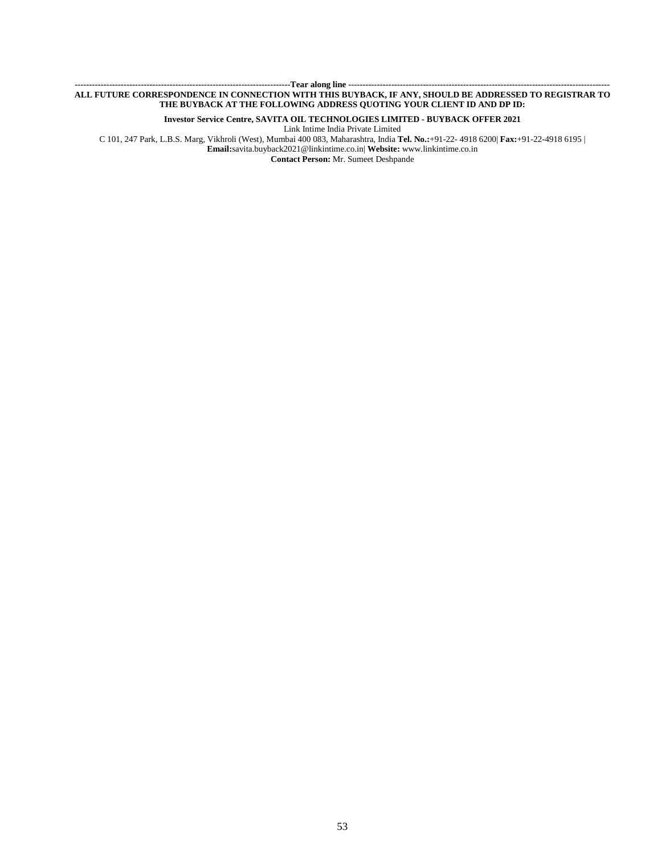#### **---------------------------------------------------------------------------Tear along line ------------------------------------------------------------------------------------------- ALL FUTURE CORRESPONDENCE IN CONNECTION WITH THIS BUYBACK, IF ANY, SHOULD BE ADDRESSED TO REGISTRAR TO THE BUYBACK AT THE FOLLOWING ADDRESS QUOTING YOUR CLIENT ID AND DP ID:**

**Investor Service Centre, SAVITA OIL TECHNOLOGIES LIMITED - BUYBACK OFFER 2021**

Link Intime India Private Limited

C 101, 247 Park, L.B.S. Marg, Vikhroli (West), Mumbai 400 083, Maharashtra, India **Tel. No.:**+91-22- 4918 6200| **Fax:**+91-22-4918 6195 | **Email:**savita.buyback2021@linkintime.co.in| **Website:** www.linkintime.co.in

**Contact Person:** Mr. Sumeet Deshpande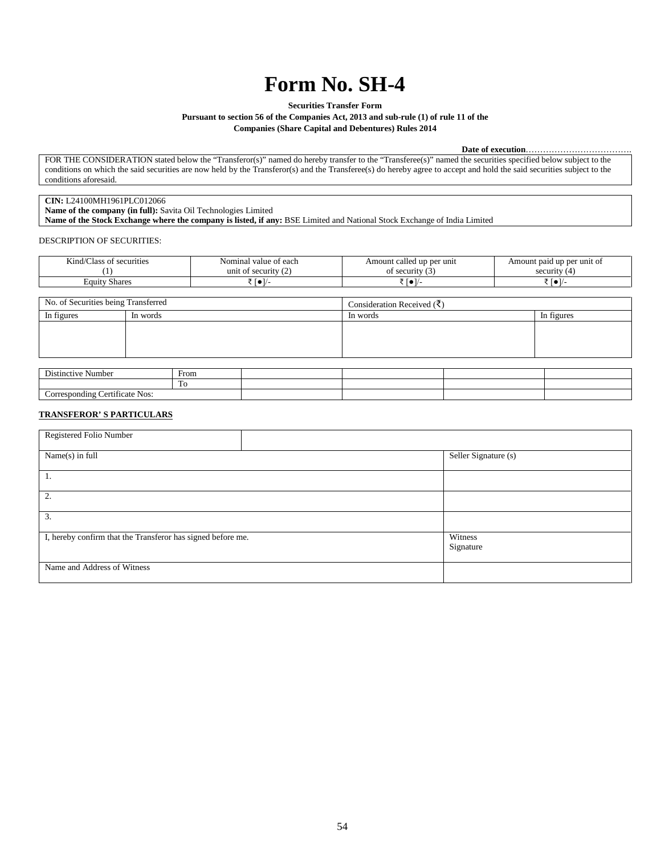# **Form No. SH-4**

**Securities Transfer Form**

**Pursuant to section 56 of the Companies Act, 2013 and sub-rule (1) of rule 11 of the**

**Companies (Share Capital and Debentures) Rules 2014**

**Date of execution**……………………………….

FOR THE CONSIDERATION stated below the "Transferor(s)" named do hereby transfer to the "Transferee(s)" named the securities specified below subject to the conditions on which the said securities are now held by the Transferor(s) and the Transferee(s) do hereby agree to accept and hold the said securities subject to the conditions aforesaid.

## **CIN:** L24100MH1961PLC012066

**Name of the company (in full):** Savita Oil Technologies Limited **Name of the Stock Exchange where the company is listed, if any:** BSE Limited and National Stock Exchange of India Limited

DESCRIPTION OF SECURITIES:

| $-1$<br>$\sim$<br>≤ınd/<br>securities<br>:las:<br>$\cdots$ | value of each<br>Nominal<br>. | l up per unit<br>called<br>Amount | Amount paid up per unit of |
|------------------------------------------------------------|-------------------------------|-----------------------------------|----------------------------|
|                                                            | unit of<br>security<br>$\sim$ | 0.00114<br>urity.<br>~<br>$\cdot$ | security                   |
| $\sim$<br><b>Equity</b><br><b>Shares</b>                   | .                             |                                   | $\frac{1}{2}$              |

| No. of Securities being Transferred |          | Consideration Received $(\bar{\zeta})$ |  |          |  |            |
|-------------------------------------|----------|----------------------------------------|--|----------|--|------------|
| In figures                          | In words |                                        |  | In words |  | In figures |
|                                     |          |                                        |  |          |  |            |
|                                     |          |                                        |  |          |  |            |
|                                     |          |                                        |  |          |  |            |
|                                     |          |                                        |  |          |  |            |
|                                     |          |                                        |  |          |  |            |
| __________                          |          | $-$                                    |  |          |  |            |

| $\mathbf{r}$<br>Distinctive Number                    | $\overline{\phantom{0}}$<br>From |  |  |
|-------------------------------------------------------|----------------------------------|--|--|
|                                                       | 1 V                              |  |  |
| ertificate<br>Nos:<br>orresponding C<br><b>CUILLE</b> |                                  |  |  |

#### **TRANSFEROR' S PARTICULARS**

| Registered Folio Number                                     |  |                      |
|-------------------------------------------------------------|--|----------------------|
| Name(s) in full                                             |  | Seller Signature (s) |
| 1.                                                          |  |                      |
| 2.                                                          |  |                      |
| 3.                                                          |  |                      |
| I, hereby confirm that the Transferor has signed before me. |  | Witness<br>Signature |
| Name and Address of Witness                                 |  |                      |